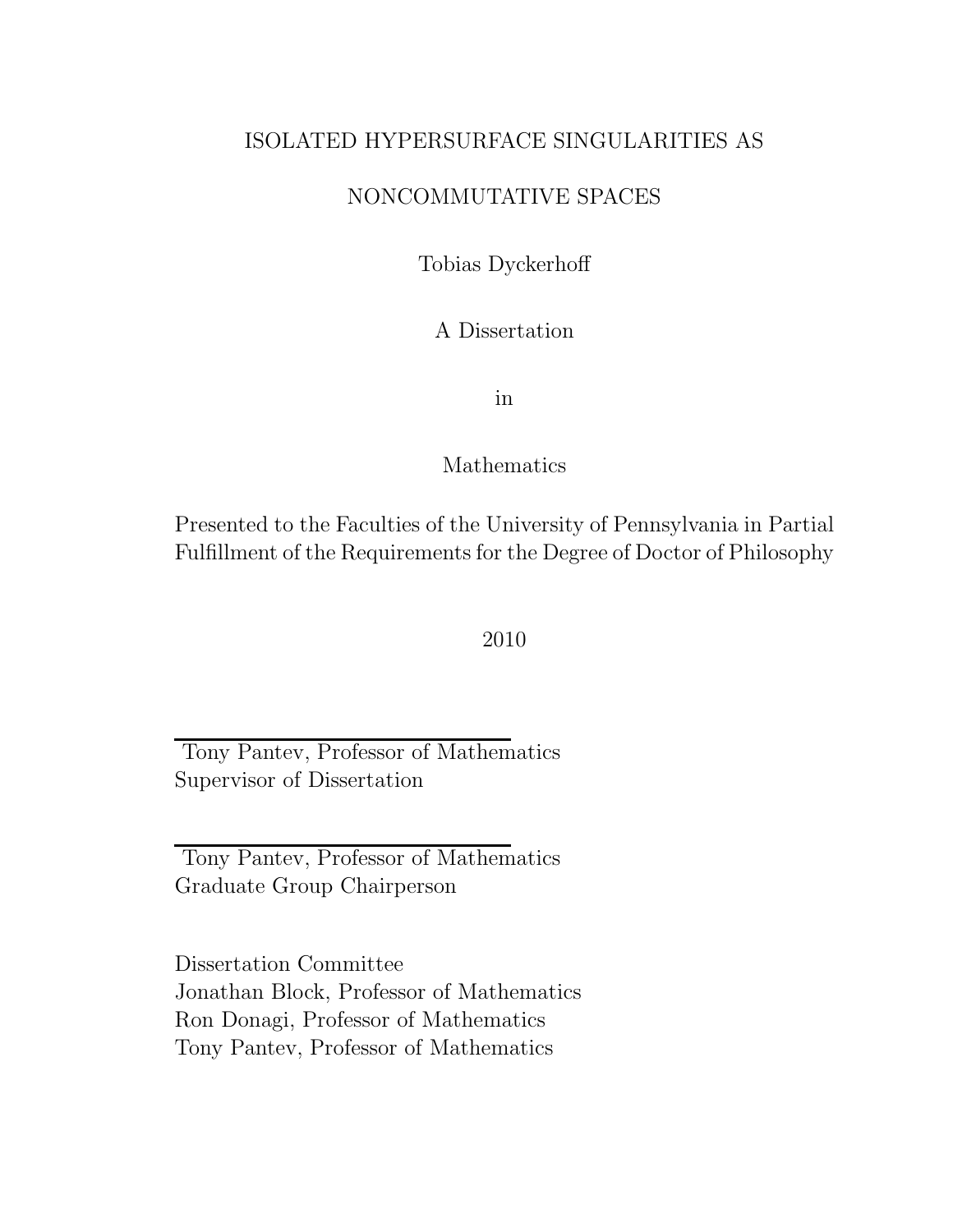### ISOLATED HYPERSURFACE SINGULARITIES AS

### NONCOMMUTATIVE SPACES

Tobias Dyckerhoff

A Dissertation

in

### Mathematics

Presented to the Faculties of the University of Pennsylvania in Partial Fulfillment of the Requirements for the Degree of Doctor of Philosophy

2010

Tony Pantev, Professor of Mathematics Supervisor of Dissertation

Tony Pantev, Professor of Mathematics Graduate Group Chairperson

Dissertation Committee Jonathan Block, Professor of Mathematics Ron Donagi, Professor of Mathematics Tony Pantev, Professor of Mathematics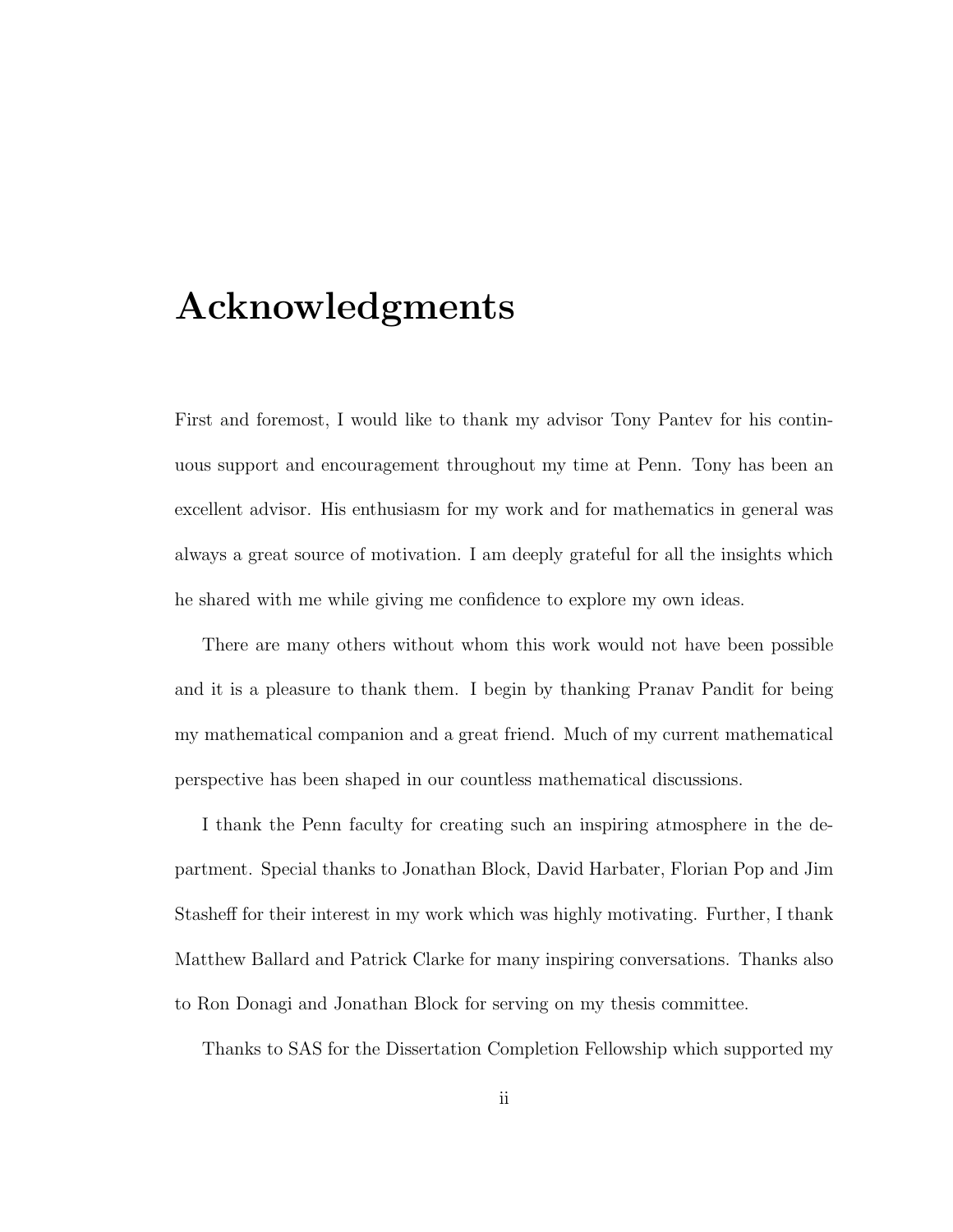## Acknowledgments

First and foremost, I would like to thank my advisor Tony Pantev for his continuous support and encouragement throughout my time at Penn. Tony has been an excellent advisor. His enthusiasm for my work and for mathematics in general was always a great source of motivation. I am deeply grateful for all the insights which he shared with me while giving me confidence to explore my own ideas.

There are many others without whom this work would not have been possible and it is a pleasure to thank them. I begin by thanking Pranav Pandit for being my mathematical companion and a great friend. Much of my current mathematical perspective has been shaped in our countless mathematical discussions.

I thank the Penn faculty for creating such an inspiring atmosphere in the department. Special thanks to Jonathan Block, David Harbater, Florian Pop and Jim Stasheff for their interest in my work which was highly motivating. Further, I thank Matthew Ballard and Patrick Clarke for many inspiring conversations. Thanks also to Ron Donagi and Jonathan Block for serving on my thesis committee.

Thanks to SAS for the Dissertation Completion Fellowship which supported my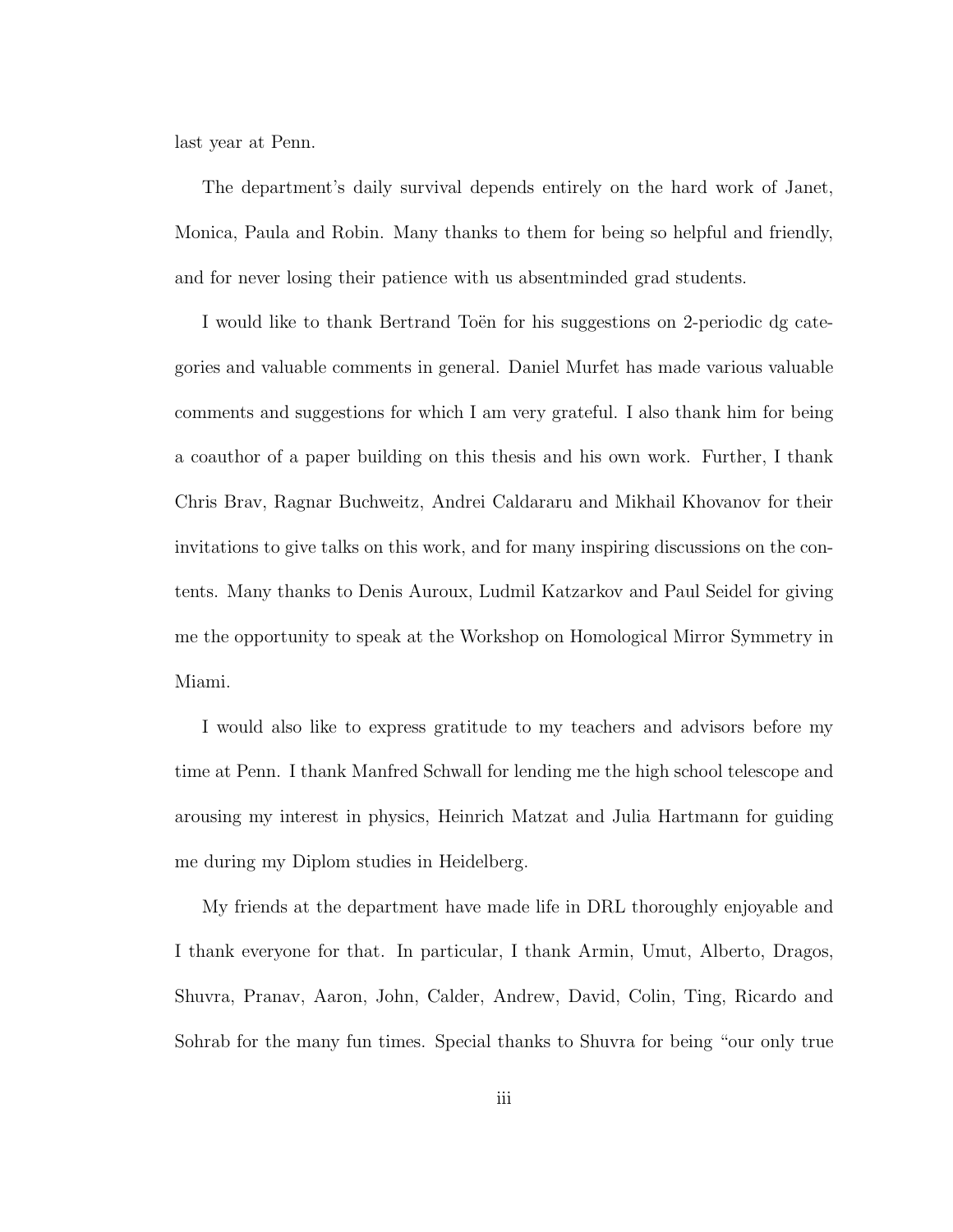last year at Penn.

The department's daily survival depends entirely on the hard work of Janet, Monica, Paula and Robin. Many thanks to them for being so helpful and friendly, and for never losing their patience with us absentminded grad students.

I would like to thank Bertrand Toen for his suggestions on 2-periodic dg categories and valuable comments in general. Daniel Murfet has made various valuable comments and suggestions for which I am very grateful. I also thank him for being a coauthor of a paper building on this thesis and his own work. Further, I thank Chris Brav, Ragnar Buchweitz, Andrei Caldararu and Mikhail Khovanov for their invitations to give talks on this work, and for many inspiring discussions on the contents. Many thanks to Denis Auroux, Ludmil Katzarkov and Paul Seidel for giving me the opportunity to speak at the Workshop on Homological Mirror Symmetry in Miami.

I would also like to express gratitude to my teachers and advisors before my time at Penn. I thank Manfred Schwall for lending me the high school telescope and arousing my interest in physics, Heinrich Matzat and Julia Hartmann for guiding me during my Diplom studies in Heidelberg.

My friends at the department have made life in DRL thoroughly enjoyable and I thank everyone for that. In particular, I thank Armin, Umut, Alberto, Dragos, Shuvra, Pranav, Aaron, John, Calder, Andrew, David, Colin, Ting, Ricardo and Sohrab for the many fun times. Special thanks to Shuvra for being "our only true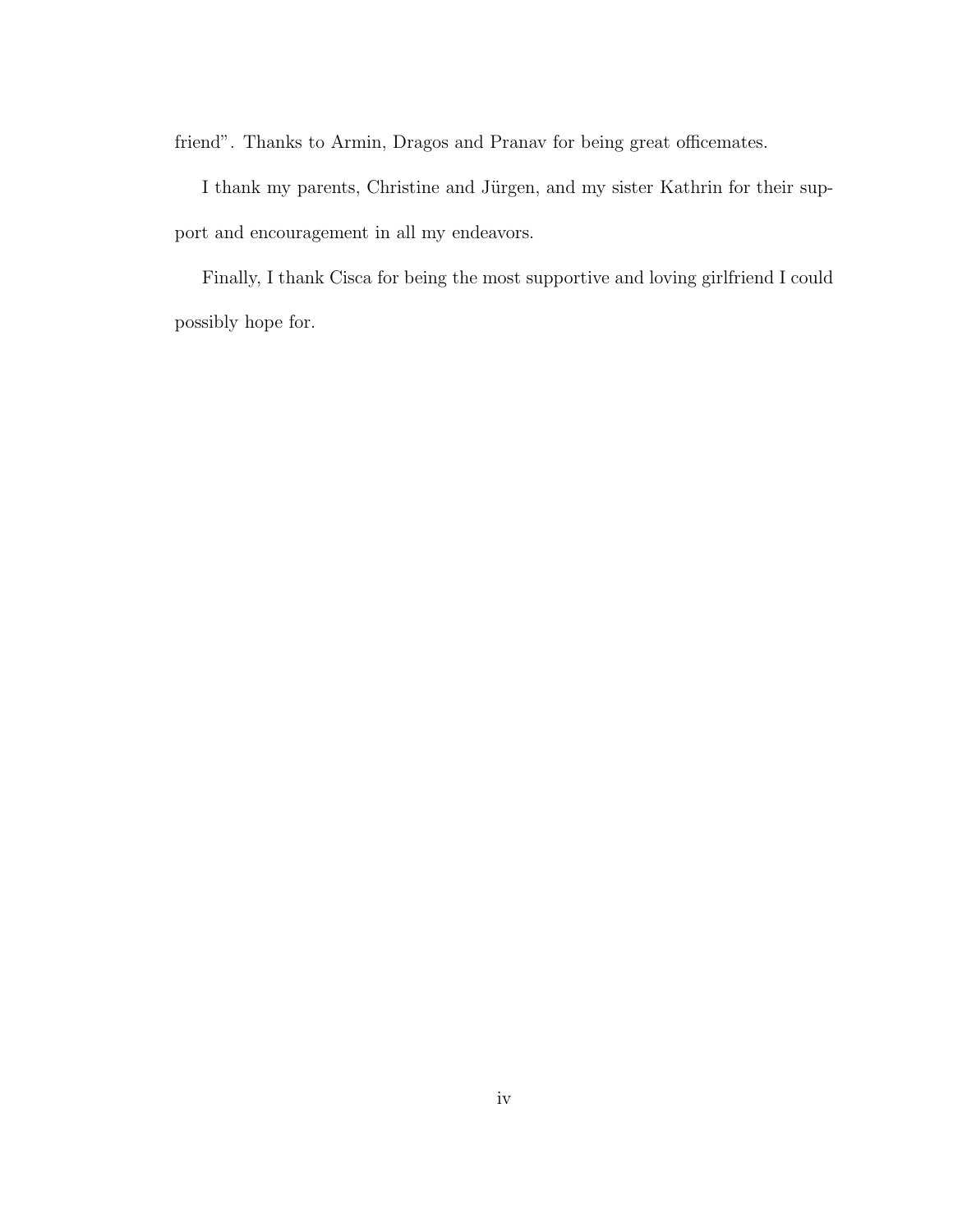friend". Thanks to Armin, Dragos and Pranav for being great officemates.

I thank my parents, Christine and Jürgen, and my sister Kathrin for their support and encouragement in all my endeavors.

Finally, I thank Cisca for being the most supportive and loving girlfriend I could possibly hope for.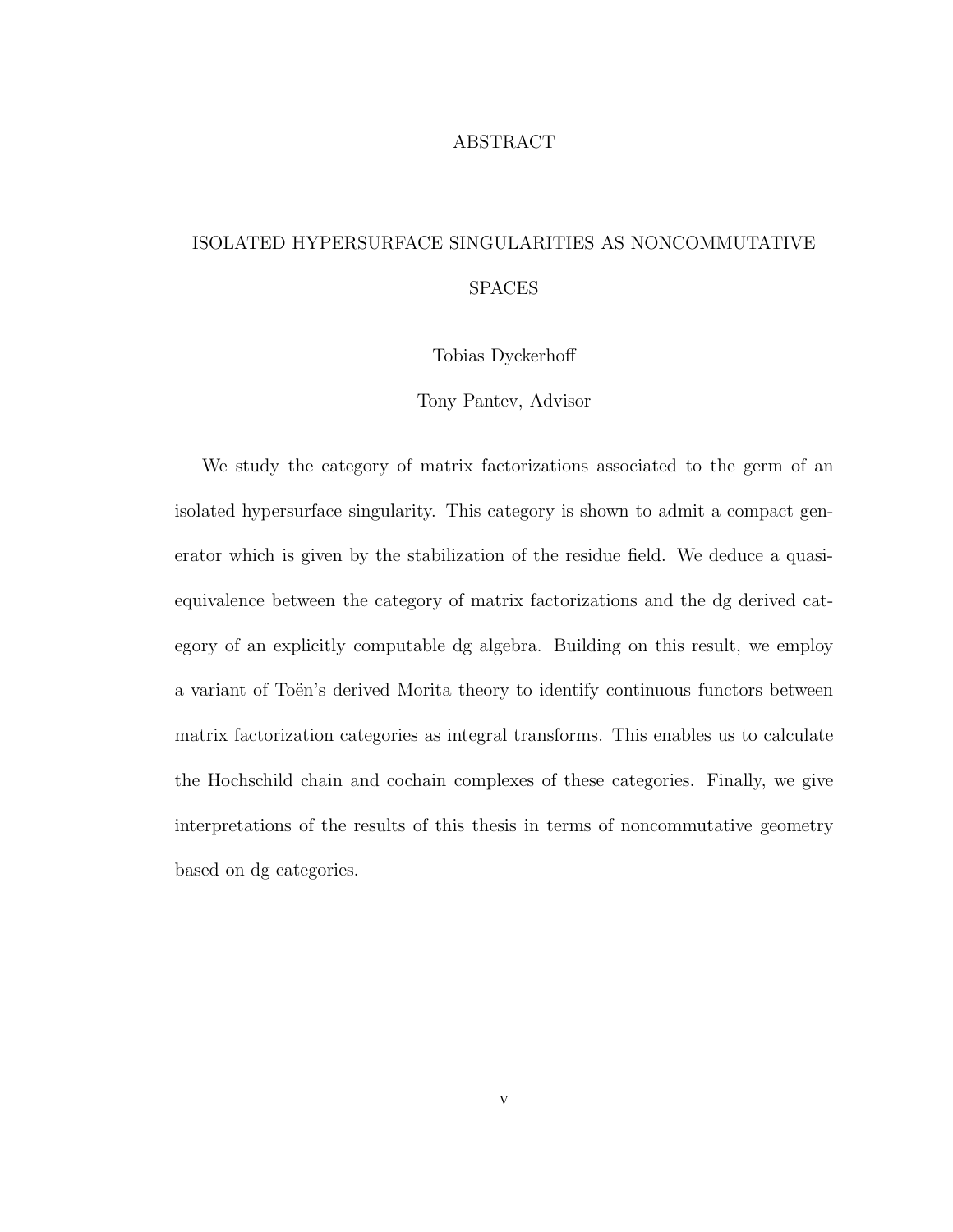#### ABSTRACT

### ISOLATED HYPERSURFACE SINGULARITIES AS NONCOMMUTATIVE SPACES

Tobias Dyckerhoff

Tony Pantev, Advisor

We study the category of matrix factorizations associated to the germ of an isolated hypersurface singularity. This category is shown to admit a compact generator which is given by the stabilization of the residue field. We deduce a quasiequivalence between the category of matrix factorizations and the dg derived category of an explicitly computable dg algebra. Building on this result, we employ a variant of Toën's derived Morita theory to identify continuous functors between matrix factorization categories as integral transforms. This enables us to calculate the Hochschild chain and cochain complexes of these categories. Finally, we give interpretations of the results of this thesis in terms of noncommutative geometry based on dg categories.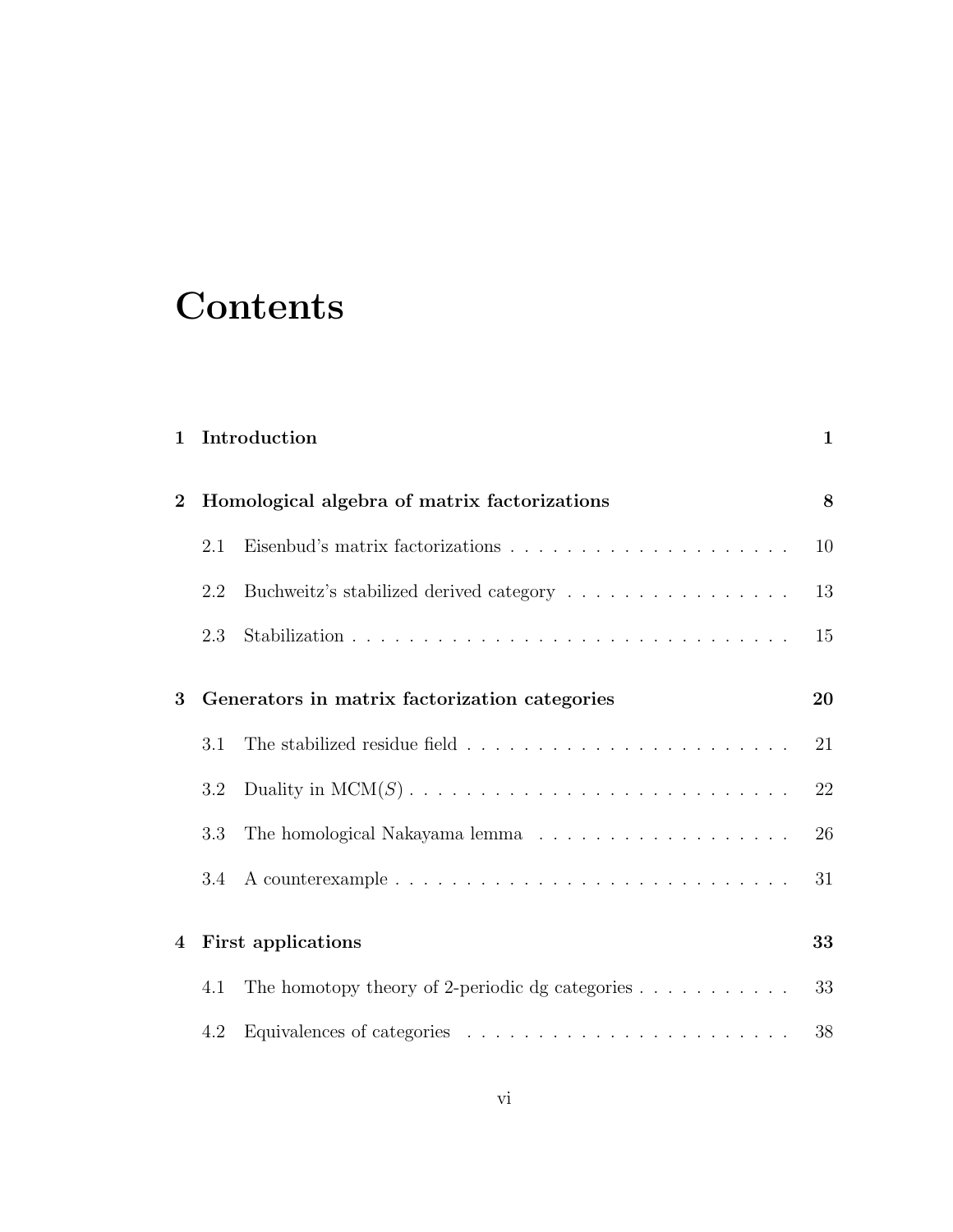## **Contents**

| $\mathbf{1}$                                                   |     | Introduction                                                           | $\mathbf{1}$ |
|----------------------------------------------------------------|-----|------------------------------------------------------------------------|--------------|
| Homological algebra of matrix factorizations<br>$\overline{2}$ |     |                                                                        | 8            |
|                                                                | 2.1 |                                                                        | 10           |
|                                                                | 2.2 | Buchweitz's stabilized derived category                                | 13           |
|                                                                | 2.3 |                                                                        | 15           |
| 3                                                              |     | Generators in matrix factorization categories                          | 20           |
|                                                                | 3.1 |                                                                        | 21           |
|                                                                | 3.2 |                                                                        | 22           |
|                                                                | 3.3 |                                                                        | 26           |
|                                                                | 3.4 |                                                                        | 31           |
| $\overline{\mathbf{4}}$                                        |     | First applications                                                     | 33           |
|                                                                | 4.1 | The homotopy theory of 2-periodic dg categories $\ldots \ldots \ldots$ | 33           |
|                                                                | 4.2 |                                                                        | 38           |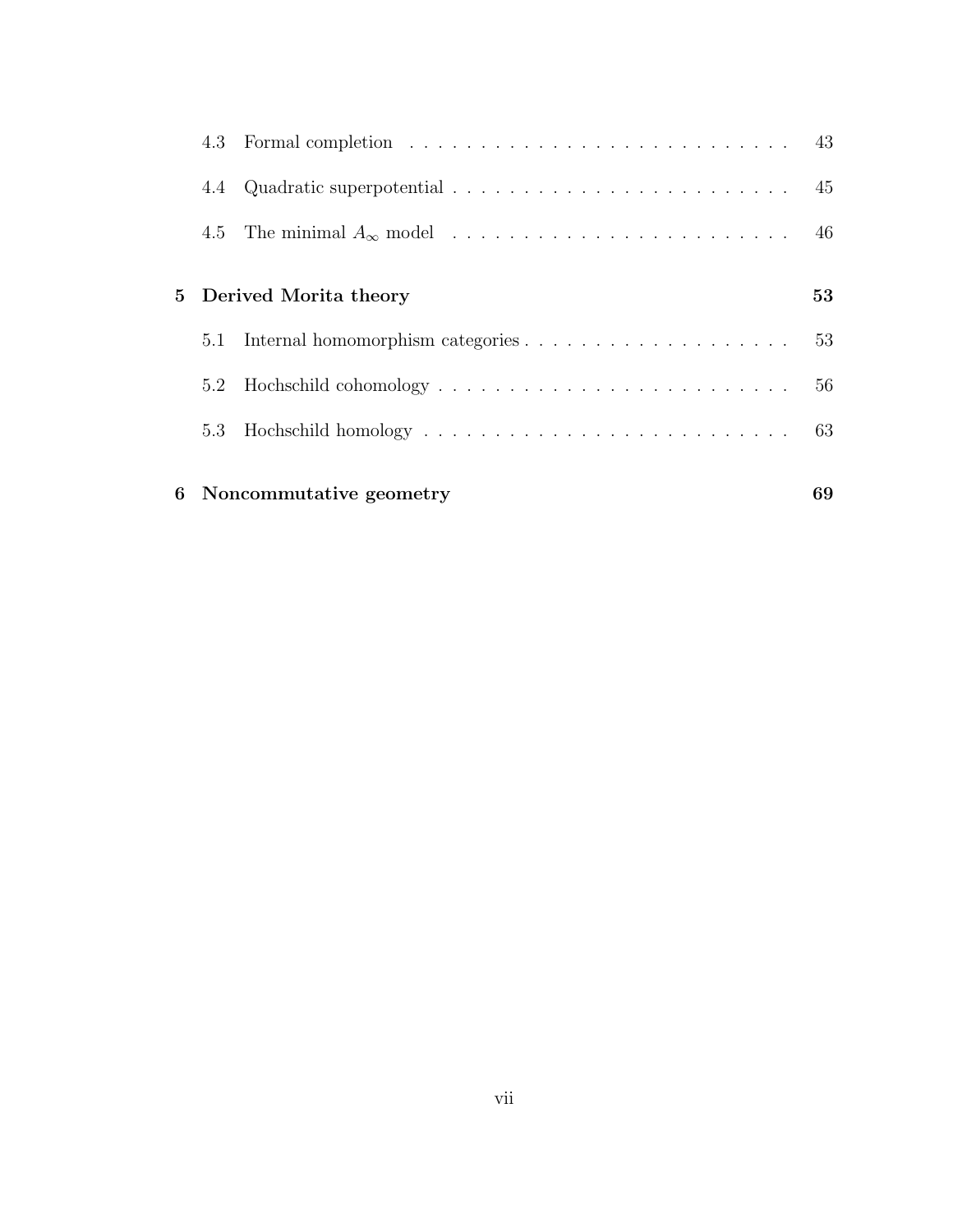|                            |     | 6 Noncommutative geometry                                                                                                                                                                                                      | 69 |
|----------------------------|-----|--------------------------------------------------------------------------------------------------------------------------------------------------------------------------------------------------------------------------------|----|
|                            |     |                                                                                                                                                                                                                                | 63 |
|                            | 5.2 |                                                                                                                                                                                                                                | 56 |
|                            | 5.1 |                                                                                                                                                                                                                                | 53 |
| Derived Morita theory<br>5 |     |                                                                                                                                                                                                                                |    |
|                            | 4.5 |                                                                                                                                                                                                                                | 46 |
|                            | 4.4 |                                                                                                                                                                                                                                | 45 |
|                            |     | 4.3 Formal completion enterities in the set of the set of the set of the set of the set of the set of the set of the set of the set of the set of the set of the set of the set of the set of the set of the set of the set of | 43 |

vii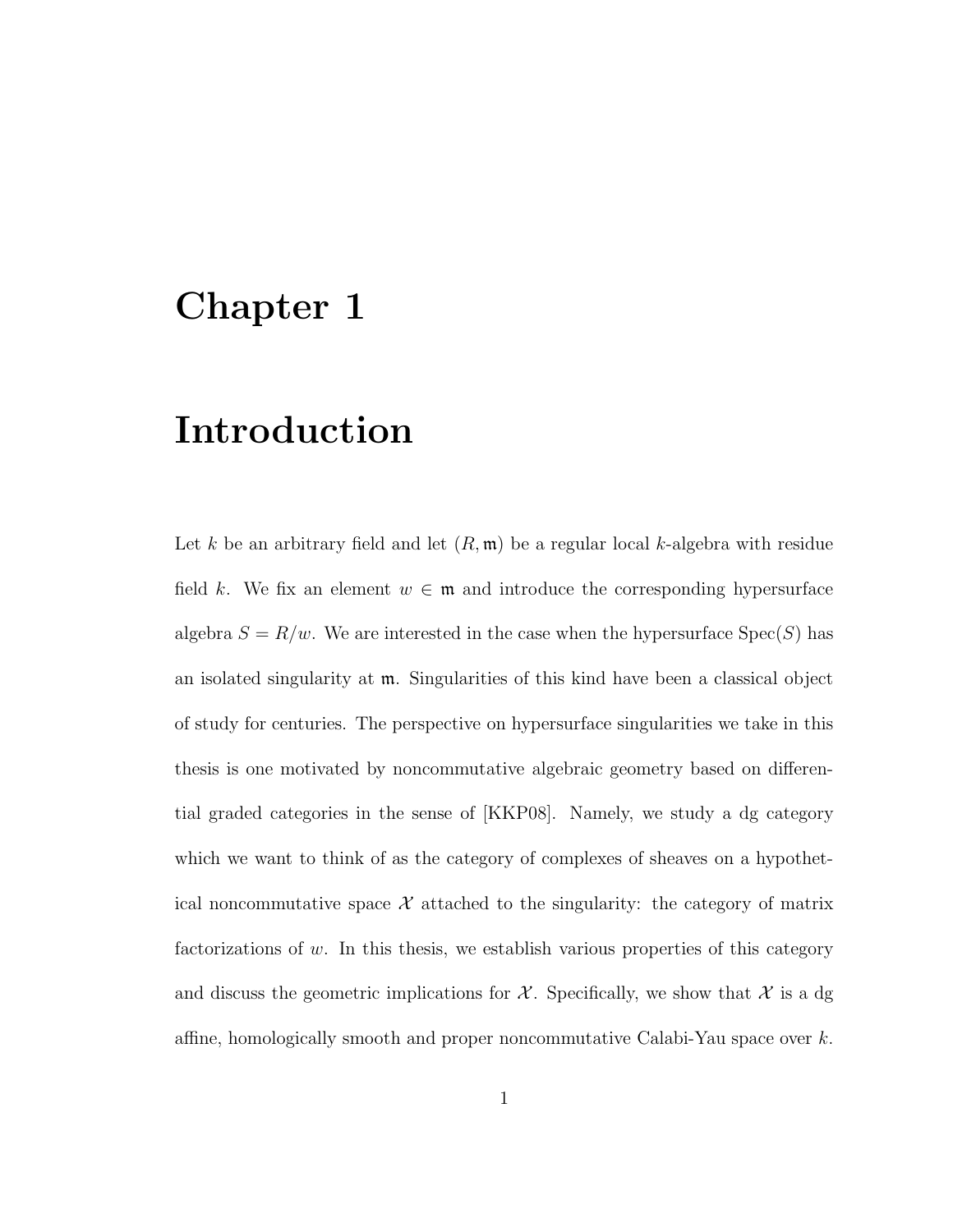## Chapter 1

## Introduction

Let k be an arbitrary field and let  $(R, \mathfrak{m})$  be a regular local k-algebra with residue field k. We fix an element  $w \in \mathfrak{m}$  and introduce the corresponding hypersurface algebra  $S = R/w$ . We are interested in the case when the hypersurface  $Spec(S)$  has an isolated singularity at m. Singularities of this kind have been a classical object of study for centuries. The perspective on hypersurface singularities we take in this thesis is one motivated by noncommutative algebraic geometry based on differential graded categories in the sense of [KKP08]. Namely, we study a dg category which we want to think of as the category of complexes of sheaves on a hypothetical noncommutative space  $\mathcal X$  attached to the singularity: the category of matrix factorizations of  $w$ . In this thesis, we establish various properties of this category and discuss the geometric implications for  $\mathcal{X}$ . Specifically, we show that  $\mathcal{X}$  is a dg affine, homologically smooth and proper noncommutative Calabi-Yau space over k.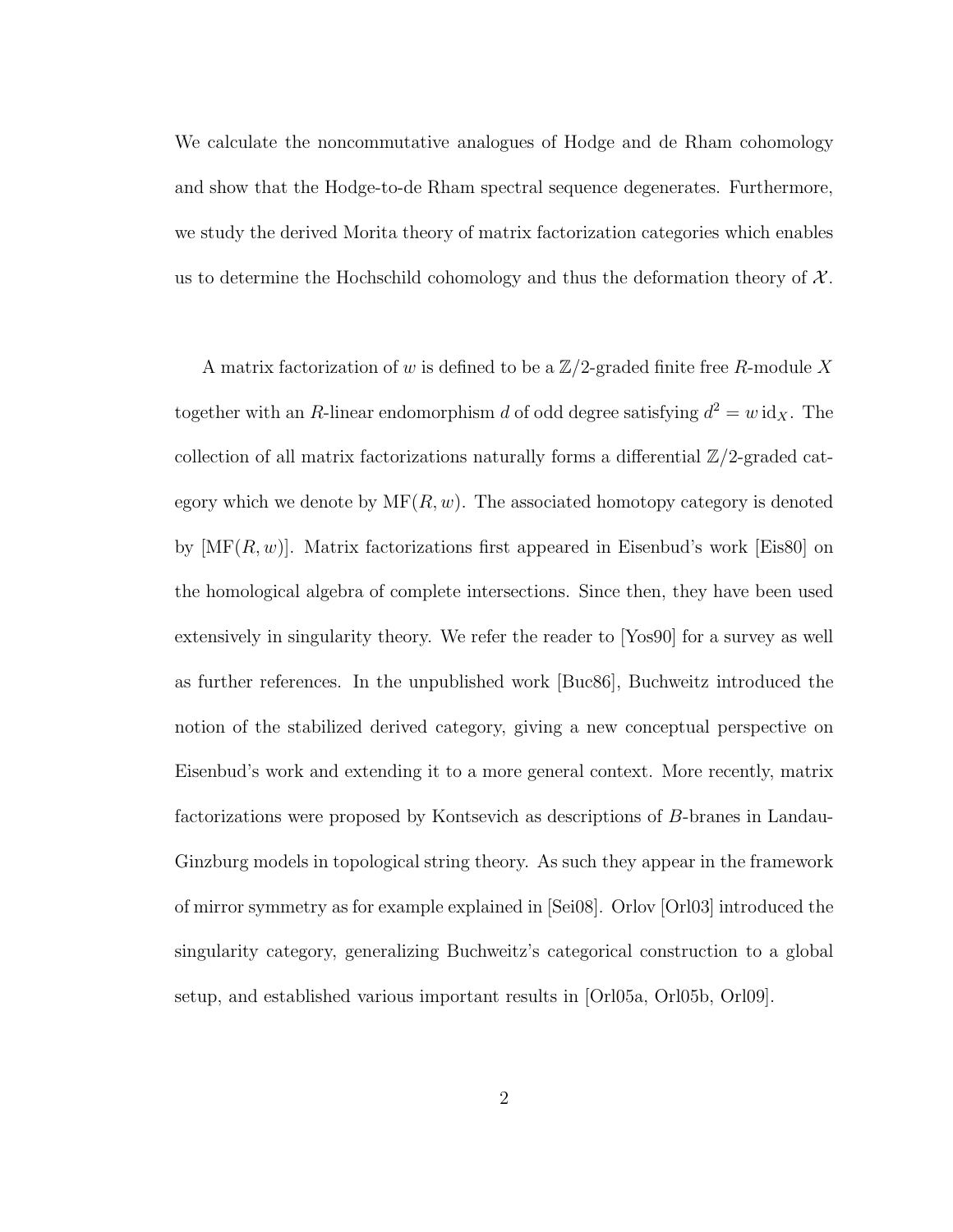We calculate the noncommutative analogues of Hodge and de Rham cohomology and show that the Hodge-to-de Rham spectral sequence degenerates. Furthermore, we study the derived Morita theory of matrix factorization categories which enables us to determine the Hochschild cohomology and thus the deformation theory of  $\mathcal{X}$ .

A matrix factorization of w is defined to be a  $\mathbb{Z}/2$ -graded finite free R-module X together with an R-linear endomorphism d of odd degree satisfying  $d^2 = w \, \mathrm{id}_X$ . The collection of all matrix factorizations naturally forms a differential  $\mathbb{Z}/2$ -graded category which we denote by  $\text{MF}(R, w)$ . The associated homotopy category is denoted by  $[MF(R, w)]$ . Matrix factorizations first appeared in Eisenbud's work [Eis80] on the homological algebra of complete intersections. Since then, they have been used extensively in singularity theory. We refer the reader to [Yos90] for a survey as well as further references. In the unpublished work [Buc86], Buchweitz introduced the notion of the stabilized derived category, giving a new conceptual perspective on Eisenbud's work and extending it to a more general context. More recently, matrix factorizations were proposed by Kontsevich as descriptions of B-branes in Landau-Ginzburg models in topological string theory. As such they appear in the framework of mirror symmetry as for example explained in [Sei08]. Orlov [Orl03] introduced the singularity category, generalizing Buchweitz's categorical construction to a global setup, and established various important results in [Orl05a, Orl05b, Orl09].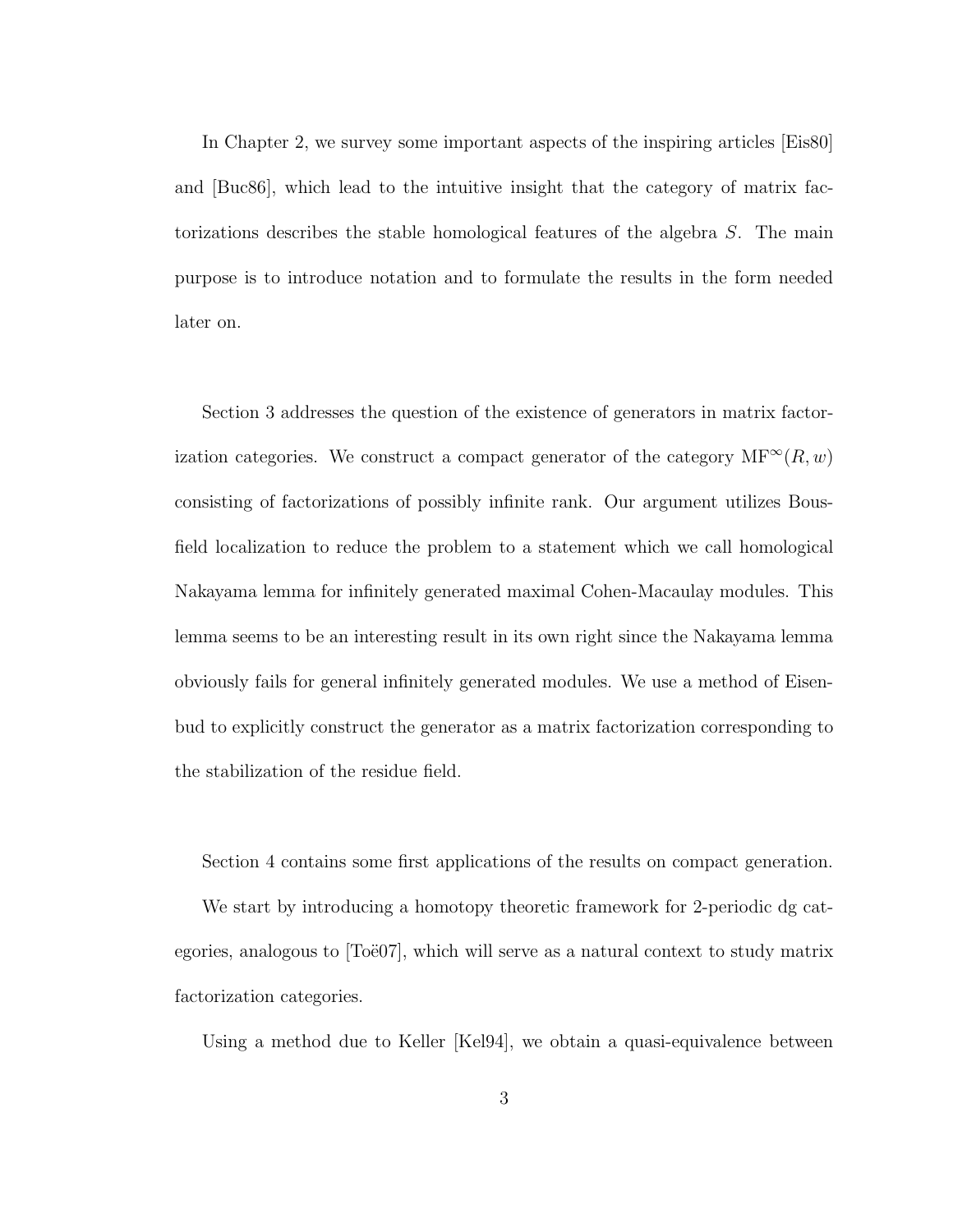In Chapter 2, we survey some important aspects of the inspiring articles [Eis80] and [Buc86], which lead to the intuitive insight that the category of matrix factorizations describes the stable homological features of the algebra S. The main purpose is to introduce notation and to formulate the results in the form needed later on.

Section 3 addresses the question of the existence of generators in matrix factorization categories. We construct a compact generator of the category  $MF^{\infty}(R, w)$ consisting of factorizations of possibly infinite rank. Our argument utilizes Bousfield localization to reduce the problem to a statement which we call homological Nakayama lemma for infinitely generated maximal Cohen-Macaulay modules. This lemma seems to be an interesting result in its own right since the Nakayama lemma obviously fails for general infinitely generated modules. We use a method of Eisenbud to explicitly construct the generator as a matrix factorization corresponding to the stabilization of the residue field.

Section 4 contains some first applications of the results on compact generation.

We start by introducing a homotopy theoretic framework for 2-periodic dg categories, analogous to  $T\ddot{o}$ ee  $\ddot{o}$ . which will serve as a natural context to study matrix factorization categories.

Using a method due to Keller [Kel94], we obtain a quasi-equivalence between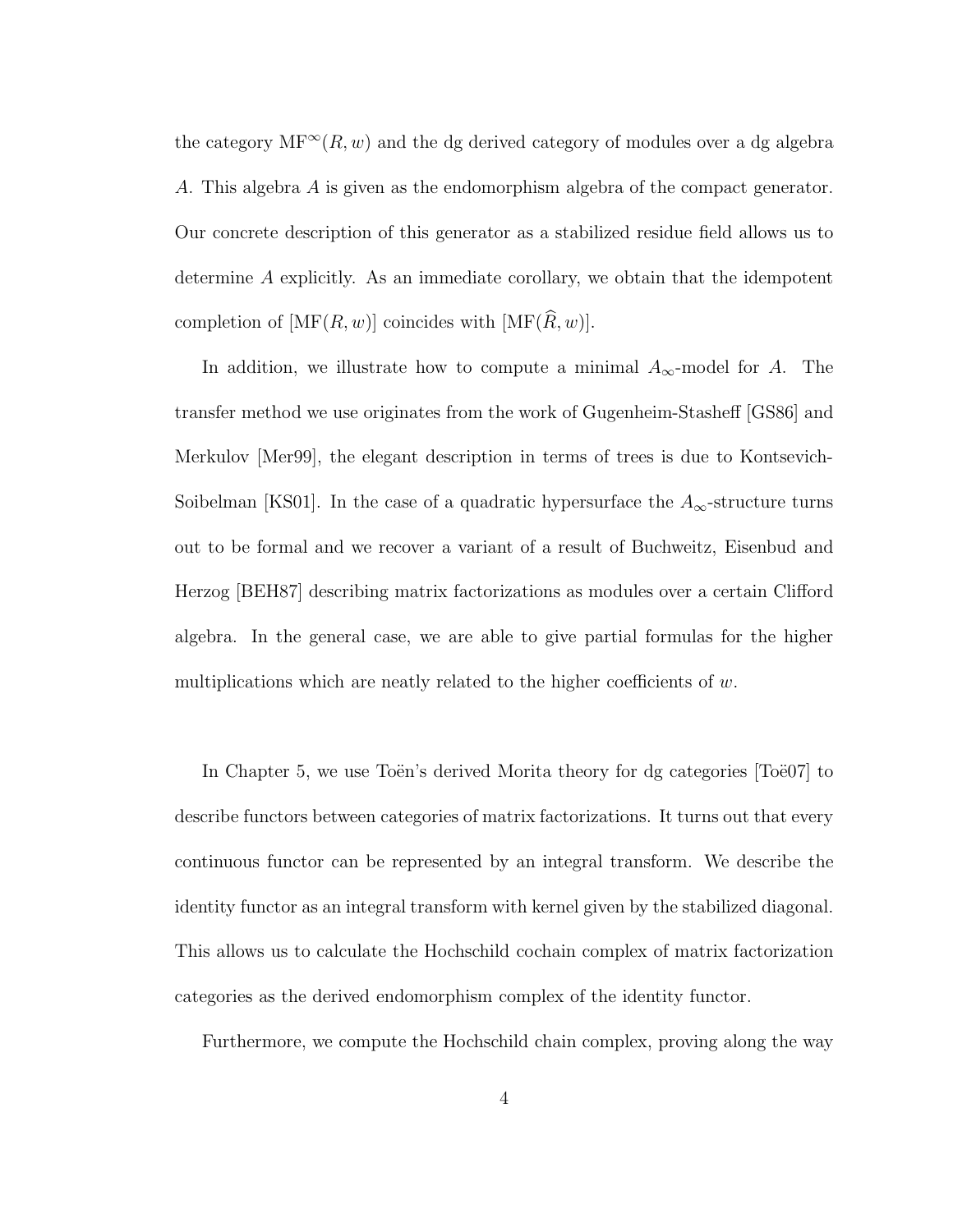the category  $MF^{\infty}(R, w)$  and the dg derived category of modules over a dg algebra A. This algebra A is given as the endomorphism algebra of the compact generator. Our concrete description of this generator as a stabilized residue field allows us to determine A explicitly. As an immediate corollary, we obtain that the idempotent completion of  $[\text{MF}(R, w)]$  coincides with  $[\text{MF}(\widehat{R}, w)]$ .

In addition, we illustrate how to compute a minimal  $A_{\infty}$ -model for A. The transfer method we use originates from the work of Gugenheim-Stasheff [GS86] and Merkulov [Mer99], the elegant description in terms of trees is due to Kontsevich-Soibelman [KS01]. In the case of a quadratic hypersurface the  $A_{\infty}$ -structure turns out to be formal and we recover a variant of a result of Buchweitz, Eisenbud and Herzog [BEH87] describing matrix factorizations as modules over a certain Clifford algebra. In the general case, we are able to give partial formulas for the higher multiplications which are neatly related to the higher coefficients of  $w$ .

In Chapter 5, we use Toen's derived Morita theory for dg categories [Toe07] to describe functors between categories of matrix factorizations. It turns out that every continuous functor can be represented by an integral transform. We describe the identity functor as an integral transform with kernel given by the stabilized diagonal. This allows us to calculate the Hochschild cochain complex of matrix factorization categories as the derived endomorphism complex of the identity functor.

Furthermore, we compute the Hochschild chain complex, proving along the way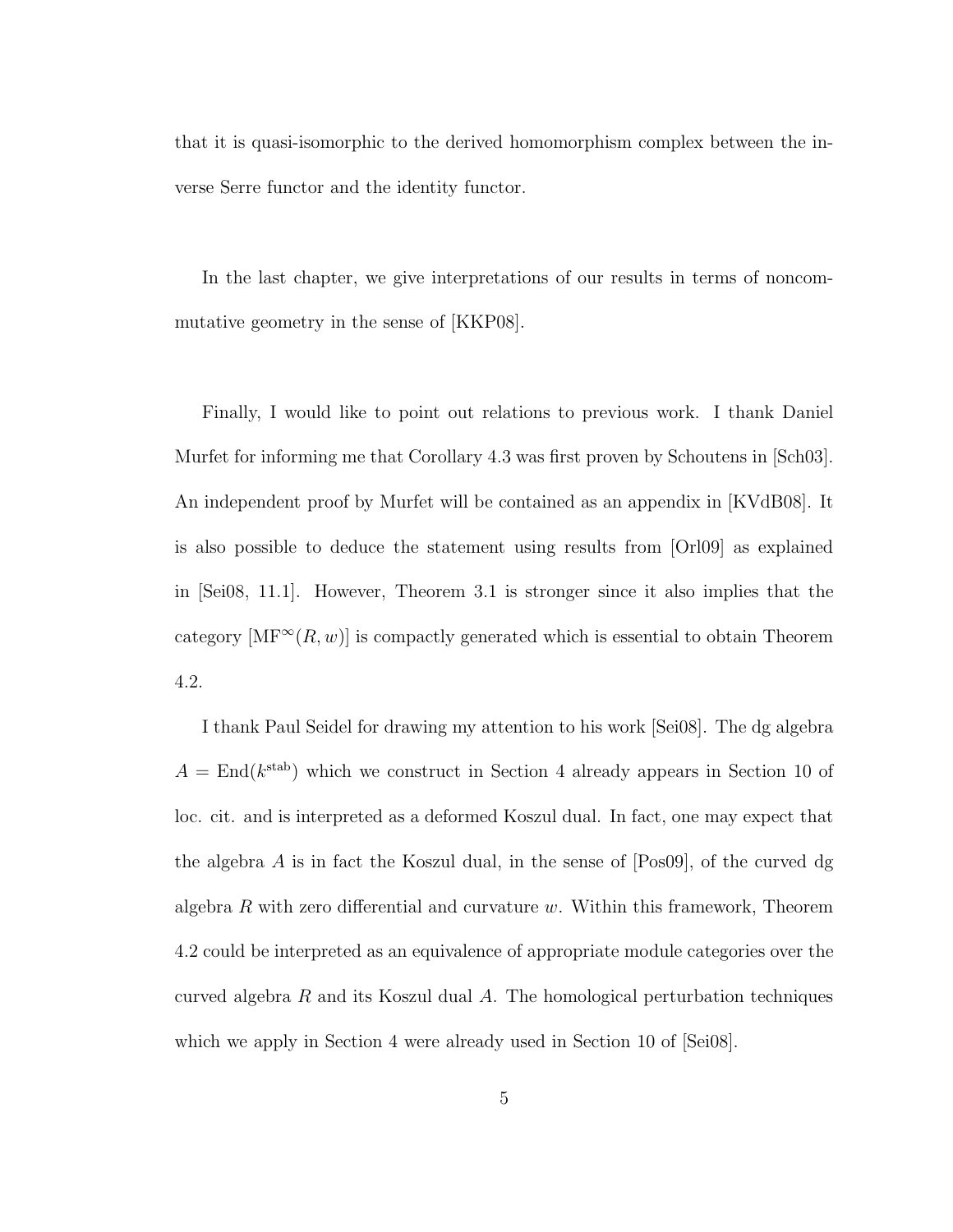that it is quasi-isomorphic to the derived homomorphism complex between the inverse Serre functor and the identity functor.

In the last chapter, we give interpretations of our results in terms of noncommutative geometry in the sense of [KKP08].

Finally, I would like to point out relations to previous work. I thank Daniel Murfet for informing me that Corollary 4.3 was first proven by Schoutens in [Sch03]. An independent proof by Murfet will be contained as an appendix in [KVdB08]. It is also possible to deduce the statement using results from [Orl09] as explained in [Sei08, 11.1]. However, Theorem 3.1 is stronger since it also implies that the category  $[\text{MF}^{\infty}(R, w)]$  is compactly generated which is essential to obtain Theorem 4.2.

I thank Paul Seidel for drawing my attention to his work [Sei08]. The dg algebra  $A = \text{End}(k^{\text{stab}})$  which we construct in Section 4 already appears in Section 10 of loc. cit. and is interpreted as a deformed Koszul dual. In fact, one may expect that the algebra  $A$  is in fact the Koszul dual, in the sense of  $[Pos09]$ , of the curved dg algebra  $R$  with zero differential and curvature  $w$ . Within this framework, Theorem 4.2 could be interpreted as an equivalence of appropriate module categories over the curved algebra  $R$  and its Koszul dual  $A$ . The homological perturbation techniques which we apply in Section 4 were already used in Section 10 of  $\text{[Sei08]}$ .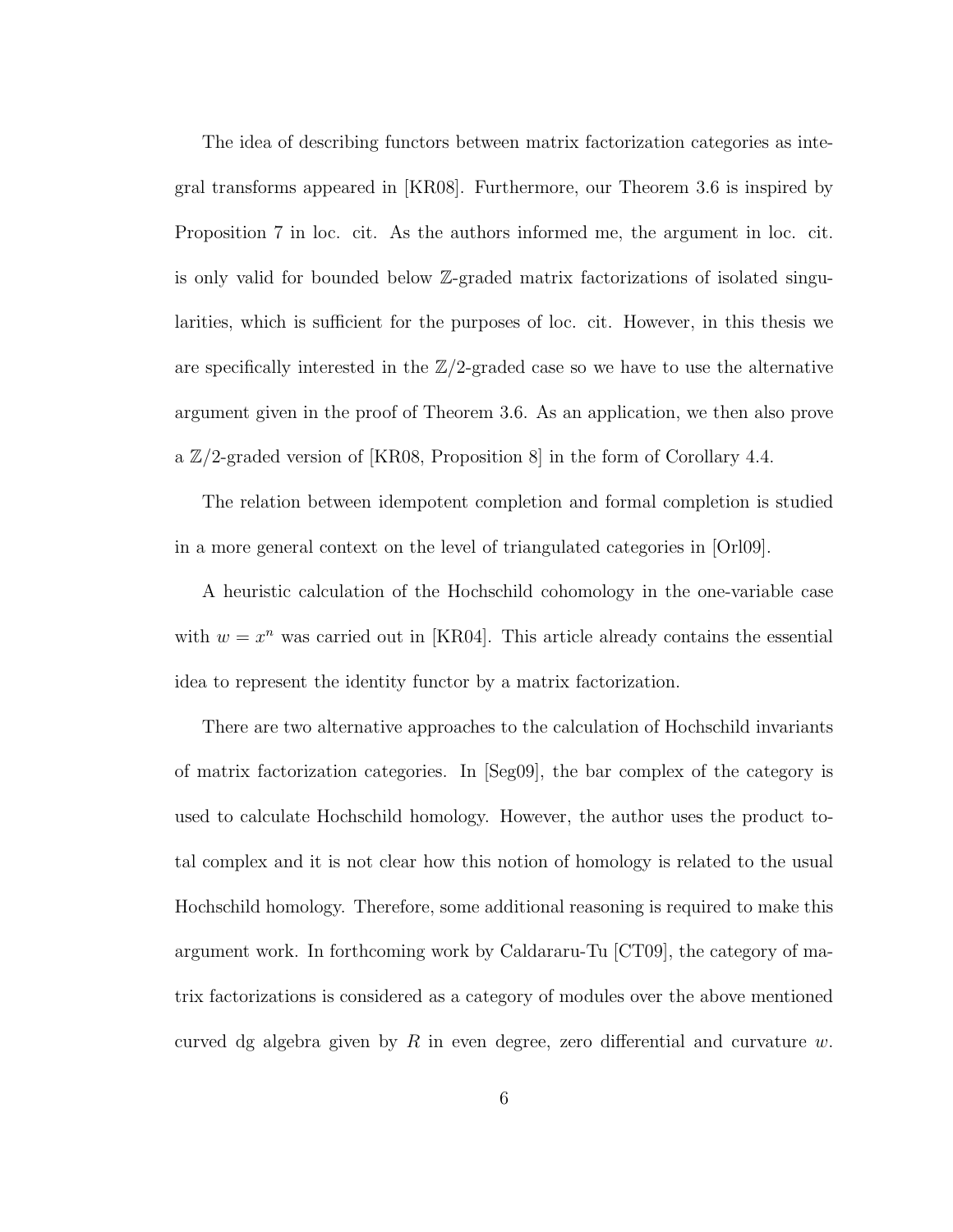The idea of describing functors between matrix factorization categories as integral transforms appeared in [KR08]. Furthermore, our Theorem 3.6 is inspired by Proposition 7 in loc. cit. As the authors informed me, the argument in loc. cit. is only valid for bounded below Z-graded matrix factorizations of isolated singularities, which is sufficient for the purposes of loc. cit. However, in this thesis we are specifically interested in the  $\mathbb{Z}/2$ -graded case so we have to use the alternative argument given in the proof of Theorem 3.6. As an application, we then also prove a  $\mathbb{Z}/2$ -graded version of [KR08, Proposition 8] in the form of Corollary 4.4.

The relation between idempotent completion and formal completion is studied in a more general context on the level of triangulated categories in [Orl09].

A heuristic calculation of the Hochschild cohomology in the one-variable case with  $w = x^n$  was carried out in [KR04]. This article already contains the essential idea to represent the identity functor by a matrix factorization.

There are two alternative approaches to the calculation of Hochschild invariants of matrix factorization categories. In [Seg09], the bar complex of the category is used to calculate Hochschild homology. However, the author uses the product total complex and it is not clear how this notion of homology is related to the usual Hochschild homology. Therefore, some additional reasoning is required to make this argument work. In forthcoming work by Caldararu-Tu [CT09], the category of matrix factorizations is considered as a category of modules over the above mentioned curved dg algebra given by R in even degree, zero differential and curvature  $w$ .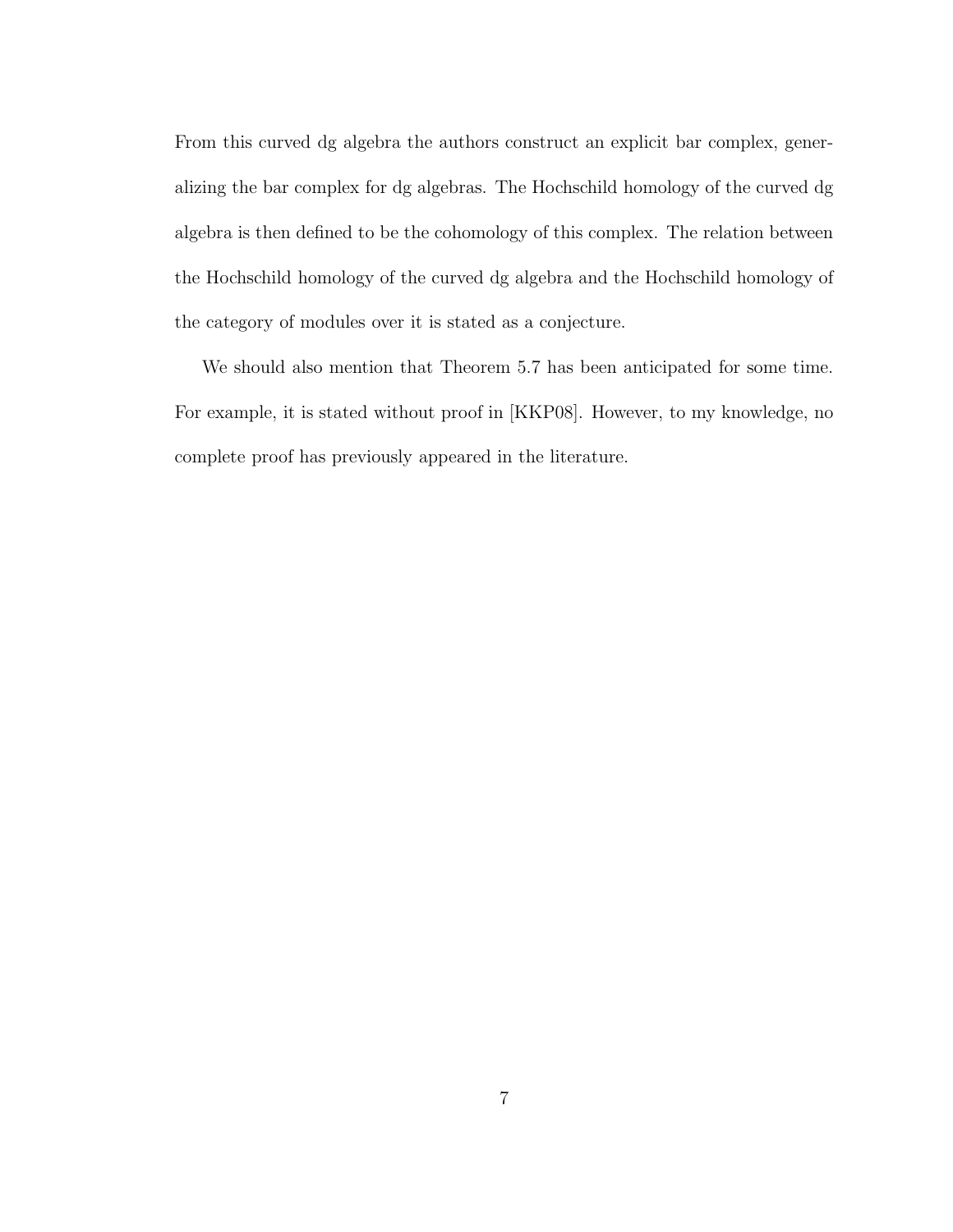From this curved dg algebra the authors construct an explicit bar complex, generalizing the bar complex for dg algebras. The Hochschild homology of the curved dg algebra is then defined to be the cohomology of this complex. The relation between the Hochschild homology of the curved dg algebra and the Hochschild homology of the category of modules over it is stated as a conjecture.

We should also mention that Theorem 5.7 has been anticipated for some time. For example, it is stated without proof in [KKP08]. However, to my knowledge, no complete proof has previously appeared in the literature.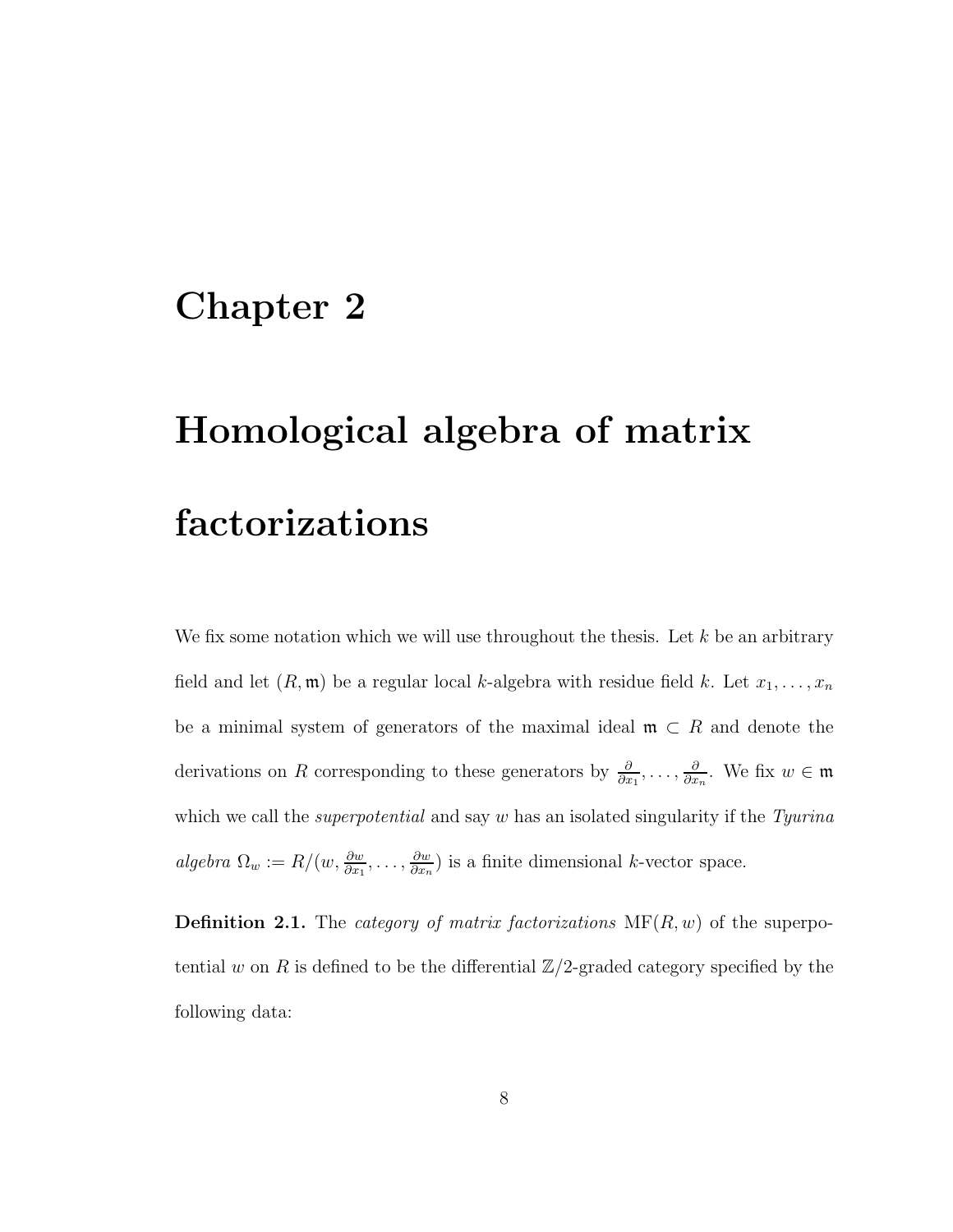## Chapter 2

## Homological algebra of matrix factorizations

We fix some notation which we will use throughout the thesis. Let  $k$  be an arbitrary field and let  $(R, \mathfrak{m})$  be a regular local k-algebra with residue field k. Let  $x_1, \ldots, x_n$ be a minimal system of generators of the maximal ideal  $\mathfrak{m} \subset R$  and denote the derivations on R corresponding to these generators by  $\frac{\partial}{\partial x_1}, \ldots, \frac{\partial}{\partial x_n}$  $\frac{\partial}{\partial x_n}$ . We fix  $w \in \mathfrak{m}$ which we call the *superpotential* and say w has an isolated singularity if the *Tyurina*  $algebra \Omega_w := R/(w, \frac{\partial w}{\partial x_1}, \dots, \frac{\partial w}{\partial x_n})$  $\frac{\partial w}{\partial x_n}$ ) is a finite dimensional k-vector space.

Definition 2.1. The *category of matrix factorizations* MF(R, w) of the superpotential w on R is defined to be the differential  $\mathbb{Z}/2$ -graded category specified by the following data: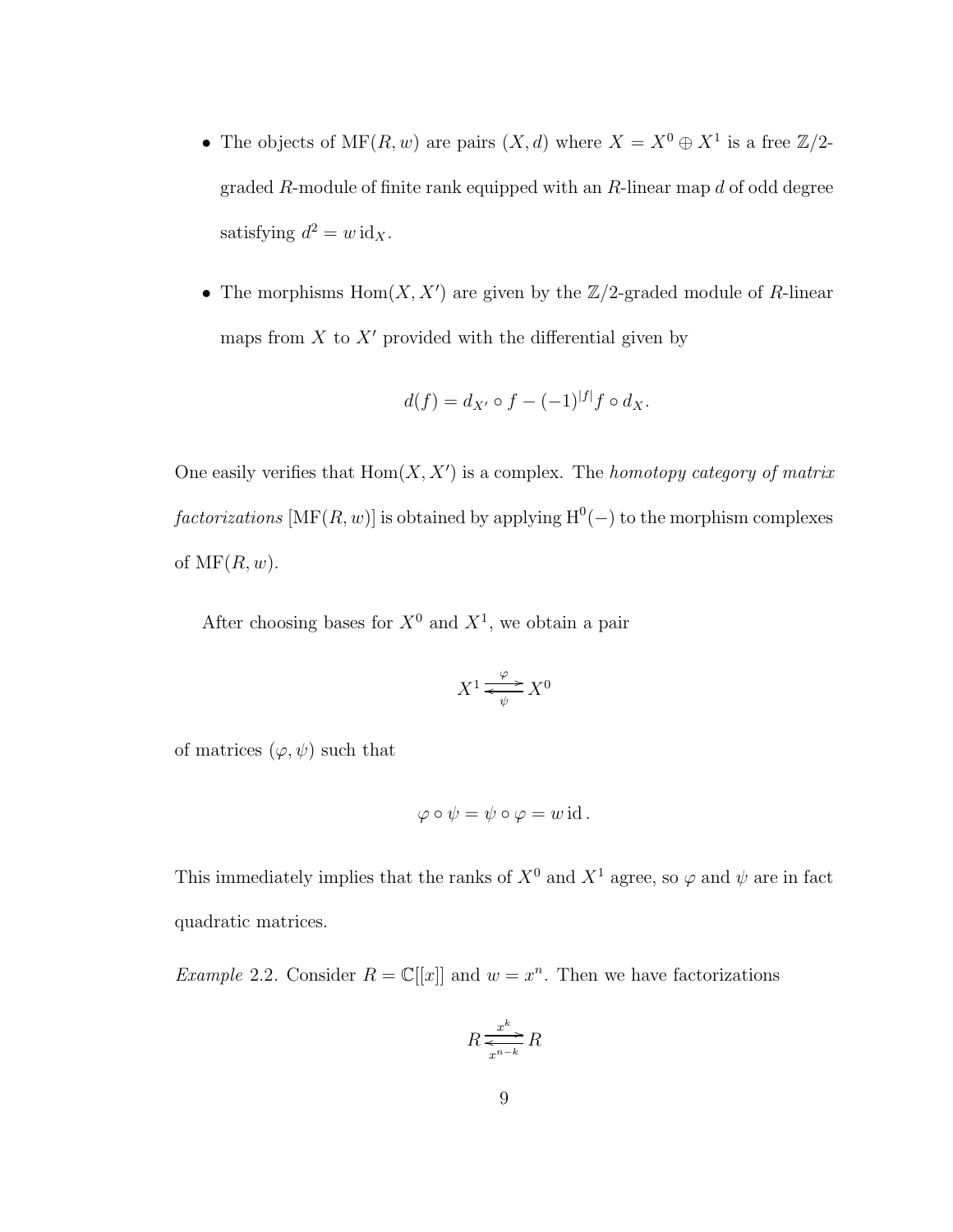- The objects of  $MF(R, w)$  are pairs  $(X, d)$  where  $X = X^0 \oplus X^1$  is a free  $\mathbb{Z}/2$ graded  $R$ -module of finite rank equipped with an  $R$ -linear map  $d$  of odd degree satisfying  $d^2 = w \, \mathrm{id}_X$ .
- The morphisms  $Hom(X, X')$  are given by the  $\mathbb{Z}/2$ -graded module of R-linear maps from  $X$  to  $X'$  provided with the differential given by

$$
d(f) = d_{X'} \circ f - (-1)^{|f|} f \circ d_X.
$$

One easily verifies that Hom(X, X′ ) is a complex. The *homotopy category of matrix*  $factorizations \left[ MF(R, w) \right]$  is obtained by applying  $H^0(-)$  to the morphism complexes of  $\mathrm{MF}(R, w)$ .

After choosing bases for  $X^0$  and  $X^1$ , we obtain a pair

$$
X^1 \xrightarrow{\varphi} X^0
$$

of matrices  $(\varphi, \psi)$  such that

$$
\varphi \circ \psi = \psi \circ \varphi = w \operatorname{id}.
$$

This immediately implies that the ranks of  $X^0$  and  $X^1$  agree, so  $\varphi$  and  $\psi$  are in fact quadratic matrices.

*Example* 2.2. Consider  $R = \mathbb{C}[[x]]$  and  $w = x^n$ . Then we have factorizations

$$
R \xrightarrow[x^{n-k}]{x^k} R
$$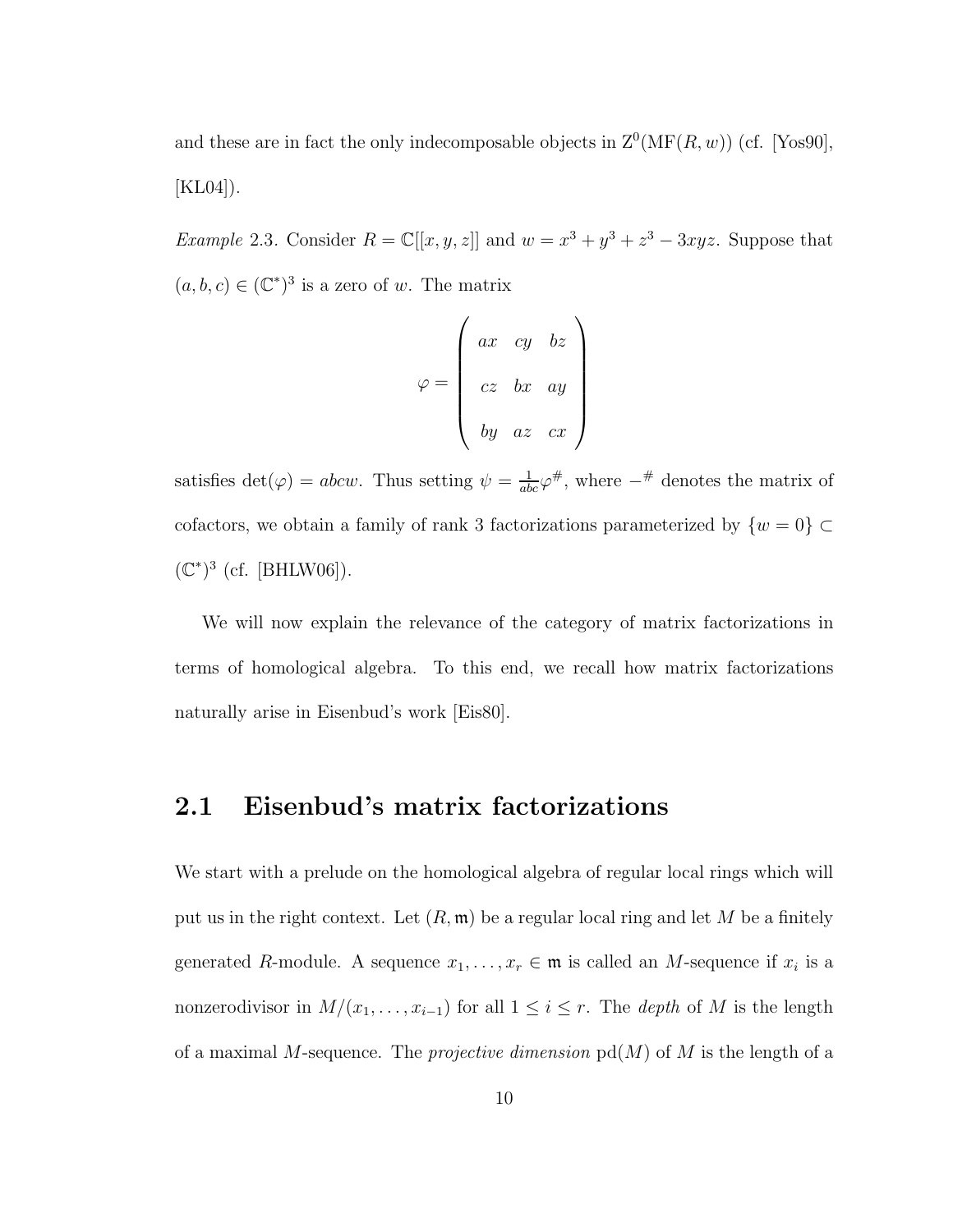and these are in fact the only indecomposable objects in  $\mathbb{Z}^0(\mathrm{MF}(R,w))$  (cf. [Yos90], [KL04]).

*Example* 2.3. Consider  $R = \mathbb{C}[[x, y, z]]$  and  $w = x^3 + y^3 + z^3 - 3xyz$ . Suppose that  $(a, b, c) \in (\mathbb{C}^*)^3$  is a zero of w. The matrix

$$
\varphi = \begin{pmatrix} ax & cy & bz \\ cz & bx & ay \\ by & az & cx \end{pmatrix}
$$

satisfies  $\det(\varphi) = abcw$ . Thus setting  $\psi = \frac{1}{abc}\varphi^{\#}$ , where  $-\#$  denotes the matrix of cofactors, we obtain a family of rank 3 factorizations parameterized by  $\{w = 0\} \subset$  $(\mathbb{C}^*)^3$  (cf. [BHLW06]).

We will now explain the relevance of the category of matrix factorizations in terms of homological algebra. To this end, we recall how matrix factorizations naturally arise in Eisenbud's work [Eis80].

### 2.1 Eisenbud's matrix factorizations

We start with a prelude on the homological algebra of regular local rings which will put us in the right context. Let  $(R, \mathfrak{m})$  be a regular local ring and let M be a finitely generated R-module. A sequence  $x_1, \ldots, x_r \in \mathfrak{m}$  is called an M-sequence if  $x_i$  is a nonzerodivisor in  $M/(x_1, \ldots, x_{i-1})$  for all  $1 \leq i \leq r$ . The *depth* of M is the length of a maximal M-sequence. The *projective dimension* pd(M) of M is the length of a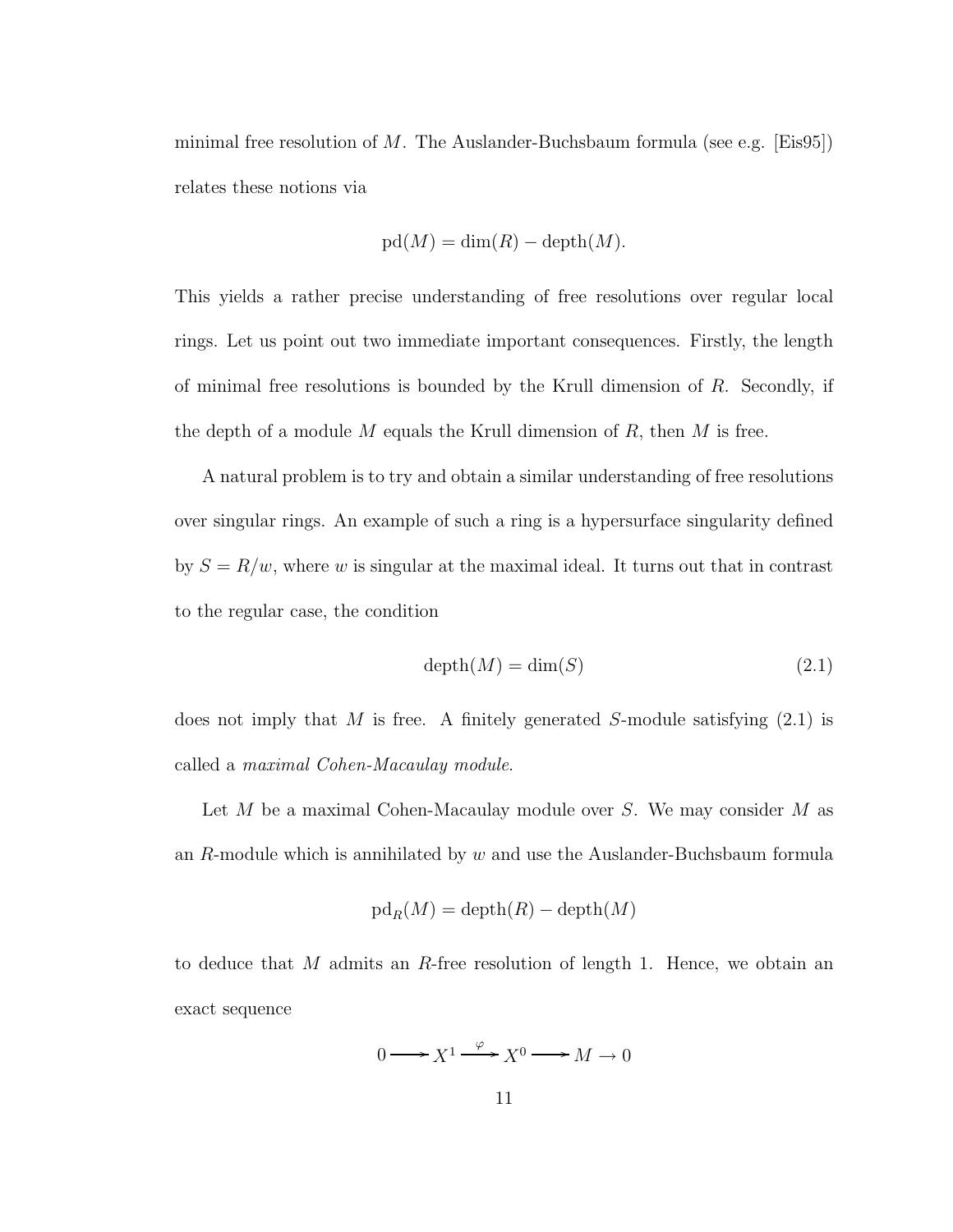minimal free resolution of M. The Auslander-Buchsbaum formula (see e.g.  $\text{[Eis95]}$ ) relates these notions via

$$
pd(M) = dim(R) - depth(M).
$$

This yields a rather precise understanding of free resolutions over regular local rings. Let us point out two immediate important consequences. Firstly, the length of minimal free resolutions is bounded by the Krull dimension of  $R$ . Secondly, if the depth of a module M equals the Krull dimension of  $R$ , then  $M$  is free.

A natural problem is to try and obtain a similar understanding of free resolutions over singular rings. An example of such a ring is a hypersurface singularity defined by  $S = R/w$ , where w is singular at the maximal ideal. It turns out that in contrast to the regular case, the condition

$$
depth(M) = dim(S)
$$
\n(2.1)

does not imply that M is free. A finitely generated S-module satisfying  $(2.1)$  is called a *maximal Cohen-Macaulay module*.

Let  $M$  be a maximal Cohen-Macaulay module over  $S$ . We may consider  $M$  as an  $R$ -module which is annihilated by  $w$  and use the Auslander-Buchsbaum formula

$$
\mathrm{pd}_R(M)=\mathrm{depth}(R)-\mathrm{depth}(M)
$$

to deduce that M admits an R-free resolution of length 1. Hence, we obtain an exact sequence

$$
0 \longrightarrow X^1 \xrightarrow{\varphi} X^0 \longrightarrow M \to 0
$$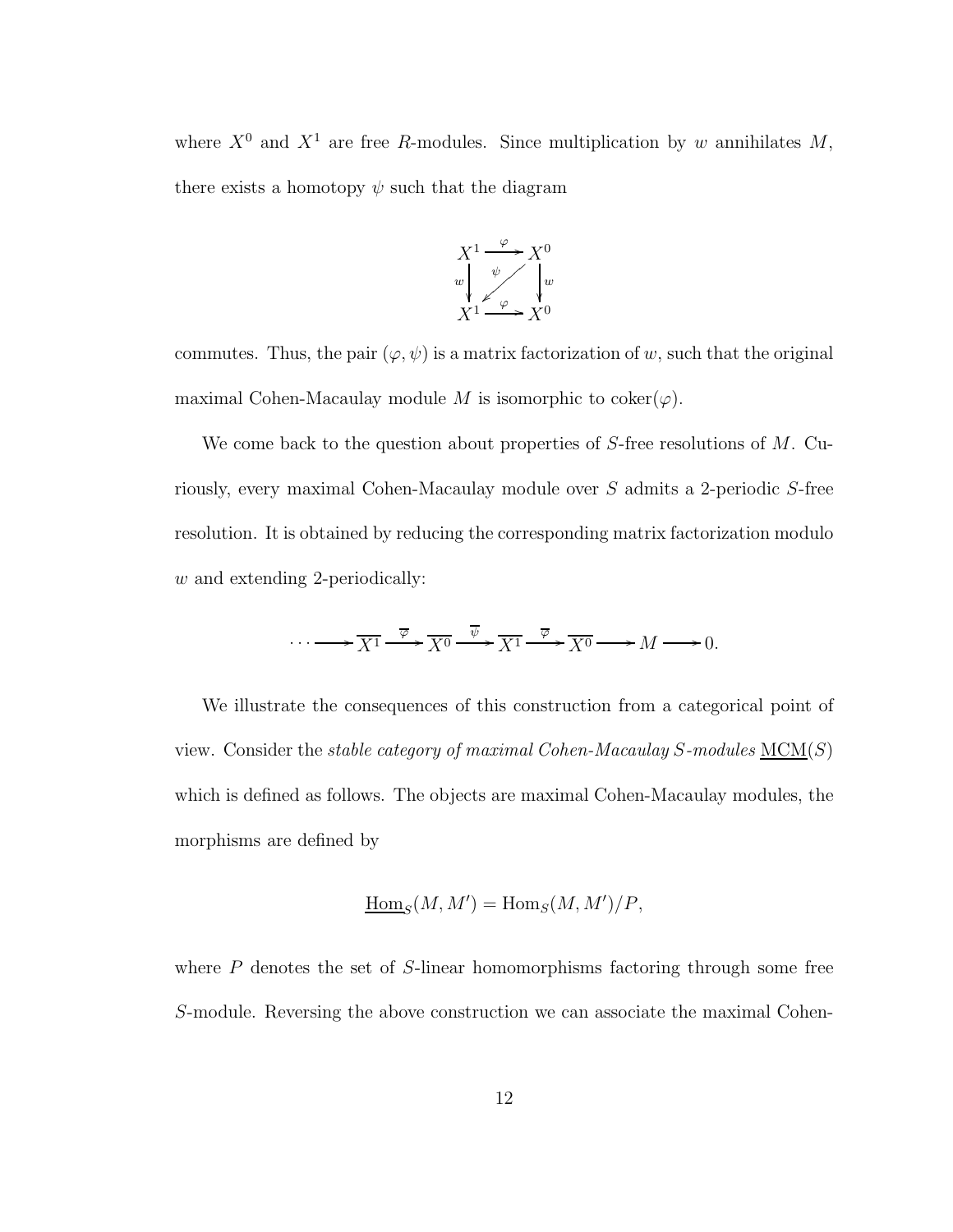where  $X^0$  and  $X^1$  are free R-modules. Since multiplication by w annihilates M, there exists a homotopy  $\psi$  such that the diagram



commutes. Thus, the pair  $(\varphi, \psi)$  is a matrix factorization of w, such that the original maximal Cohen-Macaulay module M is isomorphic to coker $(\varphi)$ .

We come back to the question about properties of S-free resolutions of M. Curiously, every maximal Cohen-Macaulay module over S admits a 2-periodic S-free resolution. It is obtained by reducing the corresponding matrix factorization modulo w and extending 2-periodically:

$$
\cdots \longrightarrow \overline{X^1} \xrightarrow{\overline{\varphi}} \overline{X^0} \xrightarrow{\overline{\psi}} \overline{X^1} \xrightarrow{\overline{\varphi}} \overline{X^0} \longrightarrow M \longrightarrow 0.
$$

We illustrate the consequences of this construction from a categorical point of view. Consider the *stable category of maximal Cohen-Macaulay* S*-modules* MCM(S) which is defined as follows. The objects are maximal Cohen-Macaulay modules, the morphisms are defined by

$$
\underline{\mathrm{Hom}}_S(M, M') = \mathrm{Hom}_S(M, M')/P,
$$

where  $P$  denotes the set of  $S$ -linear homomorphisms factoring through some free S-module. Reversing the above construction we can associate the maximal Cohen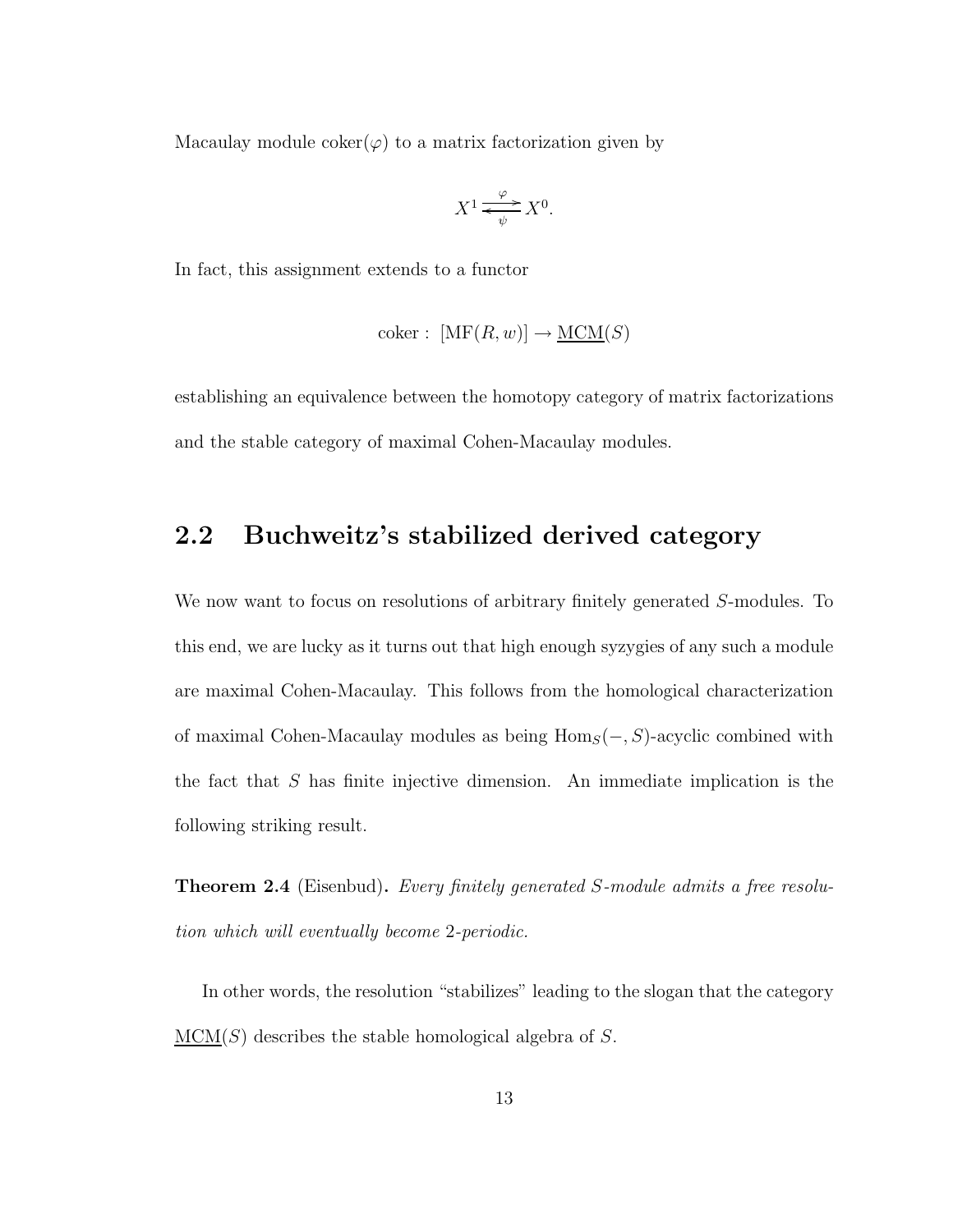Macaulay module  $\operatorname{coker}(\varphi)$  to a matrix factorization given by

$$
X^1 \xrightarrow{\varphi} X^0.
$$

In fact, this assignment extends to a functor

$$
coker: [MF(R, w)] \to \underline{MCM}(S)
$$

establishing an equivalence between the homotopy category of matrix factorizations and the stable category of maximal Cohen-Macaulay modules.

### 2.2 Buchweitz's stabilized derived category

We now want to focus on resolutions of arbitrary finitely generated S-modules. To this end, we are lucky as it turns out that high enough syzygies of any such a module are maximal Cohen-Macaulay. This follows from the homological characterization of maximal Cohen-Macaulay modules as being  $Hom_S(-, S)$ -acyclic combined with the fact that S has finite injective dimension. An immediate implication is the following striking result.

Theorem 2.4 (Eisenbud). *Every finitely generated* S*-module admits a free resolution which will eventually become* 2*-periodic.*

In other words, the resolution "stabilizes" leading to the slogan that the category  $MCM(S)$  describes the stable homological algebra of S.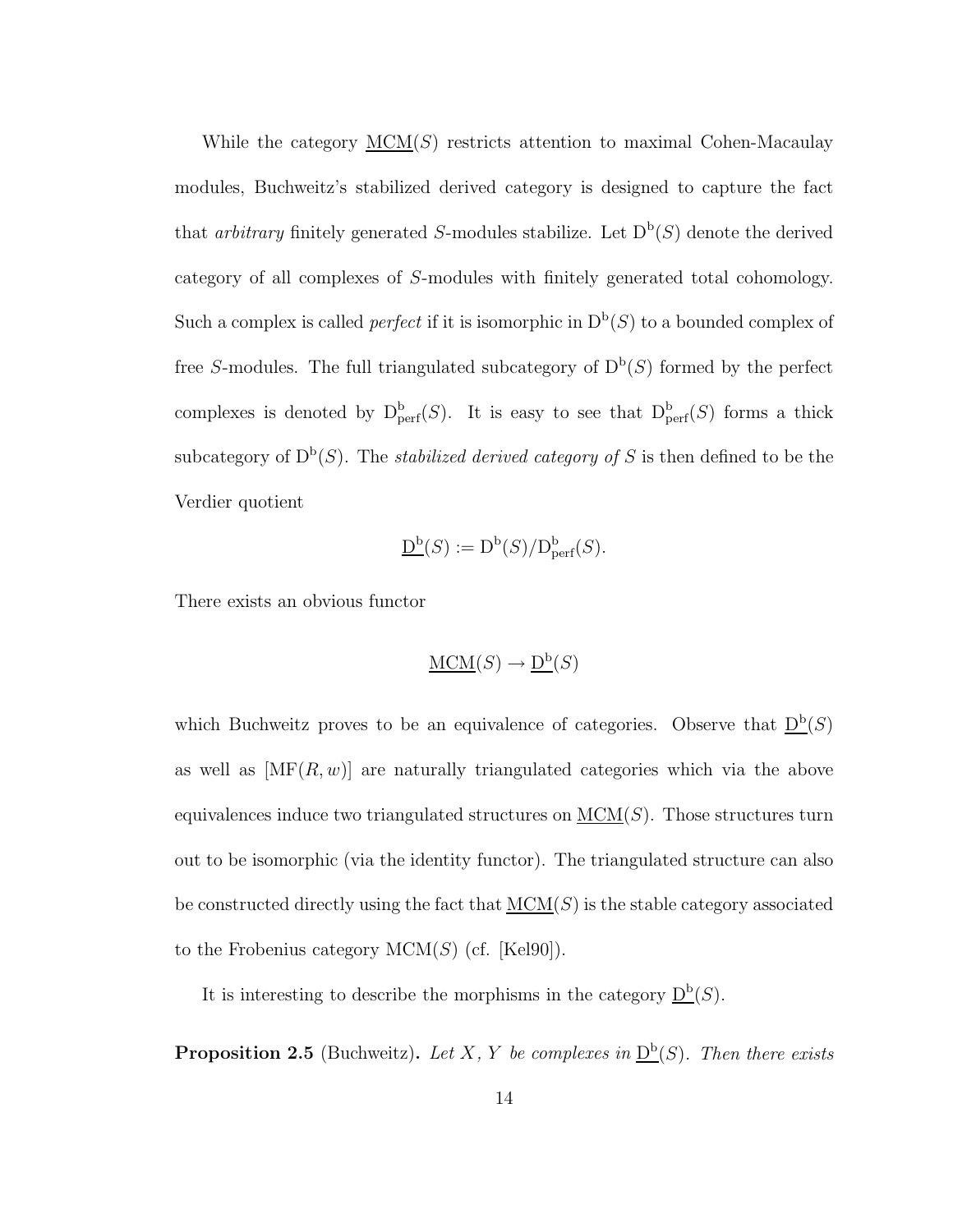While the category  $MCM(S)$  restricts attention to maximal Cohen-Macaulay modules, Buchweitz's stabilized derived category is designed to capture the fact that *arbitrary* finitely generated S-modules stabilize. Let  $D^b(S)$  denote the derived category of all complexes of S-modules with finitely generated total cohomology. Such a complex is called *perfect* if it is isomorphic in  $D<sup>b</sup>(S)$  to a bounded complex of free S-modules. The full triangulated subcategory of  $D<sup>b</sup>(S)$  formed by the perfect complexes is denoted by  $D^b_{\text{perf}}(S)$ . It is easy to see that  $D^b_{\text{perf}}(S)$  forms a thick subcategory of  $D^b(S)$ . The *stabilized derived category of* S is then defined to be the Verdier quotient

$$
\underline{\mathsf{D}^{\mathrm{b}}}(S) := \mathsf{D}^{\mathrm{b}}(S)/\mathsf{D}^{\mathrm{b}}_{\mathrm{perf}}(S).
$$

There exists an obvious functor

$$
\underline{\mathrm{MCM}}(S) \to \underline{\mathrm{D}^{\mathrm{b}}}(S)
$$

which Buchweitz proves to be an equivalence of categories. Observe that  $D^b(S)$ as well as  $[\text{MF}(R, w)]$  are naturally triangulated categories which via the above equivalences induce two triangulated structures on  $MCM(S)$ . Those structures turn out to be isomorphic (via the identity functor). The triangulated structure can also be constructed directly using the fact that  $MCM(S)$  is the stable category associated to the Frobenius category  $MCM(S)$  (cf. [Kel90]).

It is interesting to describe the morphisms in the category  $D^b(S)$ .

**Proposition 2.5** (Buchweitz). Let X, Y be complexes in  $D^b(S)$ . Then there exists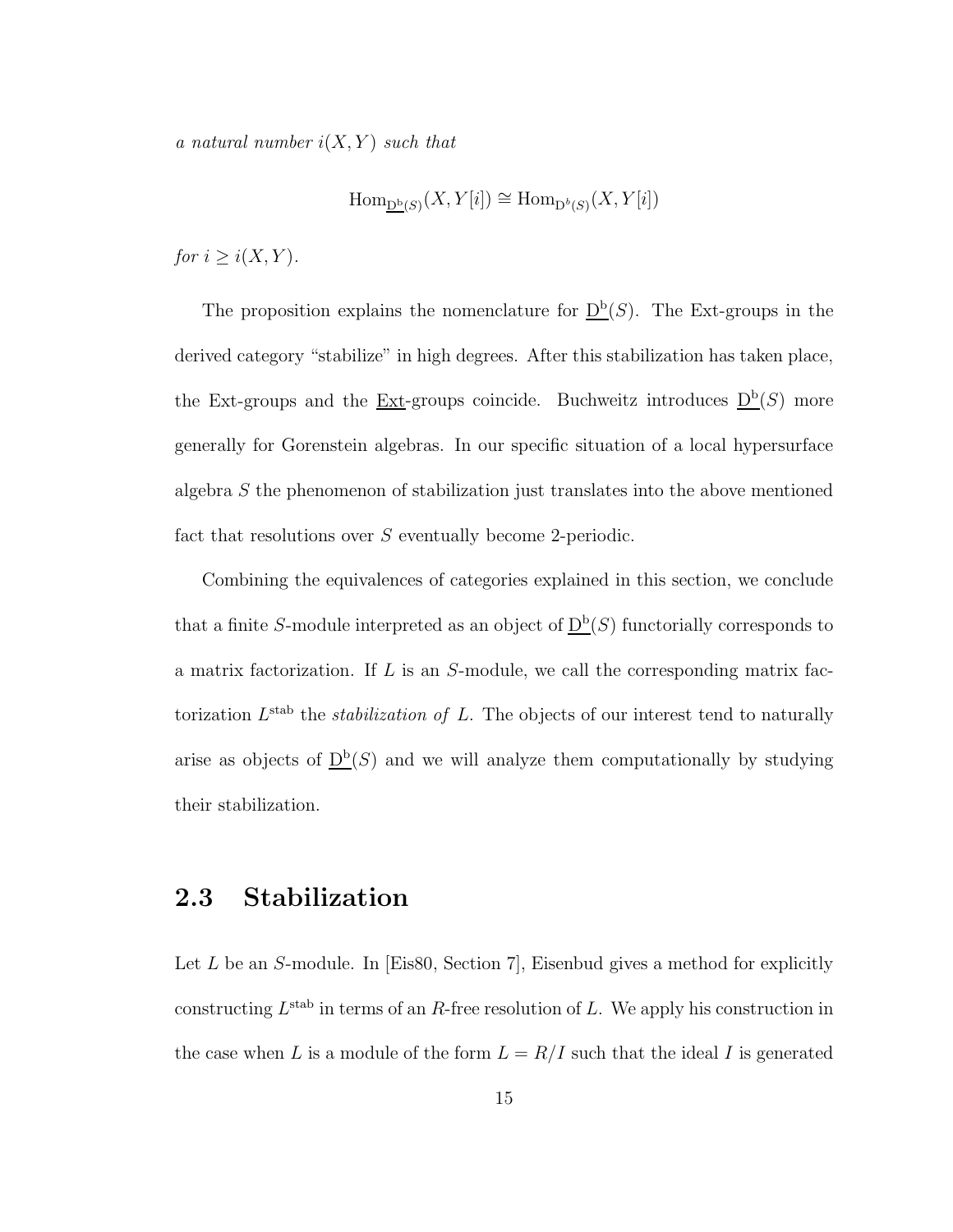*a natural number*  $i(X, Y)$  *such that* 

$$
\operatorname{Hom}_{\underline{\mathbf{D}^{\mathrm{b}}}(S)}(X,Y[i])\cong \operatorname{Hom}_{\mathbf{D}^{\mathrm{b}}(S)}(X,Y[i])
$$

*for*  $i \geq i(X, Y)$ *.* 

The proposition explains the nomenclature for  $D^b(S)$ . The Ext-groups in the derived category "stabilize" in high degrees. After this stabilization has taken place, the Ext-groups and the <u>Ext</u>-groups coincide. Buchweitz introduces  $D^b(S)$  more generally for Gorenstein algebras. In our specific situation of a local hypersurface algebra S the phenomenon of stabilization just translates into the above mentioned fact that resolutions over S eventually become 2-periodic.

Combining the equivalences of categories explained in this section, we conclude that a finite S-module interpreted as an object of  $D^b(S)$  functorially corresponds to a matrix factorization. If  $L$  is an  $S$ -module, we call the corresponding matrix factorization  $L^{\text{stab}}$  the *stabilization of* L. The objects of our interest tend to naturally arise as objects of  $D^b(S)$  and we will analyze them computationally by studying their stabilization.

### 2.3 Stabilization

Let  $L$  be an  $S$ -module. In [Eis80, Section 7], Eisenbud gives a method for explicitly constructing  $L^{\text{stab}}$  in terms of an R-free resolution of L. We apply his construction in the case when L is a module of the form  $L = R/I$  such that the ideal I is generated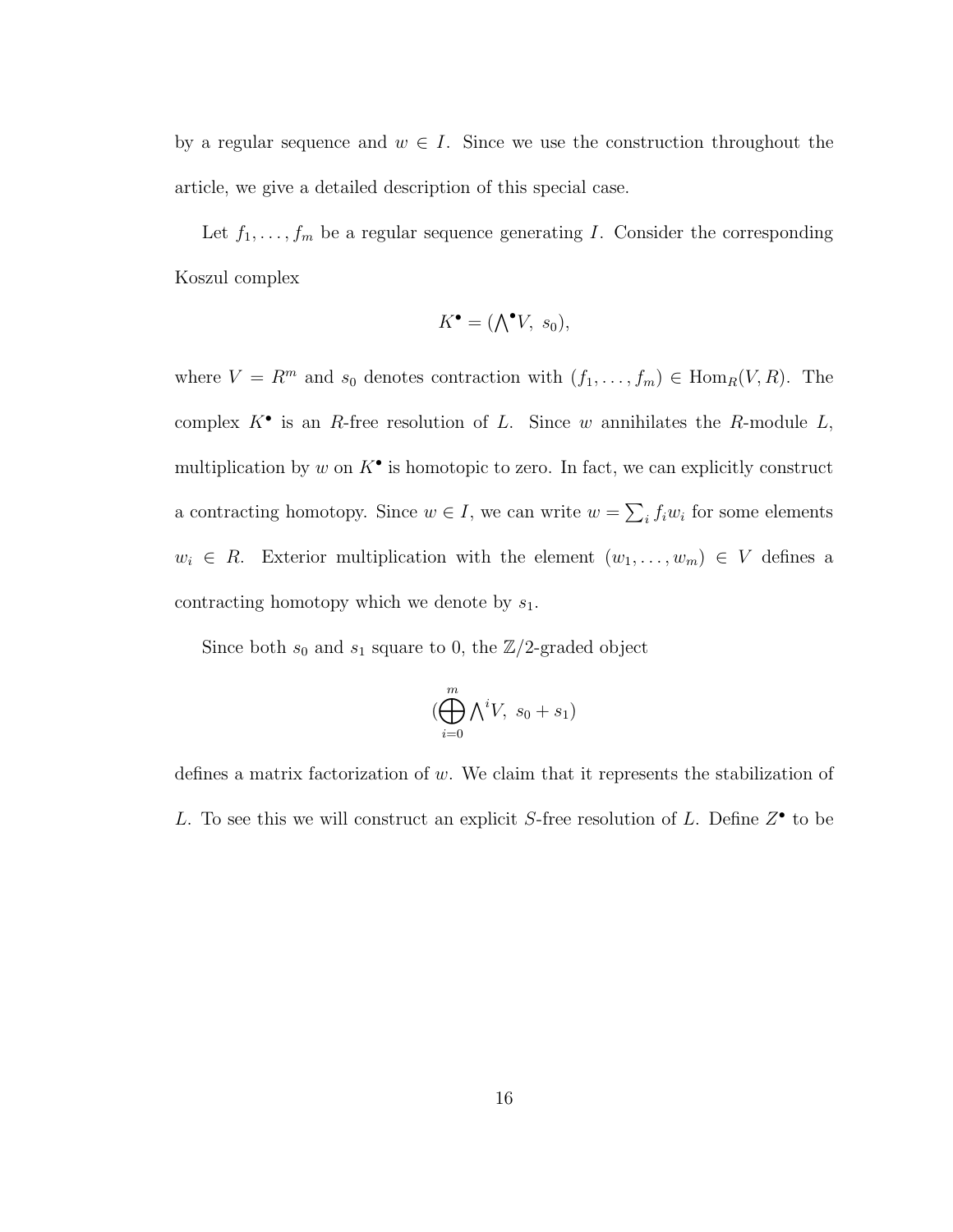by a regular sequence and  $w \in I$ . Since we use the construction throughout the article, we give a detailed description of this special case.

Let  $f_1, \ldots, f_m$  be a regular sequence generating I. Consider the corresponding Koszul complex

$$
K^{\bullet} = (\bigwedge^{\bullet} V, s_0),
$$

where  $V = R^m$  and  $s_0$  denotes contraction with  $(f_1, \ldots, f_m) \in \text{Hom}_R(V, R)$ . The complex  $K^{\bullet}$  is an R-free resolution of L. Since w annihilates the R-module L, multiplication by w on  $K^{\bullet}$  is homotopic to zero. In fact, we can explicitly construct a contracting homotopy. Since  $w \in I$ , we can write  $w = \sum_i f_i w_i$  for some elements  $w_i \in R$ . Exterior multiplication with the element  $(w_1, \ldots, w_m) \in V$  defines a contracting homotopy which we denote by  $s_1$ .

Since both  $s_0$  and  $s_1$  square to 0, the  $\mathbb{Z}/2$ -graded object

$$
(\bigoplus_{i=0}^m \bigwedge^i V, \ s_0 + s_1)
$$

defines a matrix factorization of  $w$ . We claim that it represents the stabilization of L. To see this we will construct an explicit S-free resolution of L. Define  $Z^{\bullet}$  to be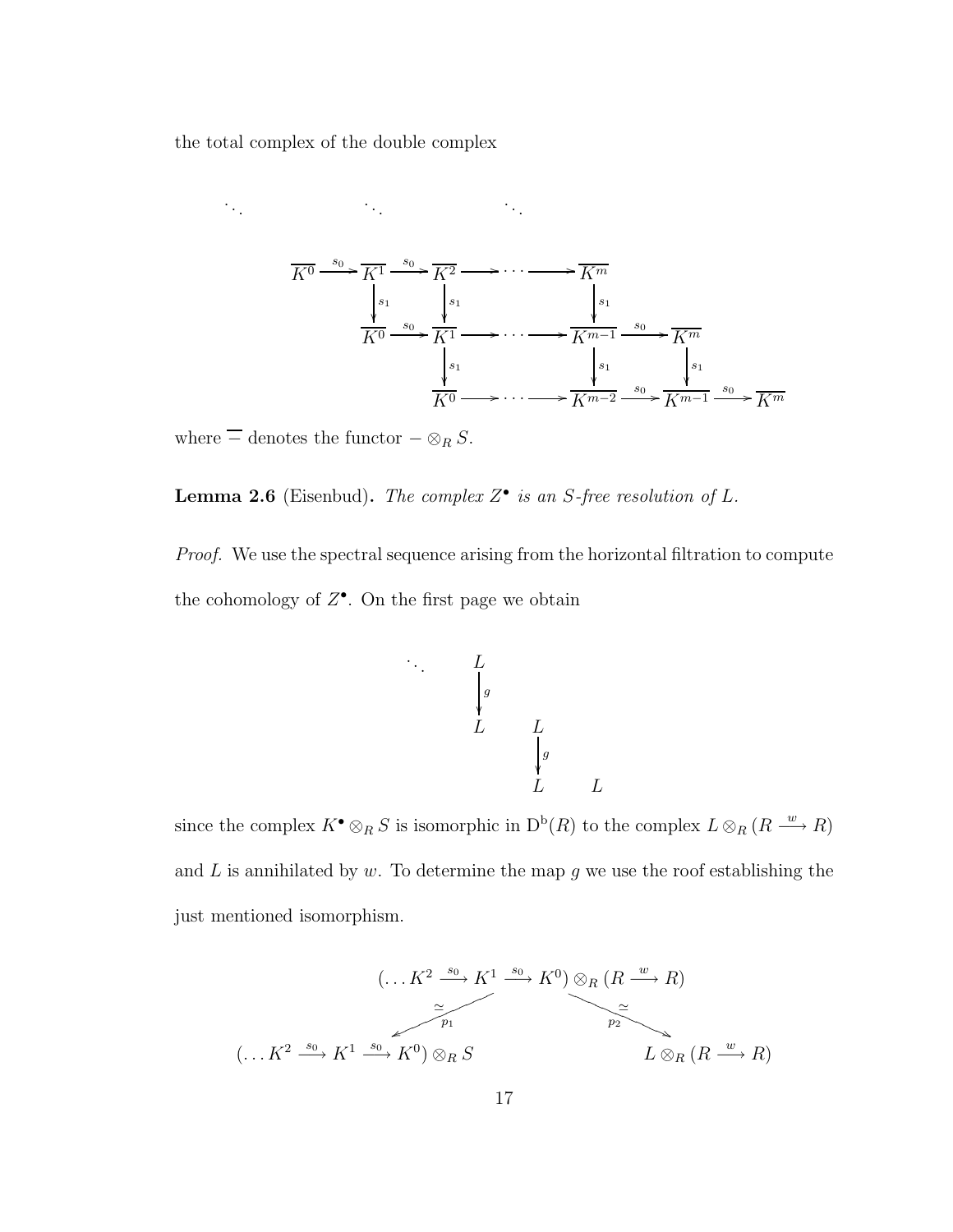the total complex of the double complex



where  $\equiv$  denotes the functor  $-\otimes_R S$ .

Lemma 2.6 (Eisenbud). *The complex* Z • *is an* S*-free resolution of* L*.*

. .

*Proof.* We use the spectral sequence arising from the horizontal filtration to compute the cohomology of  $Z^{\bullet}$ . On the first page we obtain

$$
\begin{array}{ccccc}\n & & L & & \\
 & & g & & \\
 & & L & & \\
 & & L & & \\
 & & & g & \\
 & & & L & \\
 & & & L & \\
\end{array}
$$

 $L$ 

since the complex  $K^{\bullet} \otimes_R S$  is isomorphic in  $D^b(R)$  to the complex  $L \otimes_R (R \stackrel{w}{\longrightarrow} R)$ and  $L$  is annihilated by  $w$ . To determine the map  $g$  we use the roof establishing the just mentioned isomorphism.

$$
(\ldots K^2 \xrightarrow{s_0} K^1 \xrightarrow{s_0} K^0) \otimes_R (R \xrightarrow{w} R)
$$
  

$$
\xrightarrow{\simeq} \qquad \qquad \simeq
$$
  

$$
(\ldots K^2 \xrightarrow{s_0} K^1 \xrightarrow{s_0} K^0) \otimes_R S
$$
  

$$
L \otimes_R (R \xrightarrow{w} R)
$$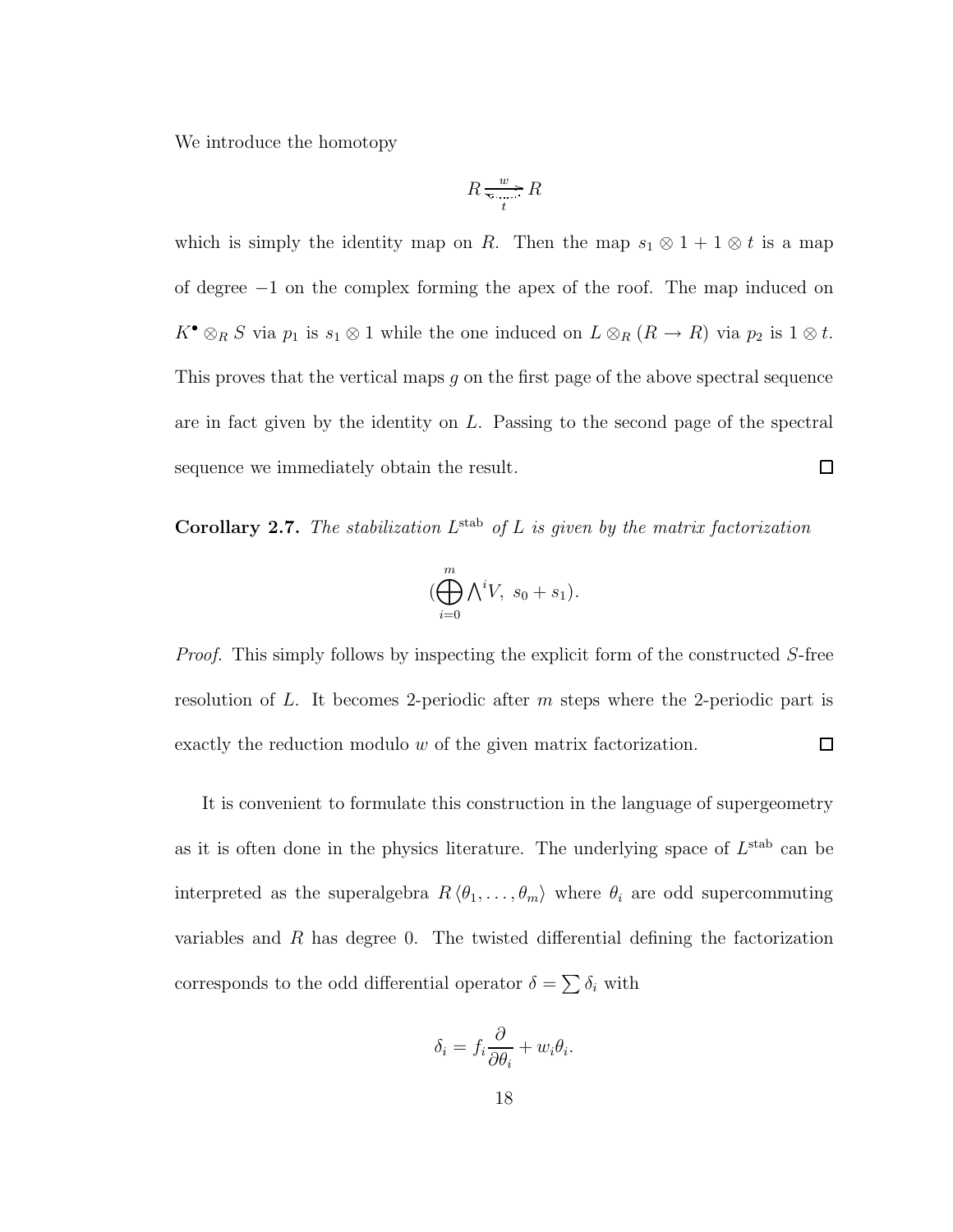We introduce the homotopy

$$
R \xrightarrow[t]{w} R
$$

which is simply the identity map on R. Then the map  $s_1 \otimes 1 + 1 \otimes t$  is a map of degree −1 on the complex forming the apex of the roof. The map induced on  $K^{\bullet} \otimes_R S$  via  $p_1$  is  $s_1 \otimes 1$  while the one induced on  $L \otimes_R (R \to R)$  via  $p_2$  is  $1 \otimes t$ . This proves that the vertical maps g on the first page of the above spectral sequence are in fact given by the identity on L. Passing to the second page of the spectral  $\Box$ sequence we immediately obtain the result.

**Corollary 2.7.** The stabilization  $L^{\text{stab}}$  of L is given by the matrix factorization

$$
(\bigoplus_{i=0}^{m} \bigwedge^{i} V, s_0 + s_1).
$$

*Proof.* This simply follows by inspecting the explicit form of the constructed S-free resolution of L. It becomes 2-periodic after m steps where the 2-periodic part is exactly the reduction modulo w of the given matrix factorization.  $\Box$ 

It is convenient to formulate this construction in the language of supergeometry as it is often done in the physics literature. The underlying space of  $L^{\text{stab}}$  can be interpreted as the superalgebra  $R \langle \theta_1, \ldots, \theta_m \rangle$  where  $\theta_i$  are odd supercommuting variables and R has degree 0. The twisted differential defining the factorization corresponds to the odd differential operator  $\delta = \sum \delta_i$  with

$$
\delta_i = f_i \frac{\partial}{\partial \theta_i} + w_i \theta_i.
$$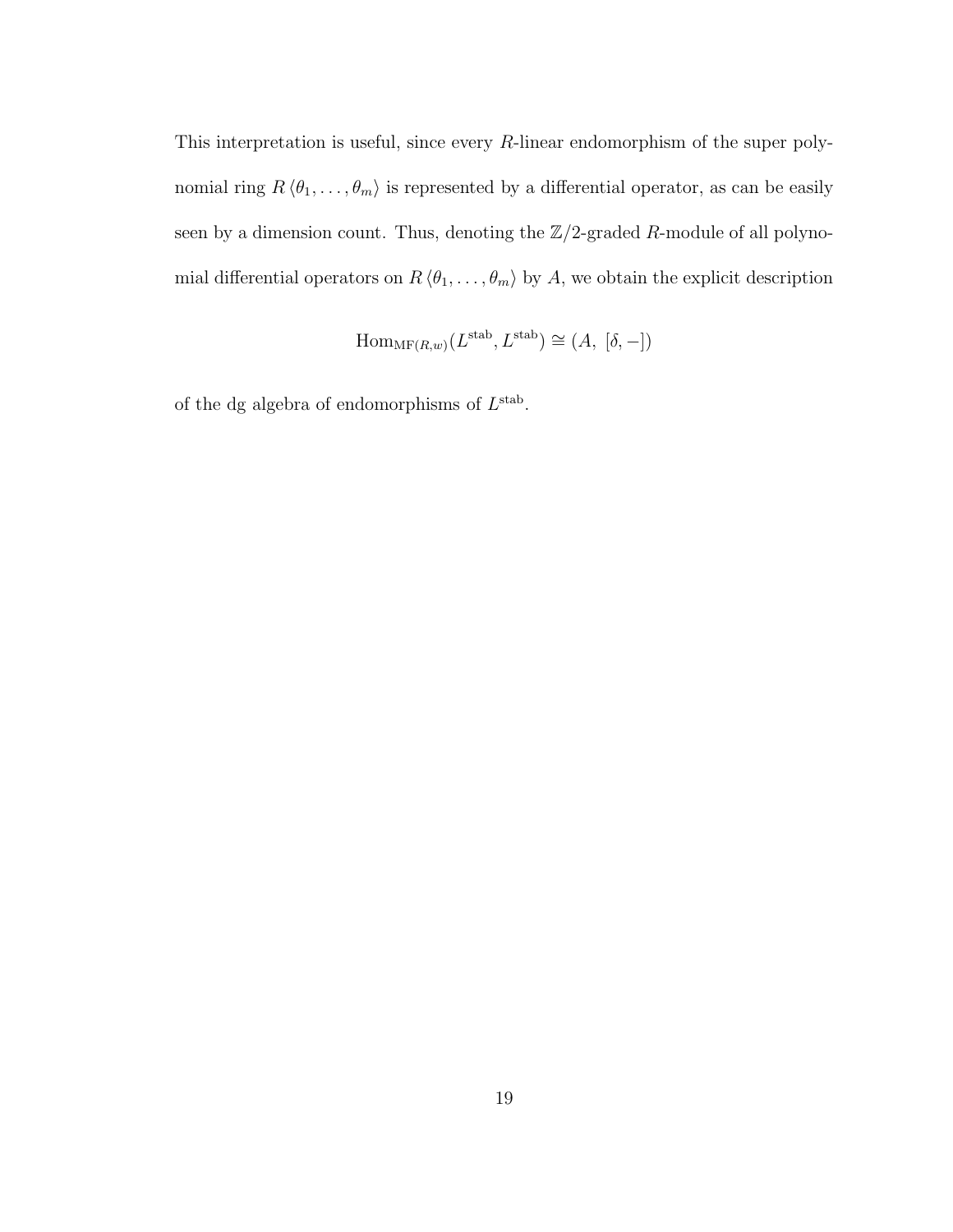This interpretation is useful, since every R-linear endomorphism of the super polynomial ring  $R \langle \theta_1, \ldots, \theta_m \rangle$  is represented by a differential operator, as can be easily seen by a dimension count. Thus, denoting the  $\mathbb{Z}/2$ -graded R-module of all polynomial differential operators on  $R \langle \theta_1, \ldots, \theta_m \rangle$  by A, we obtain the explicit description

$$
\mathrm{Hom}_{\mathrm{MF}(R,w)}(L^{\text{stab}}, L^{\text{stab}}) \cong (A, [\delta, -])
$$

of the dg algebra of endomorphisms of  $L^{\text{stab}}$ .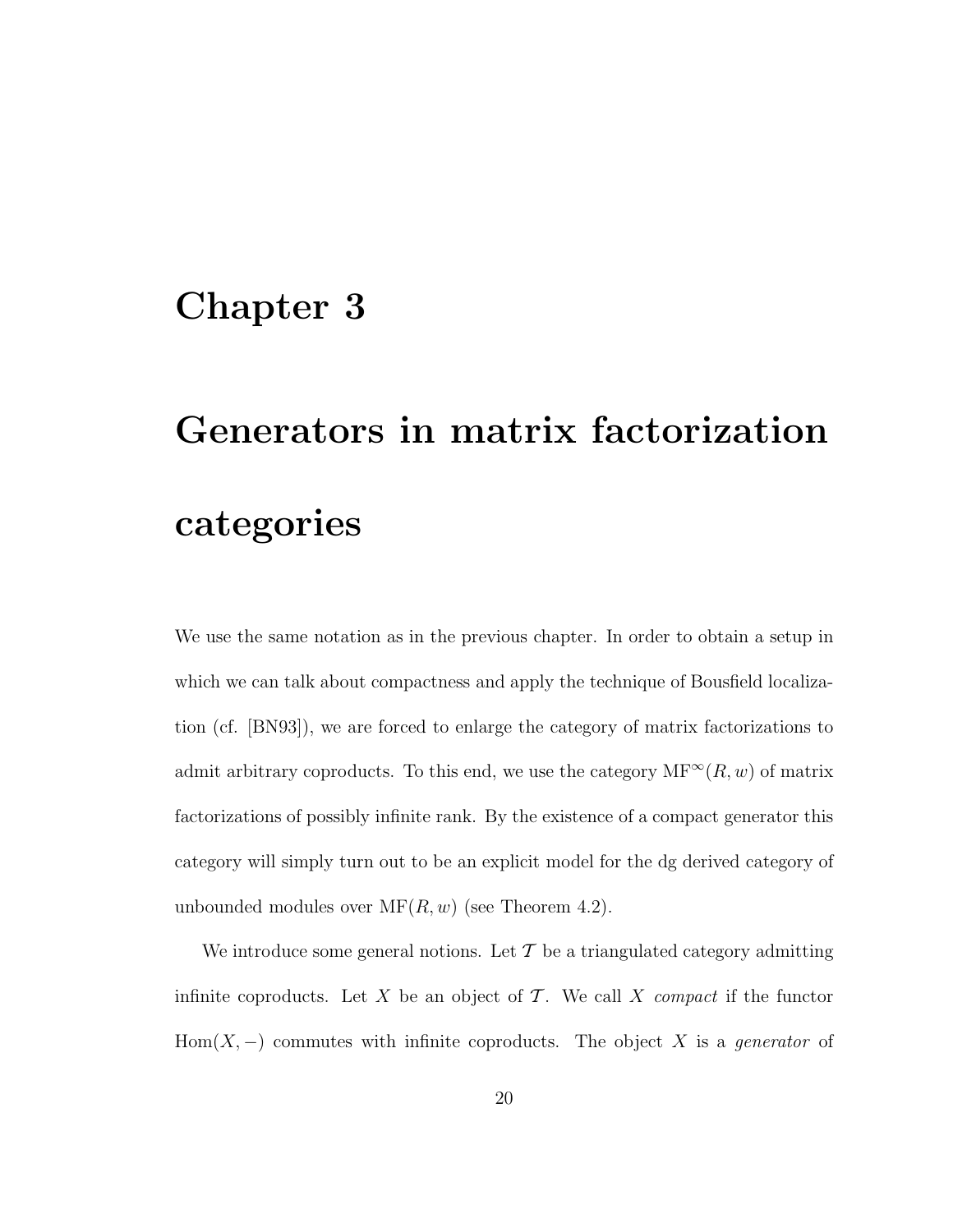## Chapter 3

# Generators in matrix factorization categories

We use the same notation as in the previous chapter. In order to obtain a setup in which we can talk about compactness and apply the technique of Bousfield localization (cf. [BN93]), we are forced to enlarge the category of matrix factorizations to admit arbitrary coproducts. To this end, we use the category  $MF^{\infty}(R, w)$  of matrix factorizations of possibly infinite rank. By the existence of a compact generator this category will simply turn out to be an explicit model for the dg derived category of unbounded modules over  $MF(R, w)$  (see Theorem 4.2).

We introduce some general notions. Let  $\mathcal T$  be a triangulated category admitting infinite coproducts. Let X be an object of  $\mathcal T$ . We call X *compact* if the functor Hom $(X, -)$  commutes with infinite coproducts. The object X is a *generator* of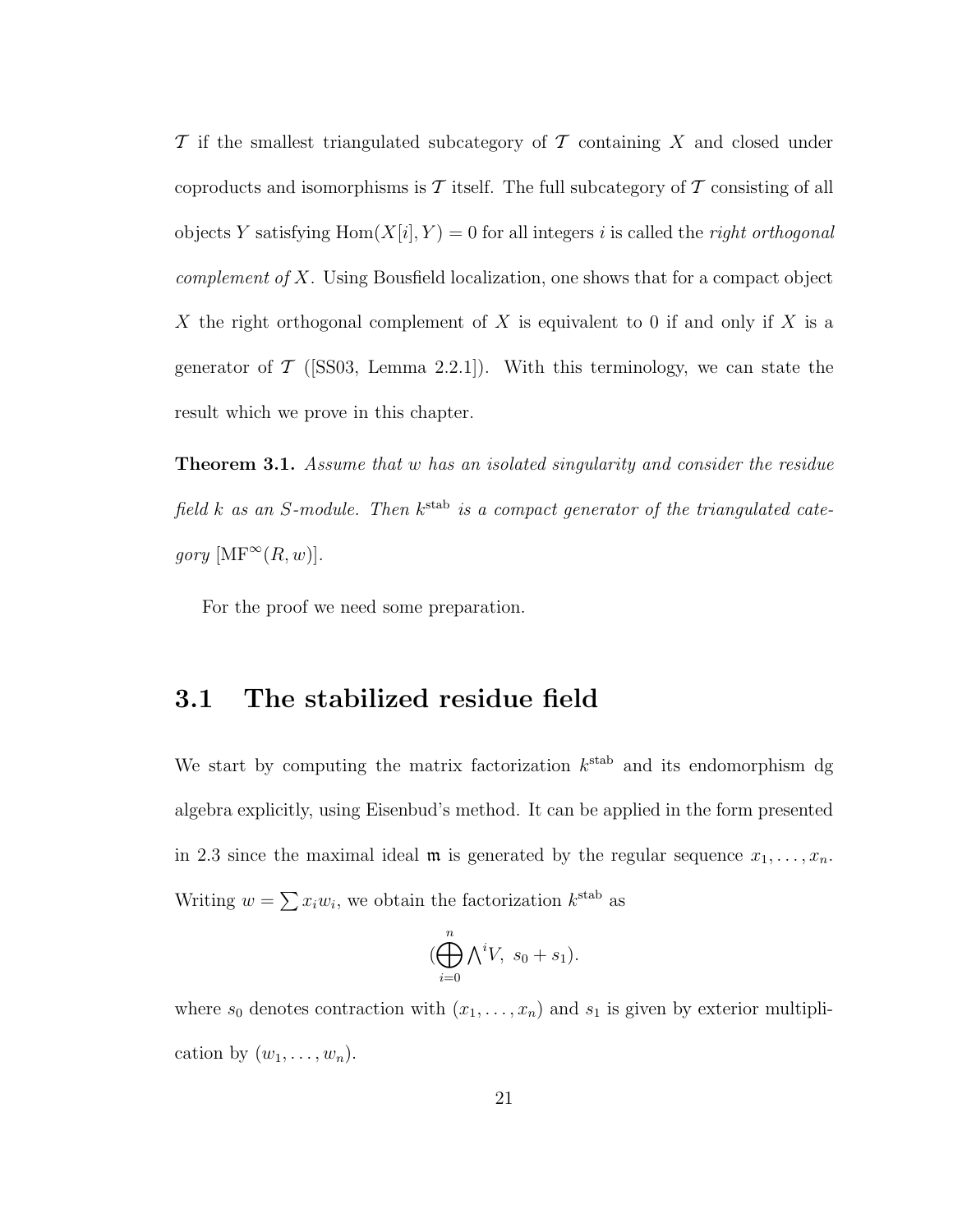$\mathcal T$  if the smallest triangulated subcategory of  $\mathcal T$  containing X and closed under coproducts and isomorphisms is  $\mathcal T$  itself. The full subcategory of  $\mathcal T$  consisting of all objects Y satisfying  $Hom(X[i], Y) = 0$  for all integers i is called the *right orthogonal complement of* X. Using Bousfield localization, one shows that for a compact object X the right orthogonal complement of X is equivalent to 0 if and only if X is a generator of  $\mathcal{T}$  ([SS03, Lemma 2.2.1]). With this terminology, we can state the result which we prove in this chapter.

Theorem 3.1. *Assume that* w *has an isolated singularity and consider the residue* field *k* as an *S*-module. Then  $k^{\text{stab}}$  is a compact generator of the triangulated cate*gory*  $[MF^{\infty}(R, w)].$ 

For the proof we need some preparation.

### 3.1 The stabilized residue field

We start by computing the matrix factorization  $k^{\text{stab}}$  and its endomorphism dg algebra explicitly, using Eisenbud's method. It can be applied in the form presented in 2.3 since the maximal ideal  $\mathfrak m$  is generated by the regular sequence  $x_1, \ldots, x_n$ . Writing  $w = \sum x_i w_i$ , we obtain the factorization  $k^{\text{stab}}$  as

$$
(\bigoplus_{i=0}^{n} \bigwedge^{i} V, s_0 + s_1).
$$

where  $s_0$  denotes contraction with  $(x_1, \ldots, x_n)$  and  $s_1$  is given by exterior multiplication by  $(w_1, \ldots, w_n)$ .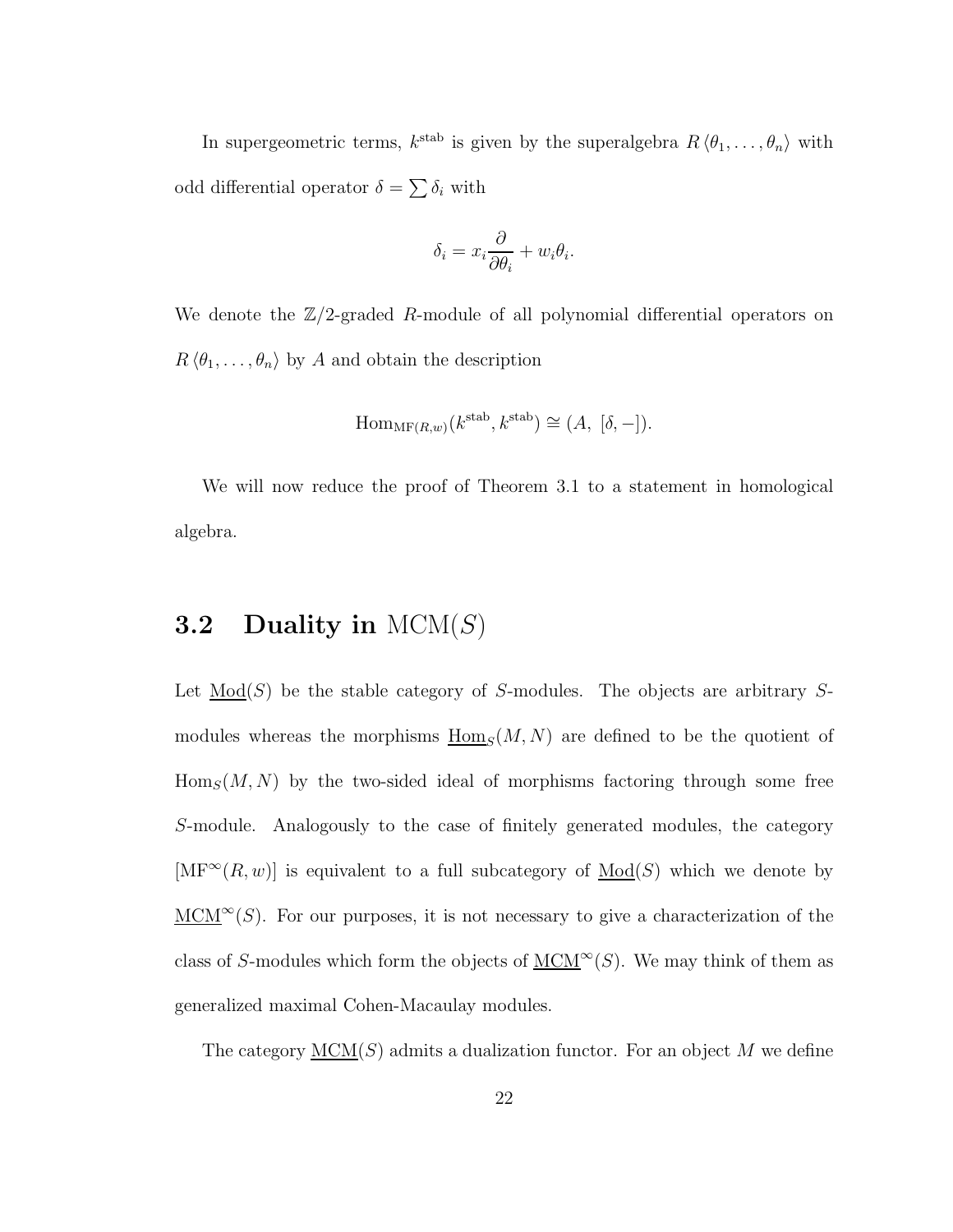In supergeometric terms,  $k^{\text{stab}}$  is given by the superalgebra  $R \langle \theta_1, \ldots, \theta_n \rangle$  with odd differential operator  $\delta = \sum \delta_i$  with

$$
\delta_i = x_i \frac{\partial}{\partial \theta_i} + w_i \theta_i.
$$

We denote the  $\mathbb{Z}/2$ -graded R-module of all polynomial differential operators on  $R \langle \theta_1, \ldots, \theta_n \rangle$  by A and obtain the description

$$
\mathrm{Hom}_{\mathrm{MF}(R,w)}(k^{\text{stab}}, k^{\text{stab}}) \cong (A, [\delta, -]).
$$

We will now reduce the proof of Theorem 3.1 to a statement in homological algebra.

### **3.2** Duality in  $MCM(S)$

Let  $\underline{Mod}(S)$  be the stable category of S-modules. The objects are arbitrary Smodules whereas the morphisms  $\underline{\text{Hom}}_S(M, N)$  are defined to be the quotient of  $\operatorname{Hom}_S(M, N)$  by the two-sided ideal of morphisms factoring through some free S-module. Analogously to the case of finitely generated modules, the category  $[\mathrm{MF}^{\infty}(R, w)]$  is equivalent to a full subcategory of  $\underline{\mathrm{Mod}}(S)$  which we denote by  $MCM^{\infty}(S)$ . For our purposes, it is not necessary to give a characterization of the class of S-modules which form the objects of  $\underline{\text{MCM}}^{\infty}(S)$ . We may think of them as generalized maximal Cohen-Macaulay modules.

The category  $\underline{MCM}(S)$  admits a dualization functor. For an object M we define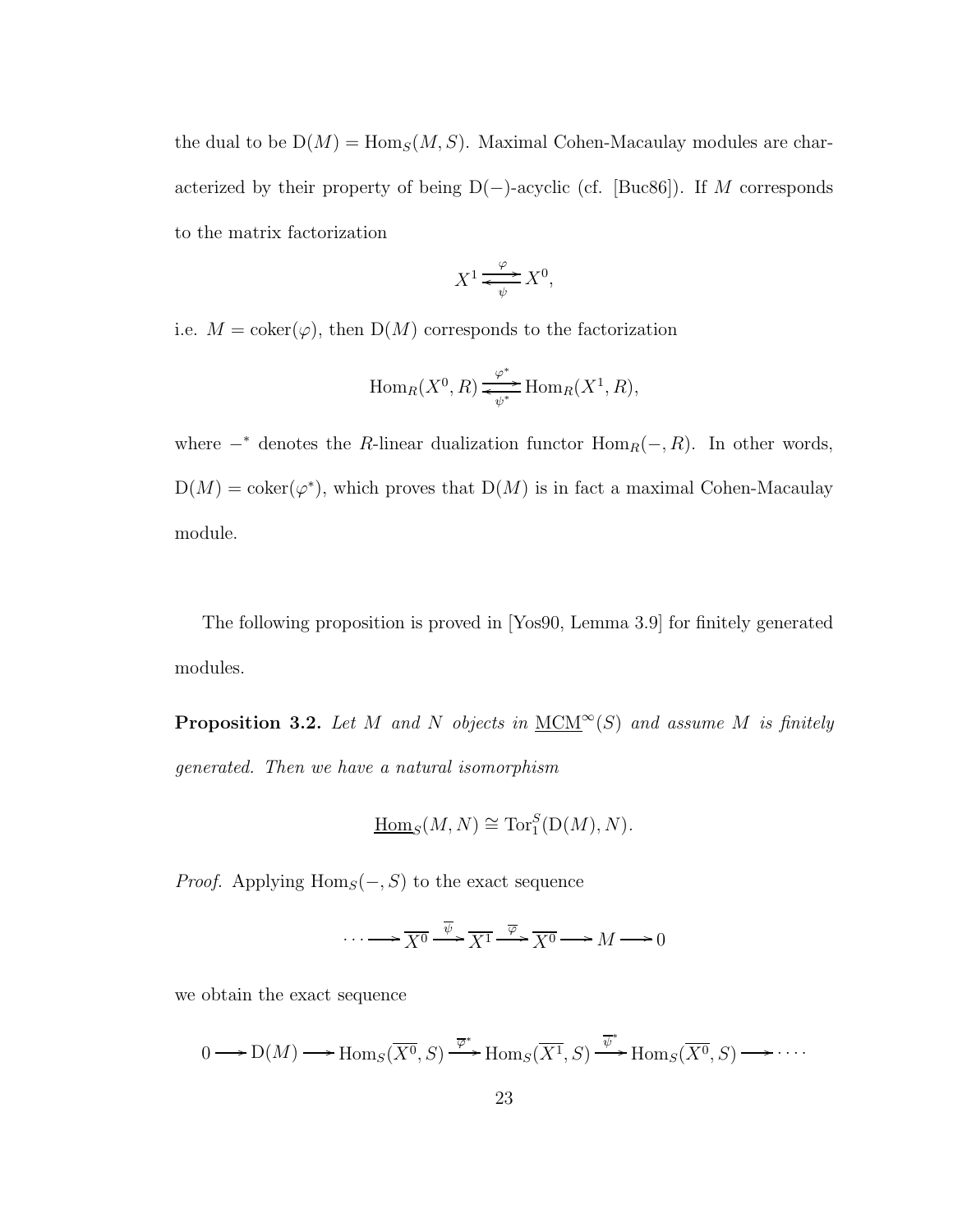the dual to be  $D(M) = \text{Hom}_S(M, S)$ . Maximal Cohen-Macaulay modules are characterized by their property of being  $D(-)$ -acyclic (cf. [Buc86]). If M corresponds to the matrix factorization

$$
X^1 \xrightarrow{\varphi} X^0,
$$

i.e.  $M = \text{coker}(\varphi)$ , then  $D(M)$  corresponds to the factorization

$$
\operatorname{Hom}_R(X^0, R) \xrightarrow{\varphi^*} \operatorname{Hom}_R(X^1, R),
$$

where  $-*$  denotes the R-linear dualization functor  $\text{Hom}_R(-, R)$ . In other words,  $D(M) = \text{coker}(\varphi^*)$ , which proves that  $D(M)$  is in fact a maximal Cohen-Macaulay module.

The following proposition is proved in [Yos90, Lemma 3.9] for finitely generated modules.

**Proposition 3.2.** Let M and N objects in  $\underline{MCM}^{\infty}(S)$  and assume M is finitely *generated. Then we have a natural isomorphism*

$$
\underline{\mathrm{Hom}}_S(M, N) \cong \mathrm{Tor}_1^S(\mathrm{D}(M), N).
$$

*Proof.* Applying  $Hom_S(-, S)$  to the exact sequence

$$
\cdots \longrightarrow \overline{X^0} \xrightarrow{\overline{\psi}} \overline{X^1} \xrightarrow{\overline{\varphi}} \overline{X^0} \longrightarrow M \longrightarrow 0
$$

we obtain the exact sequence

$$
0 \longrightarrow D(M) \longrightarrow \text{Hom}_{S}(\overline{X^{0}}, S) \stackrel{\overline{\varphi}^{*}}{\longrightarrow} \text{Hom}_{S}(\overline{X^{1}}, S) \stackrel{\overline{\psi}^{*}}{\longrightarrow} \text{Hom}_{S}(\overline{X^{0}}, S) \longrightarrow \cdots
$$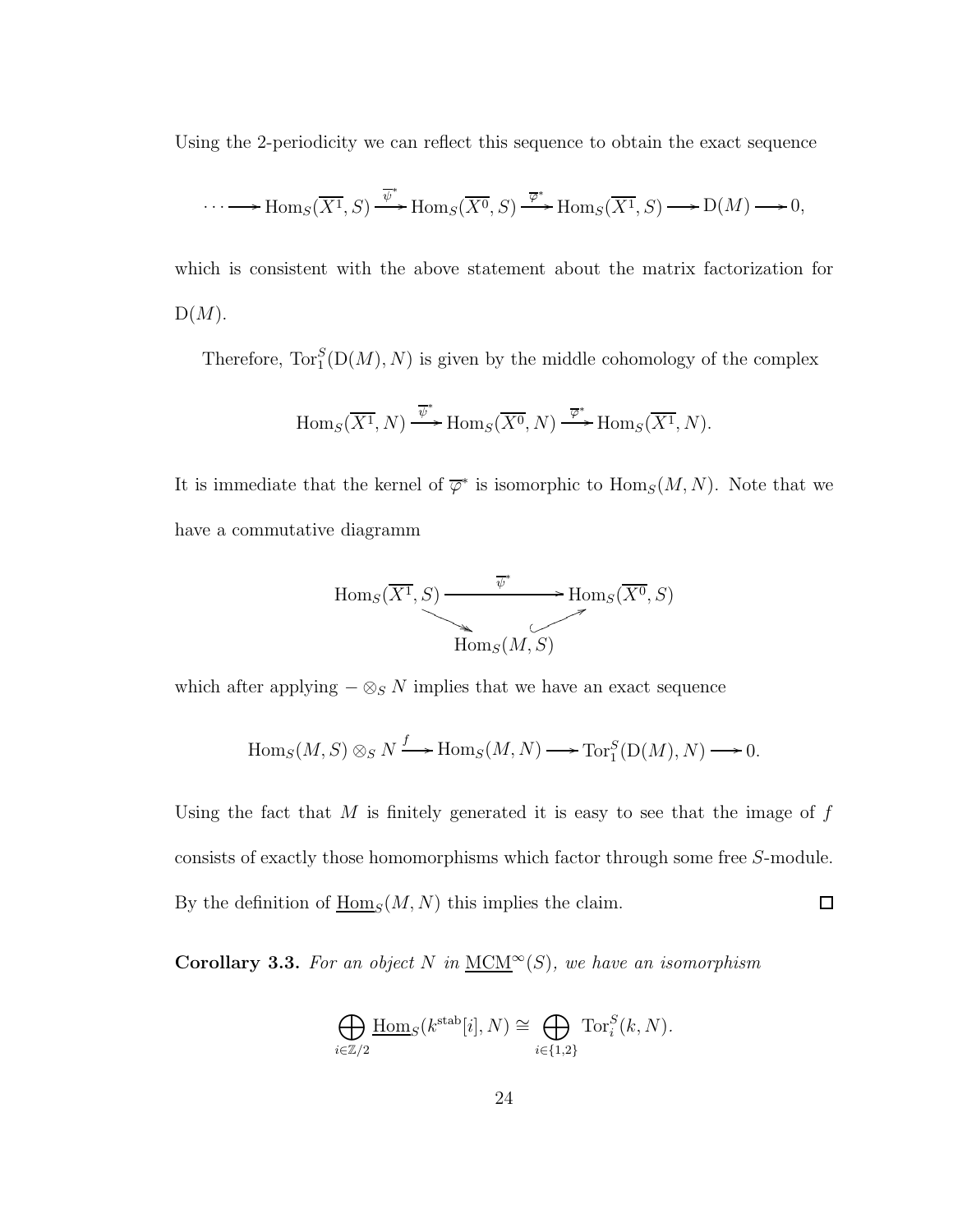Using the 2-periodicity we can reflect this sequence to obtain the exact sequence

$$
\cdots \longrightarrow \text{Hom}_S(\overline{X^1}, S) \xrightarrow{\overline{\psi}^*} \text{Hom}_S(\overline{X^0}, S) \xrightarrow{\overline{\varphi}^*} \text{Hom}_S(\overline{X^1}, S) \longrightarrow \text{D}(M) \longrightarrow 0,
$$

which is consistent with the above statement about the matrix factorization for  $D(M).$ 

Therefore,  $\text{Tor}_{1}^{S}(\text{D}(M), N)$  is given by the middle cohomology of the complex

$$
\operatorname{Hom}_S(\overline{X^1}, N) \xrightarrow{\overline{\psi}^*} \operatorname{Hom}_S(\overline{X^0}, N) \xrightarrow{\overline{\varphi}^*} \operatorname{Hom}_S(\overline{X^1}, N).
$$

It is immediate that the kernel of  $\overline{\varphi}^*$  is isomorphic to  $\text{Hom}_S(M, N)$ . Note that we have a commutative diagramm



which after applying  $-\otimes_S N$  implies that we have an exact sequence

$$
\operatorname{Hom}_S(M, S) \otimes_S N \xrightarrow{f} \operatorname{Hom}_S(M, N) \longrightarrow \operatorname{Tor}_1^S(D(M), N) \longrightarrow 0.
$$

Using the fact that  $M$  is finitely generated it is easy to see that the image of  $f$ consists of exactly those homomorphisms which factor through some free S-module. By the definition of  $\underline{\text{Hom}}_S(M, N)$  this implies the claim.  $\Box$ 

**Corollary 3.3.** For an object N in  $\underline{MCM}^{\infty}(S)$ , we have an isomorphism

$$
\bigoplus_{i \in \mathbb{Z}/2} \underline{\text{Hom}}_S(k^{\text{stab}}[i], N) \cong \bigoplus_{i \in \{1, 2\}} \text{Tor}_i^S(k, N).
$$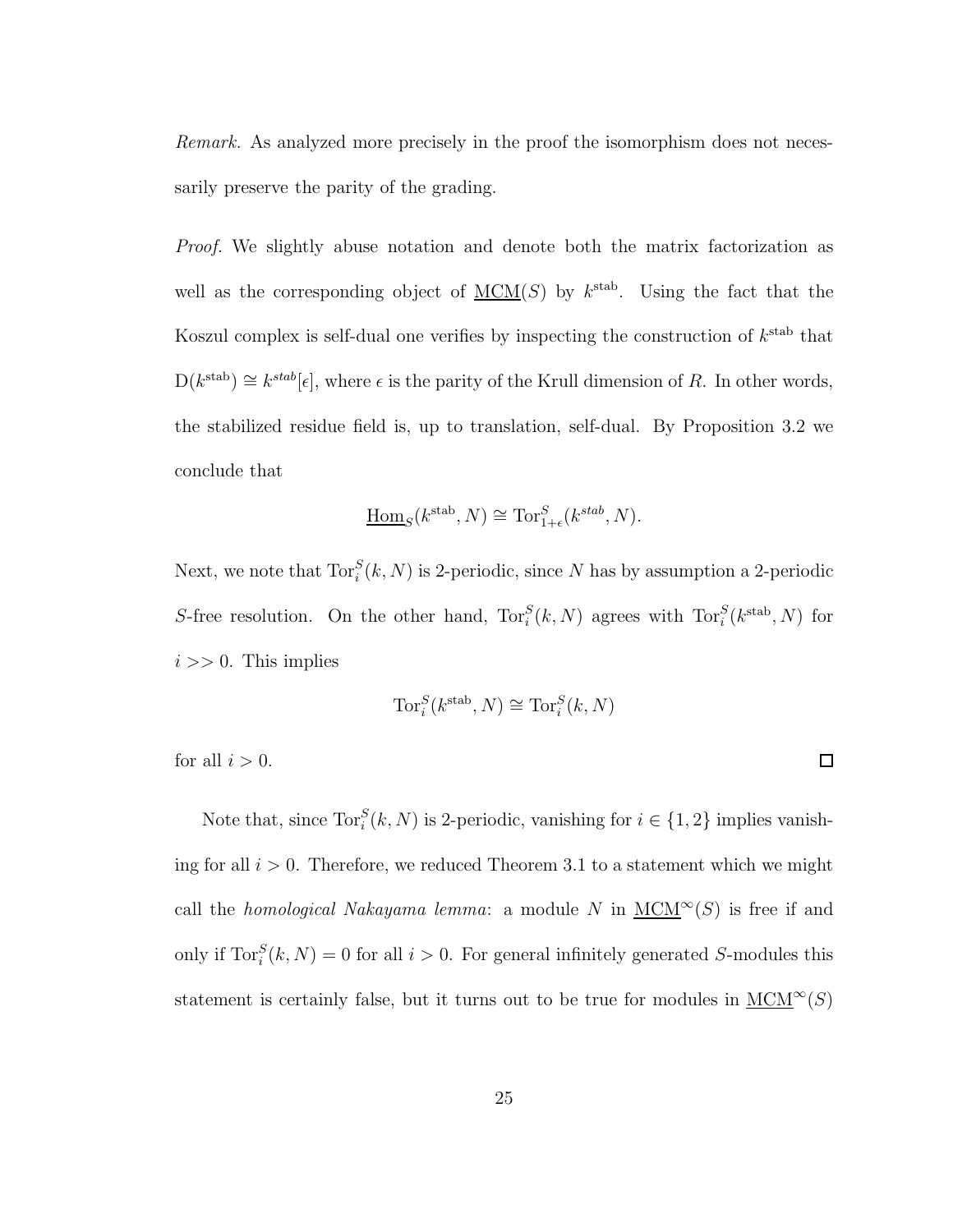*Remark.* As analyzed more precisely in the proof the isomorphism does not necessarily preserve the parity of the grading.

*Proof.* We slightly abuse notation and denote both the matrix factorization as well as the corresponding object of  $\underline{MCM}(S)$  by  $k^{\text{stab}}$ . Using the fact that the Koszul complex is self-dual one verifies by inspecting the construction of  $k^{\text{stab}}$  that  $D(k^{\text{stab}}) \cong k^{\text{stab}}[\epsilon]$ , where  $\epsilon$  is the parity of the Krull dimension of R. In other words, the stabilized residue field is, up to translation, self-dual. By Proposition 3.2 we conclude that

$$
\underline{\mathrm{Hom}}_S(k^{\text{stab}}, N) \cong \text{Tor}_{1+\epsilon}^S(k^{\text{stab}}, N).
$$

Next, we note that  $\text{Tor}_{i}^{S}(k, N)$  is 2-periodic, since N has by assumption a 2-periodic S-free resolution. On the other hand,  $\text{Tor}_{i}^{S}(k, N)$  agrees with  $\text{Tor}_{i}^{S}(k^{\text{stab}}, N)$  for  $i >> 0$ . This implies

$$
\mathrm{Tor}_i^S(k^{\mathrm{stab}},N)\cong \mathrm{Tor}_i^S(k,N)
$$

 $\Box$ 

for all  $i > 0$ .

Note that, since  $\text{Tor}_{i}^{S}(k, N)$  is 2-periodic, vanishing for  $i \in \{1, 2\}$  implies vanishing for all  $i > 0$ . Therefore, we reduced Theorem 3.1 to a statement which we might call the *homological Nakayama lemma*: a module N in  $MCM^{\infty}(S)$  is free if and only if  $\text{Tor}_{i}^{S}(k, N) = 0$  for all  $i > 0$ . For general infinitely generated S-modules this statement is certainly false, but it turns out to be true for modules in  $\underline{MCM}^{\infty}(S)$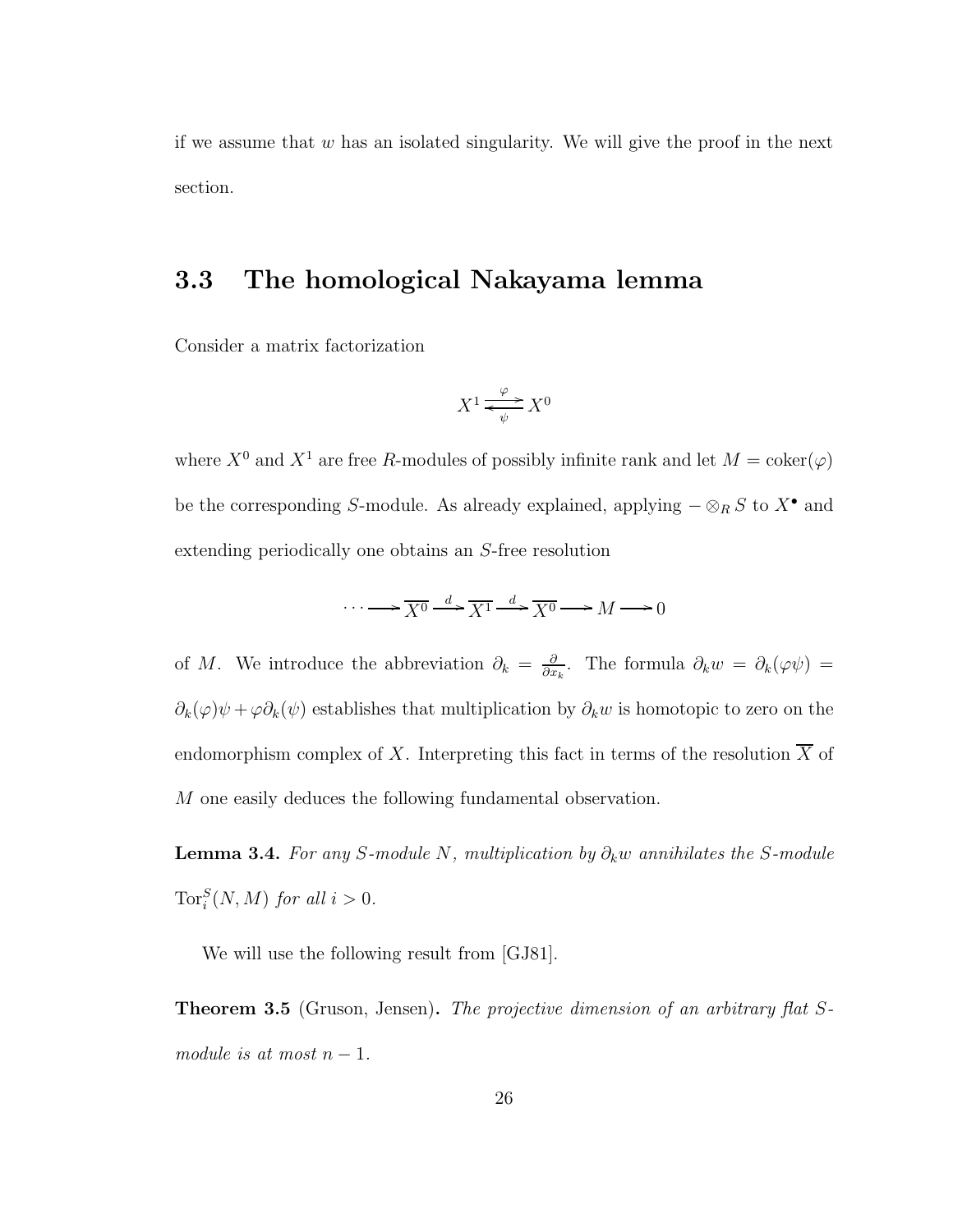if we assume that  $w$  has an isolated singularity. We will give the proof in the next section.

### 3.3 The homological Nakayama lemma

Consider a matrix factorization

$$
X^1 \xrightarrow{\varphi} X^0
$$

where  $X^0$  and  $X^1$  are free R-modules of possibly infinite rank and let  $M = \mathrm{coker}(\varphi)$ be the corresponding S-module. As already explained, applying  $-\otimes_R S$  to  $X^{\bullet}$  and extending periodically one obtains an S-free resolution

$$
\cdots \longrightarrow \overline{X^0} \xrightarrow{d} \overline{X^1} \xrightarrow{d} \overline{X^0} \longrightarrow M \longrightarrow 0
$$

of M. We introduce the abbreviation  $\partial_k = \frac{\partial}{\partial x^k}$  $\frac{\partial}{\partial x_k}$ . The formula  $\partial_k w = \partial_k(\varphi \psi)$  =  $\partial_k(\varphi)\psi + \varphi \partial_k(\psi)$  establishes that multiplication by  $\partial_k w$  is homotopic to zero on the endomorphism complex of X. Interpreting this fact in terms of the resolution  $\overline{X}$  of M one easily deduces the following fundamental observation.

**Lemma 3.4.** *For any* S-module N, multiplication by  $\partial_k w$  annihilates the S-module  $\operatorname{Tor}_i^S(N,M)$  *for all*  $i > 0$ *.* 

We will use the following result from [GJ81].

Theorem 3.5 (Gruson, Jensen). *The projective dimension of an arbitrary flat* S*module is at most*  $n-1$ *.*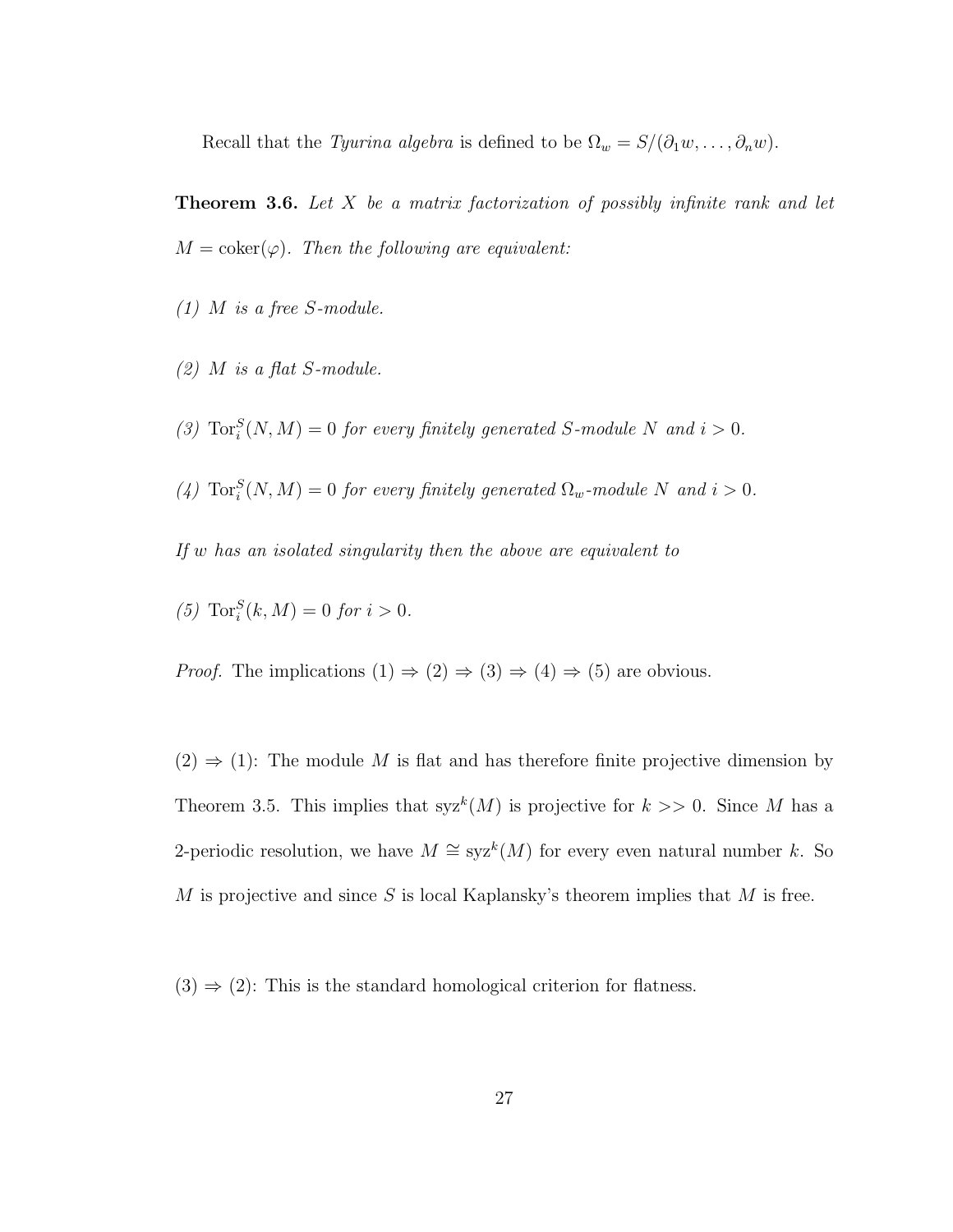Recall that the *Tyurina algebra* is defined to be  $\Omega_w = S/(\partial_1 w, \dots, \partial_n w)$ .

Theorem 3.6. *Let* X *be a matrix factorization of possibly infinite rank and let*  $M = \text{coker}(\varphi)$ *. Then the following are equivalent:* 

- *(1)* M *is a free* S*-module.*
- *(2)* M *is a flat* S*-module.*
- (3)  $\text{Tor}_i^S(N, M) = 0$  *for every finitely generated S*-module *N* and  $i > 0$ *.*
- (4)  $\text{Tor}_i^S(N, M) = 0$  *for every finitely generated*  $\Omega_w$ *-module* N *and*  $i > 0$ *.*

*If* w *has an isolated singularity then the above are equivalent to*

 $(5) \operatorname{Tor}_i^S(k, M) = 0 \text{ for } i > 0.$ 

*Proof.* The implications  $(1) \Rightarrow (2) \Rightarrow (3) \Rightarrow (4) \Rightarrow (5)$  are obvious.

 $(2) \Rightarrow (1)$ : The module M is flat and has therefore finite projective dimension by Theorem 3.5. This implies that  $syz^{k}(M)$  is projective for  $k >> 0$ . Since M has a 2-periodic resolution, we have  $M \cong \text{syz}^k(M)$  for every even natural number k. So M is projective and since S is local Kaplansky's theorem implies that  $M$  is free.

 $(3) \Rightarrow (2)$ : This is the standard homological criterion for flatness.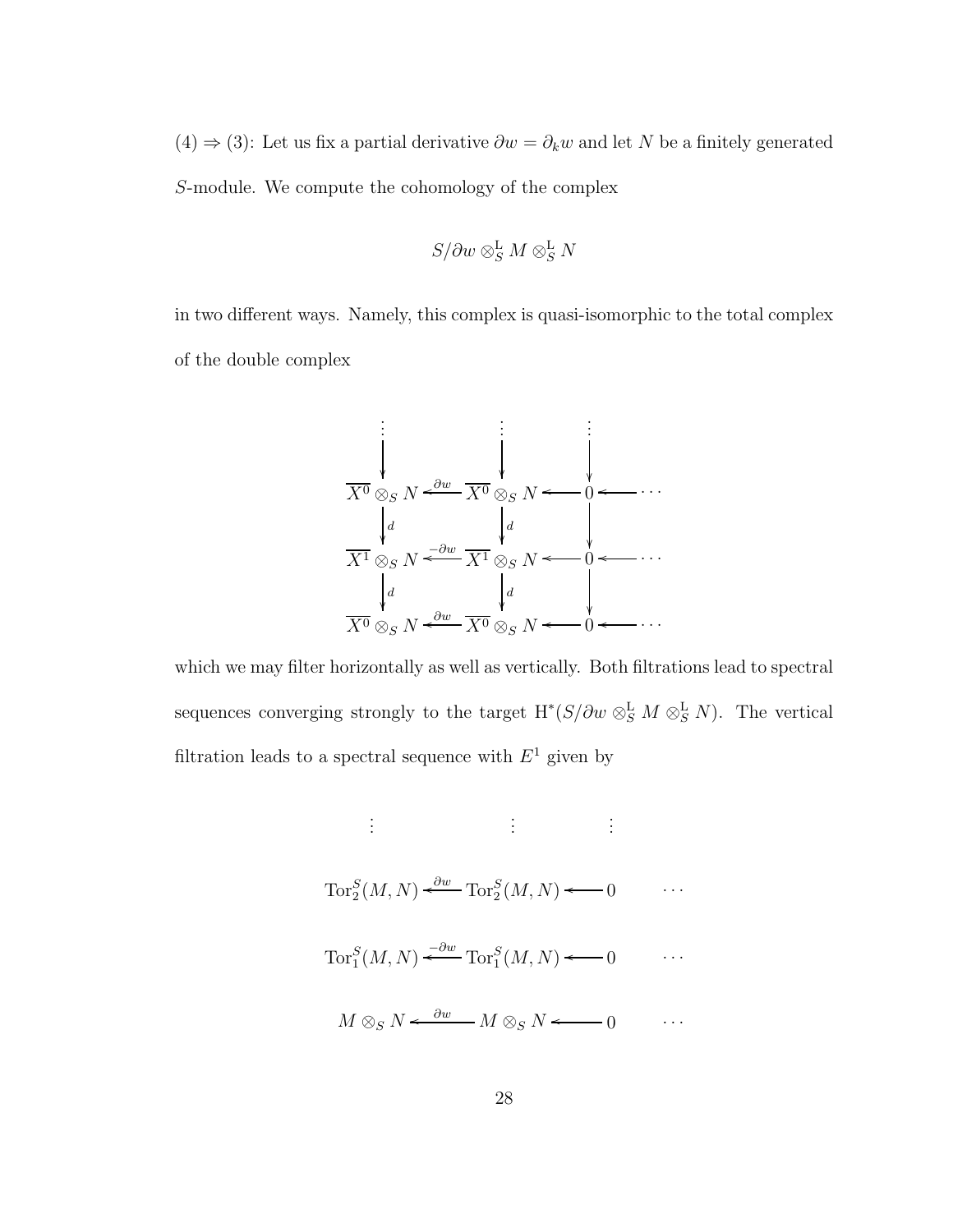(4)  $\Rightarrow$  (3): Let us fix a partial derivative  $\partial w = \partial_k w$  and let N be a finitely generated S-module. We compute the cohomology of the complex

$$
S/\partial w \otimes^{\mathbf{L}}_{S} M \otimes^{\mathbf{L}}_{S} N
$$

in two different ways. Namely, this complex is quasi-isomorphic to the total complex of the double complex



which we may filter horizontally as well as vertically. Both filtrations lead to spectral sequences converging strongly to the target  $H^*(S/\partial w \otimes_S^{\mathbf{L}} M \otimes_S^{\mathbf{L}} N)$ . The vertical filtration leads to a spectral sequence with  $E^1$  given by

$$
\vdots \qquad \vdots \qquad \vdots
$$
\n
$$
\operatorname{Tor}_{2}^{S}(M, N) \xleftarrow{\partial w} \operatorname{Tor}_{2}^{S}(M, N) \longleftarrow 0 \qquad \cdots
$$
\n
$$
\operatorname{Tor}_{1}^{S}(M, N) \xleftarrow{\partial w} \operatorname{Tor}_{1}^{S}(M, N) \longleftarrow 0 \qquad \cdots
$$
\n
$$
M \otimes_{S} N \xleftarrow{\partial w} M \otimes_{S} N \longleftarrow 0 \qquad \cdots
$$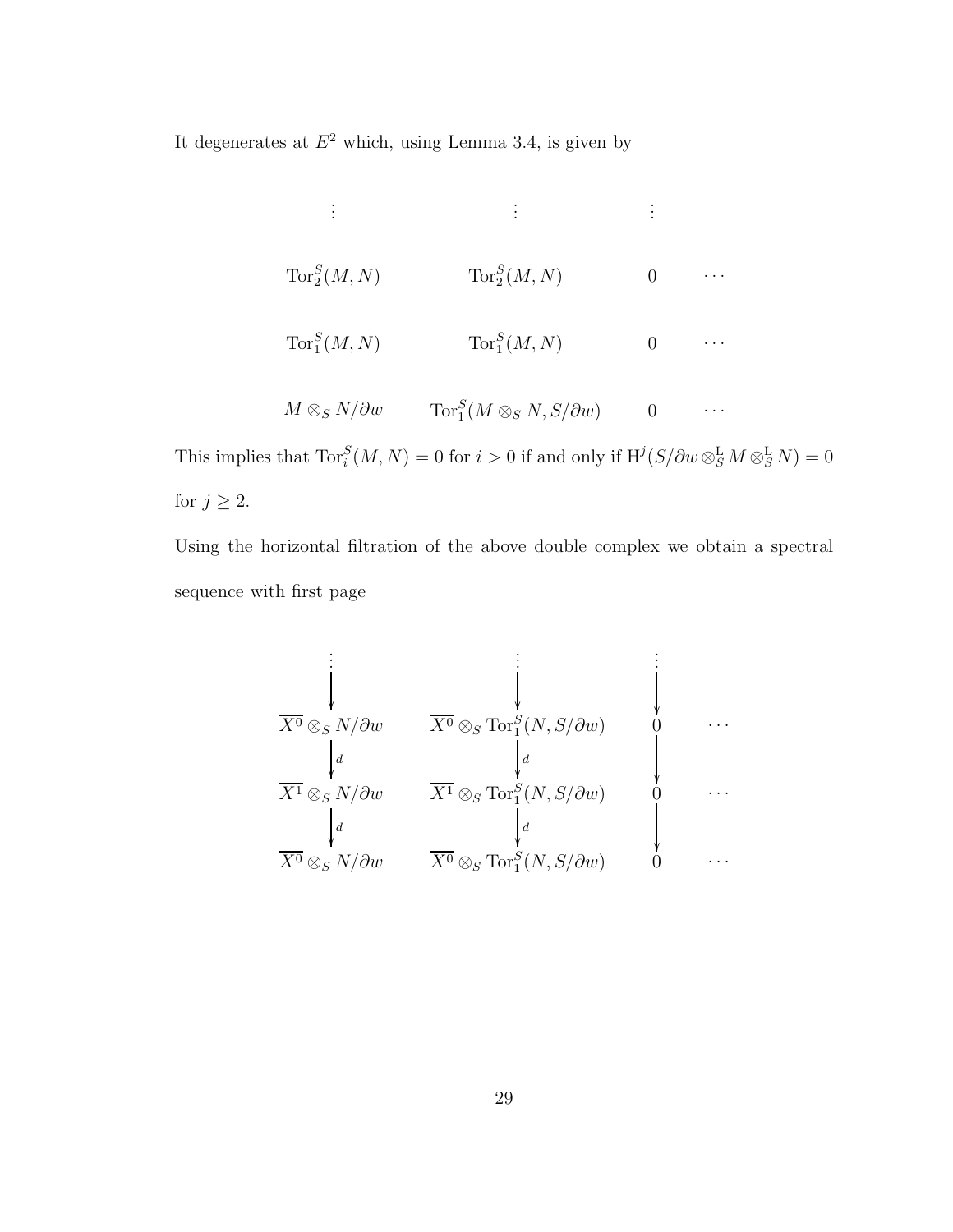It degenerates at  $E^2$  which, using Lemma 3.4, is given by

. . . . . . . . . Tor<sup>S</sup> 2 (M, N) Tor<sup>S</sup> 2 (M, N) 0 . . . Tor<sup>S</sup> 1 (M, N) Tor<sup>S</sup> 1 (M, N) 0 . . . M ⊗<sup>S</sup> N/∂w Tor<sup>S</sup> 1 (M ⊗<sup>S</sup> N, S/∂w) 0 . . .

This implies that  $\text{Tor}_i^S(M, N) = 0$  for  $i > 0$  if and only if  $H^j(S/\partial w \otimes_S^{\mathbf{L}} M \otimes_S^{\mathbf{L}} N) = 0$ for  $j\geq 2.$ 

Using the horizontal filtration of the above double complex we obtain a spectral sequence with first page

. . . . . . . . . X<sup>0</sup> ⊗<sup>S</sup> N/∂w d X<sup>0</sup> ⊗<sup>S</sup> Tor<sup>S</sup> 1 (N, S/∂w) d 0 . . . X<sup>1</sup> ⊗<sup>S</sup> N/∂w d X<sup>1</sup> ⊗<sup>S</sup> Tor<sup>S</sup> 1 (N, S/∂w) d 0 . . . X<sup>0</sup> ⊗<sup>S</sup> N/∂w X<sup>0</sup> ⊗<sup>S</sup> Tor<sup>S</sup> 1 (N, S/∂w) 0 . . .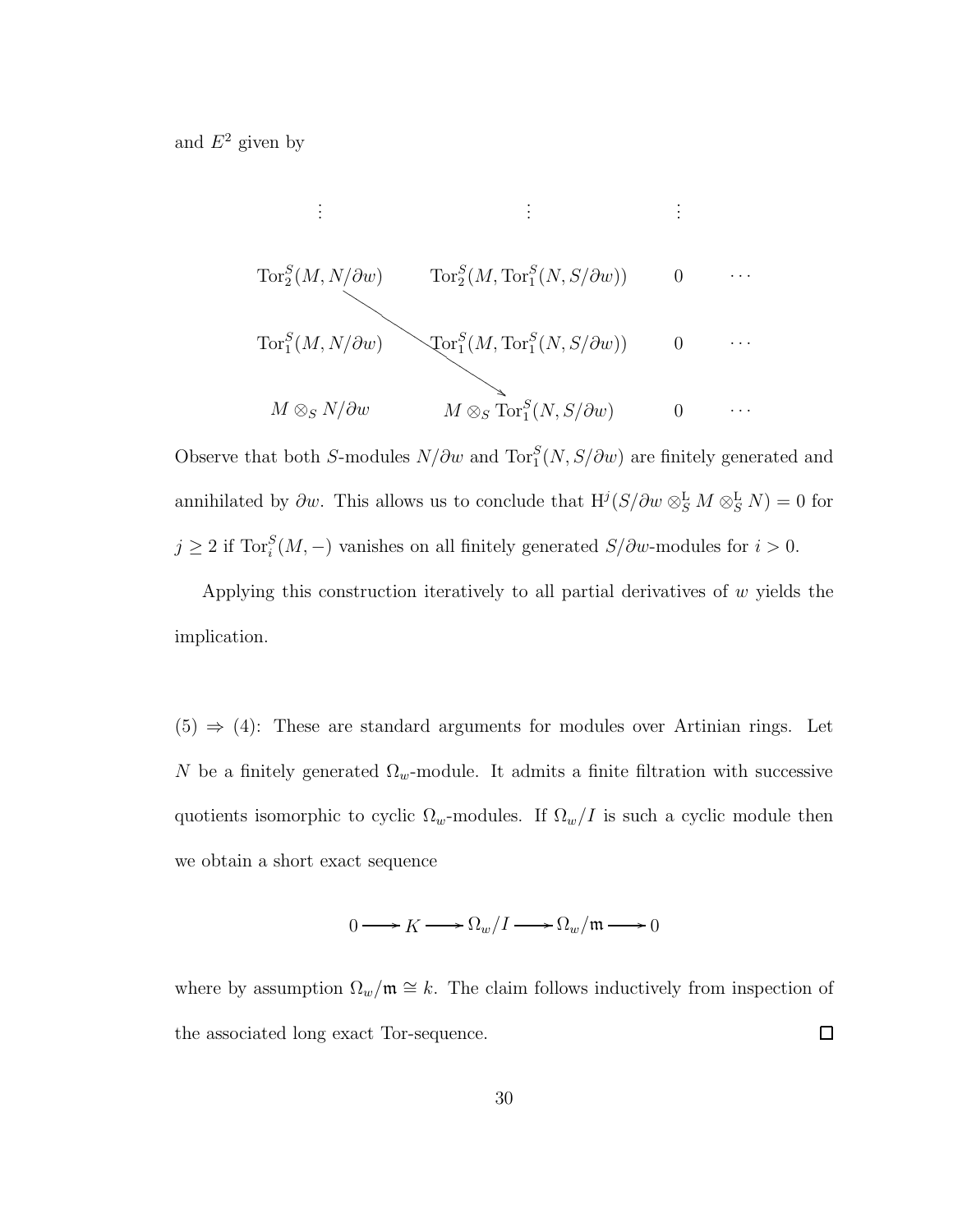and  $E^2$  given by

$$
\begin{array}{cccc}\n\vdots & \vdots & \vdots & \vdots \\
\operatorname{Tor}_2^S(M, N/\partial w) & \operatorname{Tor}_2^S(M, \operatorname{Tor}_1^S(N, S/\partial w)) & 0 & \cdots \\
\operatorname{Tor}_1^S(M, N/\partial w) & \operatorname{Tor}_1^S(M, \operatorname{Tor}_1^S(N, S/\partial w)) & 0 & \cdots \\
\hline\n&\qquad \qquad M \otimes_S N/\partial w & M \otimes_S \operatorname{Tor}_1^S(N, S/\partial w) & 0 & \cdots\n\end{array}
$$

Observe that both S-modules  $N/\partial w$  and  $\text{Tor}_{1}^{S}(N, S/\partial w)$  are finitely generated and annihilated by  $\partial w$ . This allows us to conclude that  $H^j(S/\partial w \otimes_S^{\mathbf{L}} M \otimes_S^{\mathbf{L}} N) = 0$  for  $j \geq 2$  if Tor<sup>S</sup> $(M, -)$  vanishes on all finitely generated  $S/\partial w$ -modules for  $i > 0$ .

Applying this construction iteratively to all partial derivatives of  $w$  yields the implication.

 $(5) \Rightarrow (4)$ : These are standard arguments for modules over Artinian rings. Let N be a finitely generated  $\Omega_w$ -module. It admits a finite filtration with successive quotients isomorphic to cyclic  $\Omega_w$ -modules. If  $\Omega_w/I$  is such a cyclic module then we obtain a short exact sequence

$$
0\longrightarrow K\longrightarrow \Omega_w/I\longrightarrow \Omega_w/\mathfrak{m}\longrightarrow 0
$$

where by assumption  $\Omega_w/\mathfrak{m} \cong k$ . The claim follows inductively from inspection of the associated long exact Tor-sequence.  $\Box$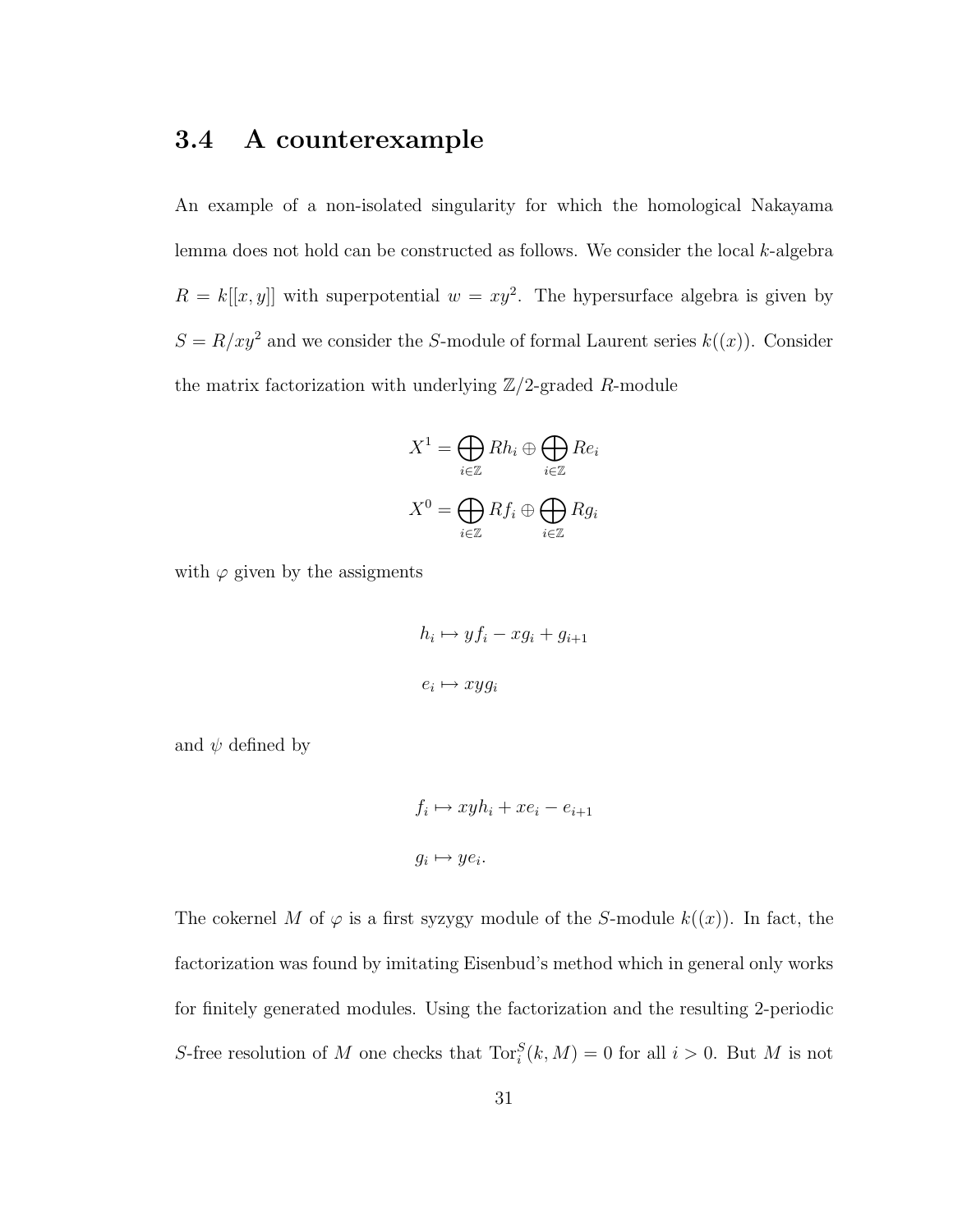#### 3.4 A counterexample

An example of a non-isolated singularity for which the homological Nakayama lemma does not hold can be constructed as follows. We consider the local  $k$ -algebra  $R = k[[x, y]]$  with superpotential  $w = xy^2$ . The hypersurface algebra is given by  $S = R/xy^2$  and we consider the S-module of formal Laurent series  $k((x))$ . Consider the matrix factorization with underlying  $\mathbb{Z}/2$ -graded R-module

$$
X^{1} = \bigoplus_{i \in \mathbb{Z}} Rh_{i} \oplus \bigoplus_{i \in \mathbb{Z}} Re_{i}
$$

$$
X^{0} = \bigoplus_{i \in \mathbb{Z}} Rf_{i} \oplus \bigoplus_{i \in \mathbb{Z}} Rg_{i}
$$

with  $\varphi$  given by the assigments

$$
h_i \mapsto yf_i - xg_i + g_{i+1}
$$
  

$$
e_i \mapsto xyg_i
$$

and  $\psi$  defined by

$$
f_i \mapsto xyh_i + xe_i - e_{i+1}
$$

$$
g_i \mapsto ye_i.
$$

The cokernel M of  $\varphi$  is a first syzygy module of the S-module  $k((x))$ . In fact, the factorization was found by imitating Eisenbud's method which in general only works for finitely generated modules. Using the factorization and the resulting 2-periodic S-free resolution of M one checks that  $\text{Tor}_i^S(k, M) = 0$  for all  $i > 0$ . But M is not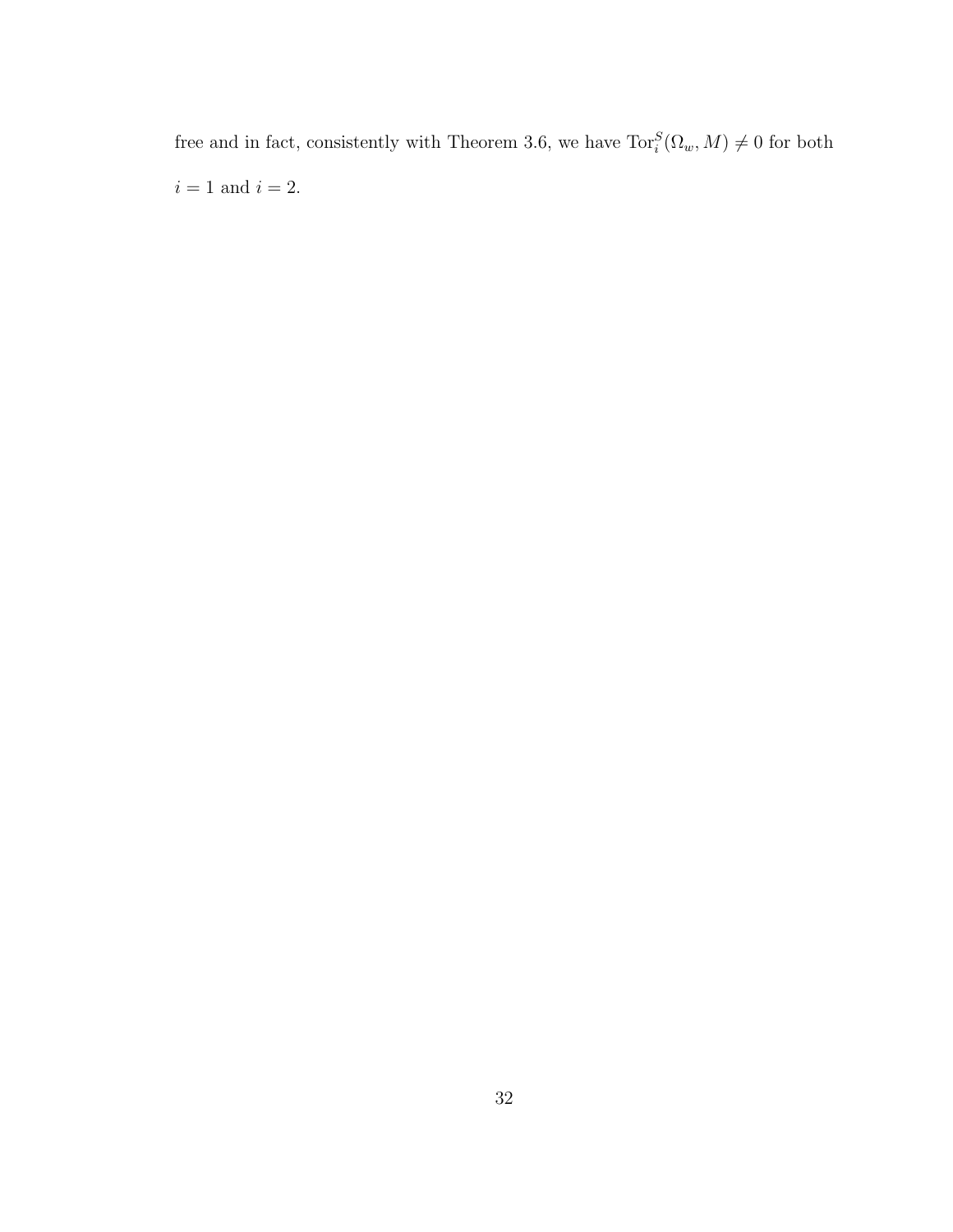free and in fact, consistently with Theorem 3.6, we have  $\text{Tor}_{i}^{S}(\Omega_{w}, M) \neq 0$  for both  $i=1$  and  $i=2.$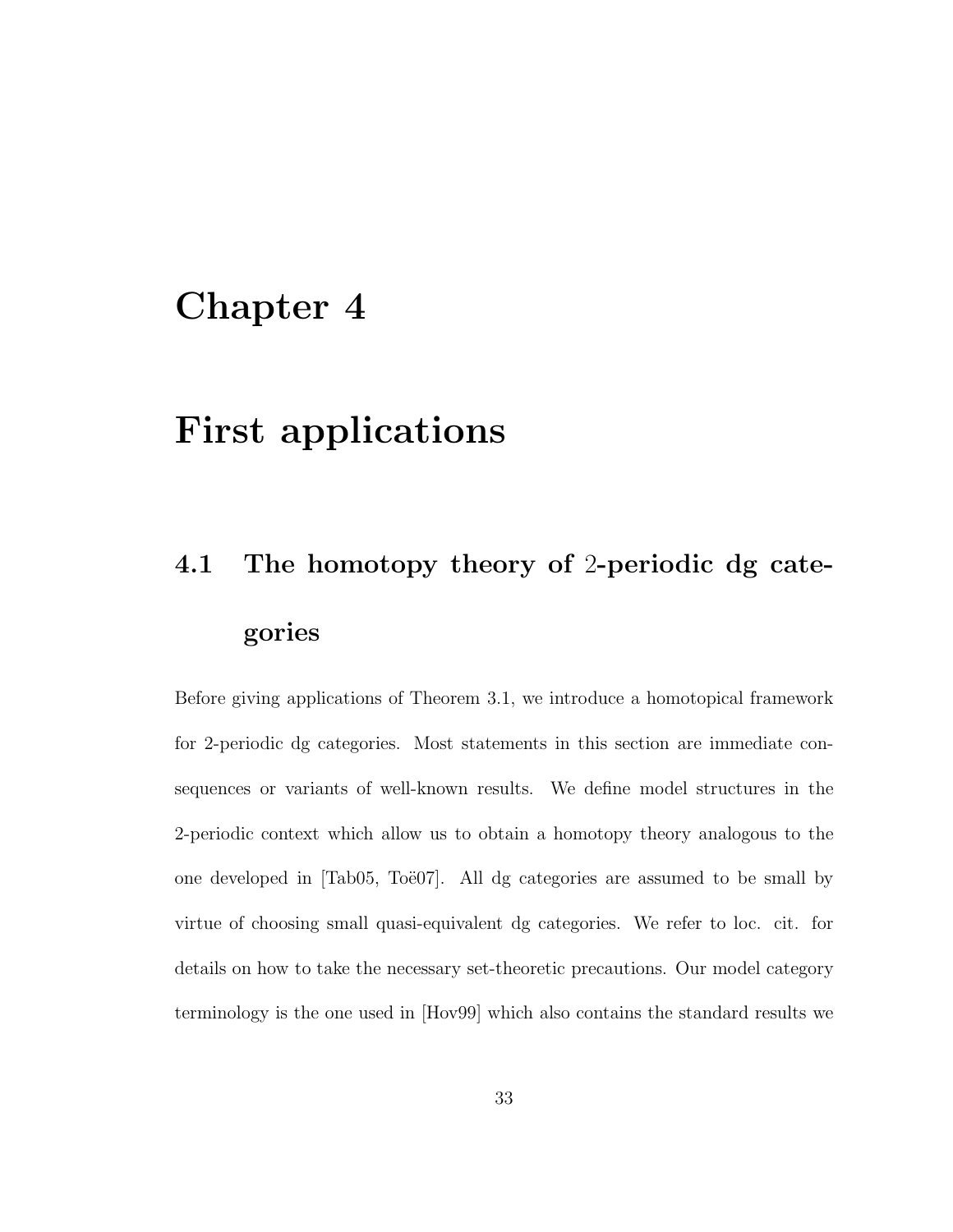## Chapter 4

## First applications

# 4.1 The homotopy theory of 2-periodic dg categories

Before giving applications of Theorem 3.1, we introduce a homotopical framework for 2-periodic dg categories. Most statements in this section are immediate consequences or variants of well-known results. We define model structures in the 2-periodic context which allow us to obtain a homotopy theory analogous to the one developed in [Tab05, Toë07]. All dg categories are assumed to be small by virtue of choosing small quasi-equivalent dg categories. We refer to loc. cit. for details on how to take the necessary set-theoretic precautions. Our model category terminology is the one used in [Hov99] which also contains the standard results we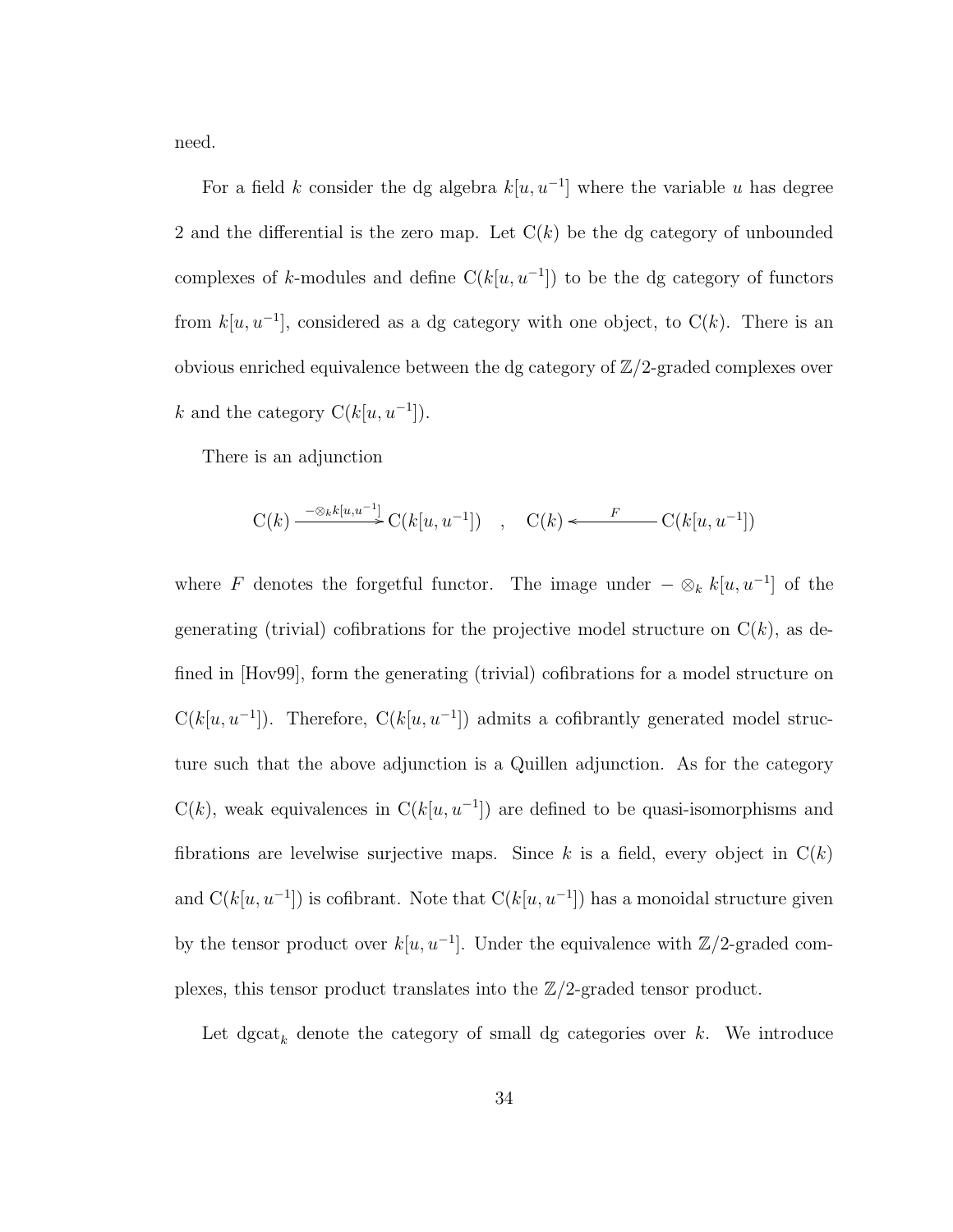need.

For a field k consider the dg algebra  $k[u, u^{-1}]$  where the variable u has degree 2 and the differential is the zero map. Let  $C(k)$  be the dg category of unbounded complexes of k-modules and define  $C(k[u, u^{-1}])$  to be the dg category of functors from  $k[u, u^{-1}]$ , considered as a dg category with one object, to  $C(k)$ . There is an obvious enriched equivalence between the dg category of  $\mathbb{Z}/2$ -graded complexes over k and the category  $C(k[u, u^{-1}])$ .

There is an adjunction

$$
C(k) \xrightarrow{\phantom{a} - \otimes_k k[u, u^{-1}]} C(k[u, u^{-1}]) \quad , \quad C(k) \longleftarrow F \quad C(k[u, u^{-1}])
$$

where F denotes the forgetful functor. The image under  $-\otimes_k k[u, u^{-1}]$  of the generating (trivial) cofibrations for the projective model structure on  $C(k)$ , as defined in [Hov99], form the generating (trivial) cofibrations for a model structure on  $C(k[u, u^{-1}])$ . Therefore,  $C(k[u, u^{-1}])$  admits a cofibrantly generated model structure such that the above adjunction is a Quillen adjunction. As for the category  $C(k)$ , weak equivalences in  $C(k[u, u^{-1}])$  are defined to be quasi-isomorphisms and fibrations are levelwise surjective maps. Since  $k$  is a field, every object in  $C(k)$ and  $C(k[u, u^{-1}])$  is cofibrant. Note that  $C(k[u, u^{-1}])$  has a monoidal structure given by the tensor product over  $k[u, u^{-1}]$ . Under the equivalence with  $\mathbb{Z}/2$ -graded complexes, this tensor product translates into the  $\mathbb{Z}/2$ -graded tensor product.

Let  $\mathrm{dgcat}_k$  denote the category of small dg categories over  $k$ . We introduce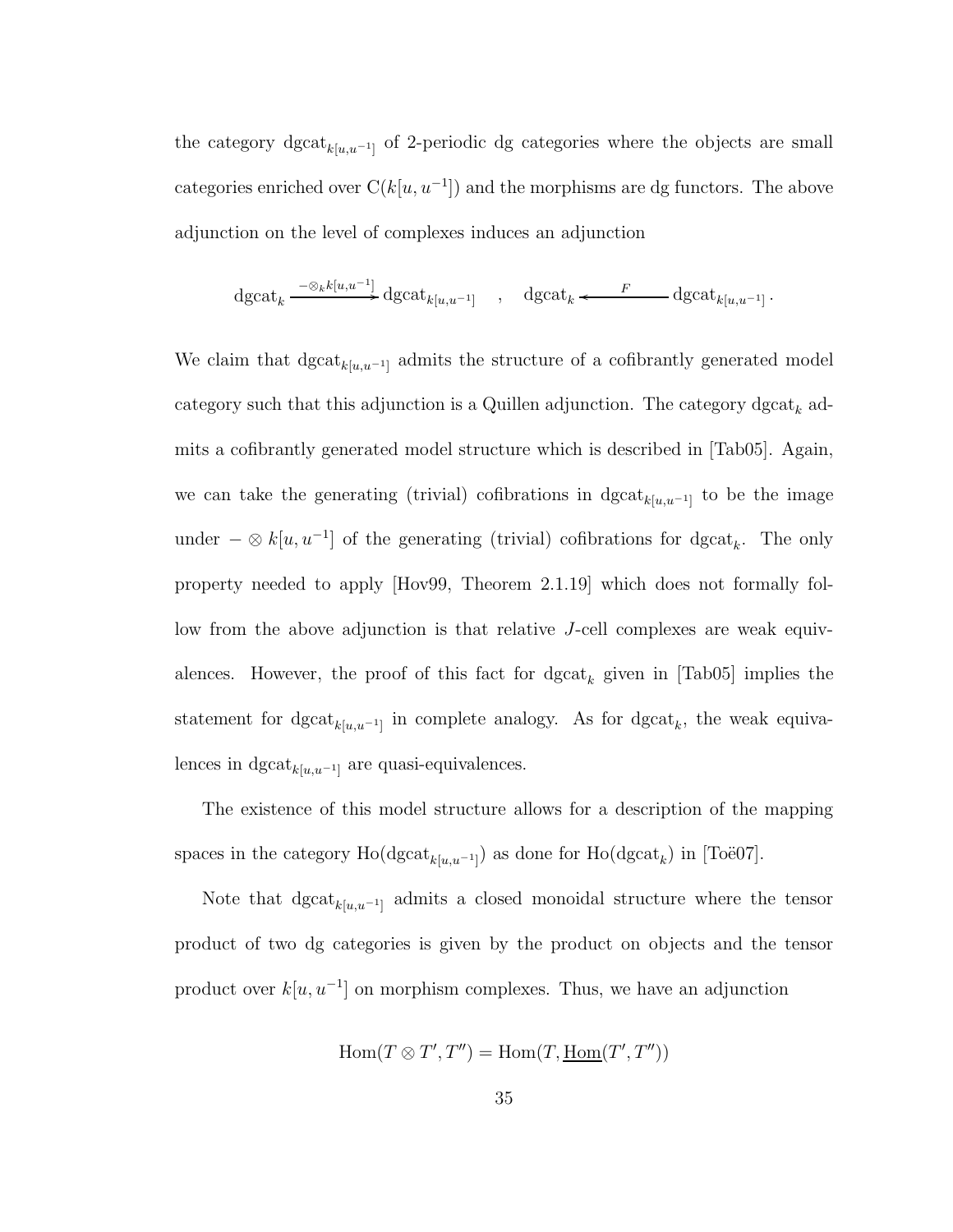the category dgcat<sub> $k[u,u^{-1}]$ </sub> of 2-periodic dg categories where the objects are small categories enriched over  $C(k[u, u^{-1}])$  and the morphisms are dg functors. The above adjunction on the level of complexes induces an adjunction

$$
\mathrm{dgcat}_k \xrightarrow{\phantom{a}\quad\quad \ \ -\otimes_k k[u,u^{-1}]} \mathrm{dgcat}_{k[u,u^{-1}]} \quad , \quad \mathrm{dgcat}_k \xleftarrow{\phantom{a}\quad\quad F\phantom{a}} \mathrm{dgcat}_{k[u,u^{-1}]} \, .
$$

We claim that  $\text{dgcat}_{k[u,u^{-1}]}$  admits the structure of a cofibrantly generated model category such that this adjunction is a Quillen adjunction. The category  $\text{dgcat}_k$  admits a cofibrantly generated model structure which is described in [Tab05]. Again, we can take the generating (trivial) cofibrations in  $\text{dgcat}_{k[u,u^{-1}]}$  to be the image under  $-\otimes k[u, u^{-1}]$  of the generating (trivial) cofibrations for dgcat<sub>k</sub>. The only property needed to apply [Hov99, Theorem 2.1.19] which does not formally follow from the above adjunction is that relative J-cell complexes are weak equivalences. However, the proof of this fact for  $\text{dgcat}_k$  given in [Tab05] implies the statement for  $dgcat_{k[u,u^{-1}]}$  in complete analogy. As for  $dgcat_k$ , the weak equivalences in  $\text{dgcat}_{k[u,u^{-1}]}$  are quasi-equivalences.

The existence of this model structure allows for a description of the mapping spaces in the category  $\text{Ho}(\text{dgcat}_{k[u,u^{-1}]} )$  as done for  $\text{Ho}(\text{dgcat}_k)$  in [Toë07].

Note that dgcat<sub> $k[u,u^{-1}]$ </sub> admits a closed monoidal structure where the tensor product of two dg categories is given by the product on objects and the tensor product over  $k[u, u^{-1}]$  on morphism complexes. Thus, we have an adjunction

$$
Hom(T \otimes T', T'') = Hom(T, \underline{Hom}(T', T''))
$$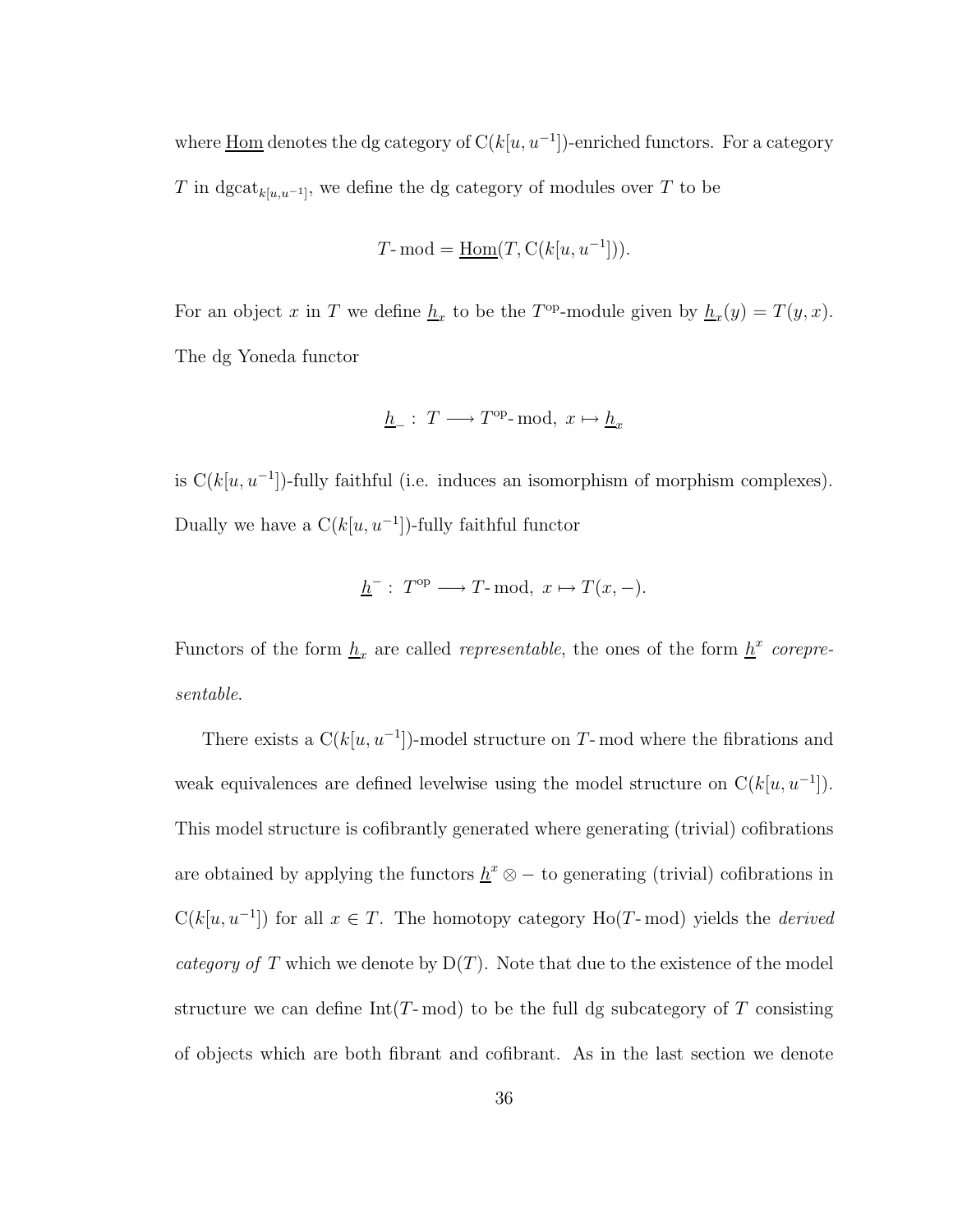where  $\underline{\text{Hom}}$  denotes the dg category of  $C(k[u, u^{-1}])$ -enriched functors. For a category T in dgcat<sub>k[u,u<sup>-1</sup>]</sub>, we define the dg category of modules over T to be

$$
T\text{-}\operatorname{mod}=\underline{\operatorname{Hom}}(T,\operatorname{C}(k[u,u^{-1}])).
$$

For an object x in T we define  $\underline{h}_x$  to be the T<sup>op</sup>-module given by  $\underline{h}_x(y) = T(y, x)$ . The dg Yoneda functor

$$
\underline{h}_-:\ T\longrightarrow T^{\text{op}}\text{-}\mathrm{mod},\ x\mapsto \underline{h}_x
$$

is  $C(k[u, u^{-1}])$ -fully faithful (i.e. induces an isomorphism of morphism complexes). Dually we have a  $C(k[u, u^{-1}])$ -fully faithful functor

$$
\underline{h}^-: T^{\text{op}} \longrightarrow T\text{-}\mathrm{mod}, x \mapsto T(x, -).
$$

Functors of the form  $\underline{h}_x$  are called *representable*, the ones of the form  $\underline{h}^x$  *corepresentable*.

There exists a  $C(k[u, u^{-1}])$ -model structure on T-mod where the fibrations and weak equivalences are defined levelwise using the model structure on  $C(k[u, u^{-1}])$ . This model structure is cofibrantly generated where generating (trivial) cofibrations are obtained by applying the functors  $\underline{h}^x \otimes -$  to generating (trivial) cofibrations in  $C(k[u, u^{-1}])$  for all  $x \in T$ . The homotopy category Ho(T-mod) yields the *derived category of* T which we denote by  $D(T)$ . Note that due to the existence of the model structure we can define  $Int(T\text{-}\mathrm{mod})$  to be the full dg subcategory of T consisting of objects which are both fibrant and cofibrant. As in the last section we denote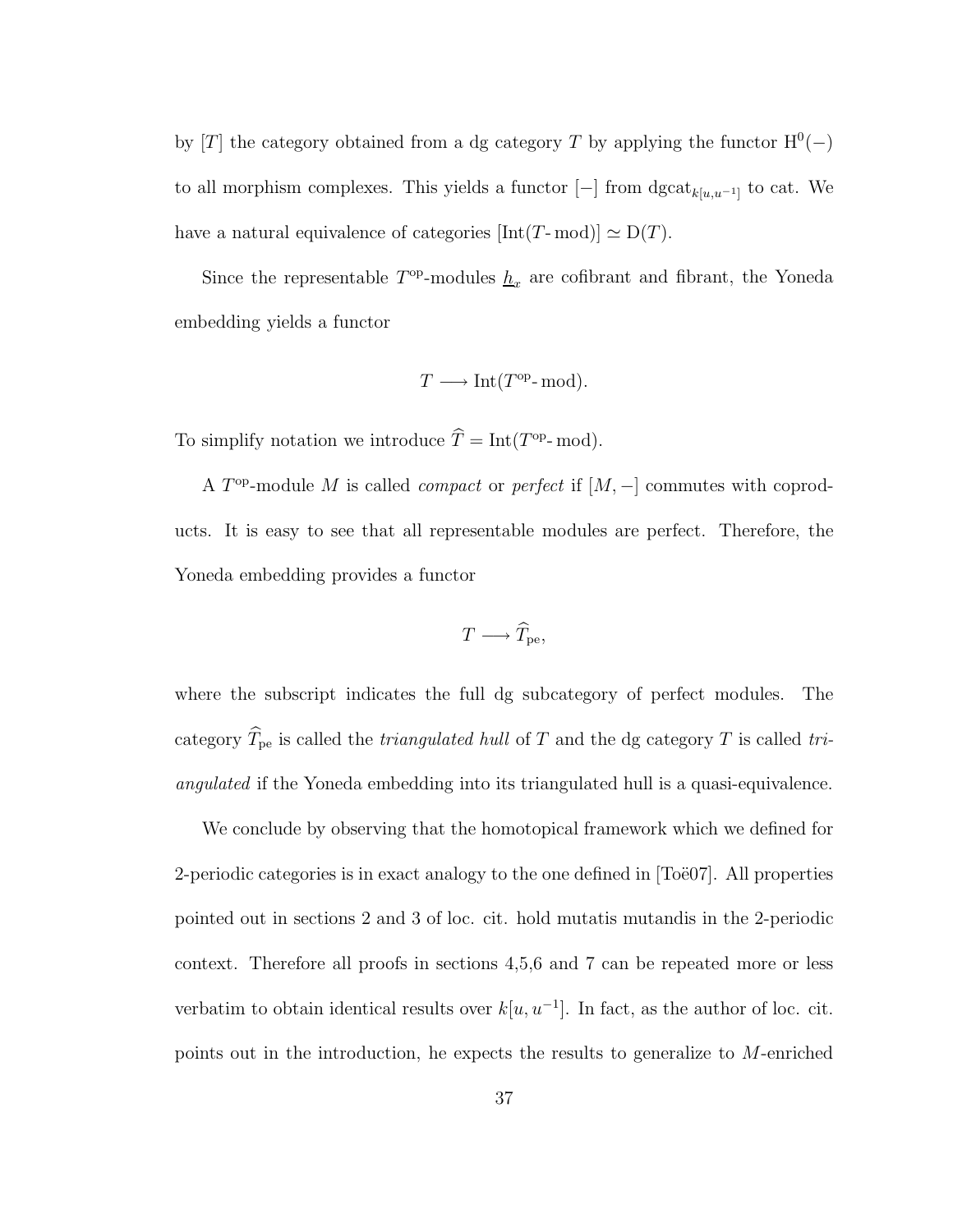by [T] the category obtained from a dg category T by applying the functor  $H^0(-)$ to all morphism complexes. This yields a functor  $[-]$  from  $\text{dgcat}_{k[u,u^{-1}]}$  to cat. We have a natural equivalence of categories  $[Int(T-mod)] \simeq D(T)$ .

Since the representable  $T^{\text{op}}$ -modules  $\underline{h}_x$  are cofibrant and fibrant, the Yoneda embedding yields a functor

$$
T \longrightarrow Int(T^{op}\text{-}\mathrm{mod}).
$$

To simplify notation we introduce  $\hat{T} = \text{Int}(T^{\text{op}} \text{-mod}).$ 

A  $T^{\text{op}}$ -module M is called *compact* or *perfect* if  $[M, -]$  commutes with coproducts. It is easy to see that all representable modules are perfect. Therefore, the Yoneda embedding provides a functor

$$
T \longrightarrow \widehat{T}_{\rm pe},
$$

where the subscript indicates the full dg subcategory of perfect modules. The category  $\widehat{T}_{\text{pe}}$  is called the *triangulated hull* of T and the dg category T is called *triangulated* if the Yoneda embedding into its triangulated hull is a quasi-equivalence.

We conclude by observing that the homotopical framework which we defined for 2-periodic categories is in exact analogy to the one defined in  $|T\ddot{o}e07|$ . All properties pointed out in sections 2 and 3 of loc. cit. hold mutatis mutandis in the 2-periodic context. Therefore all proofs in sections 4,5,6 and 7 can be repeated more or less verbatim to obtain identical results over  $k[u, u^{-1}]$ . In fact, as the author of loc. cit. points out in the introduction, he expects the results to generalize to M-enriched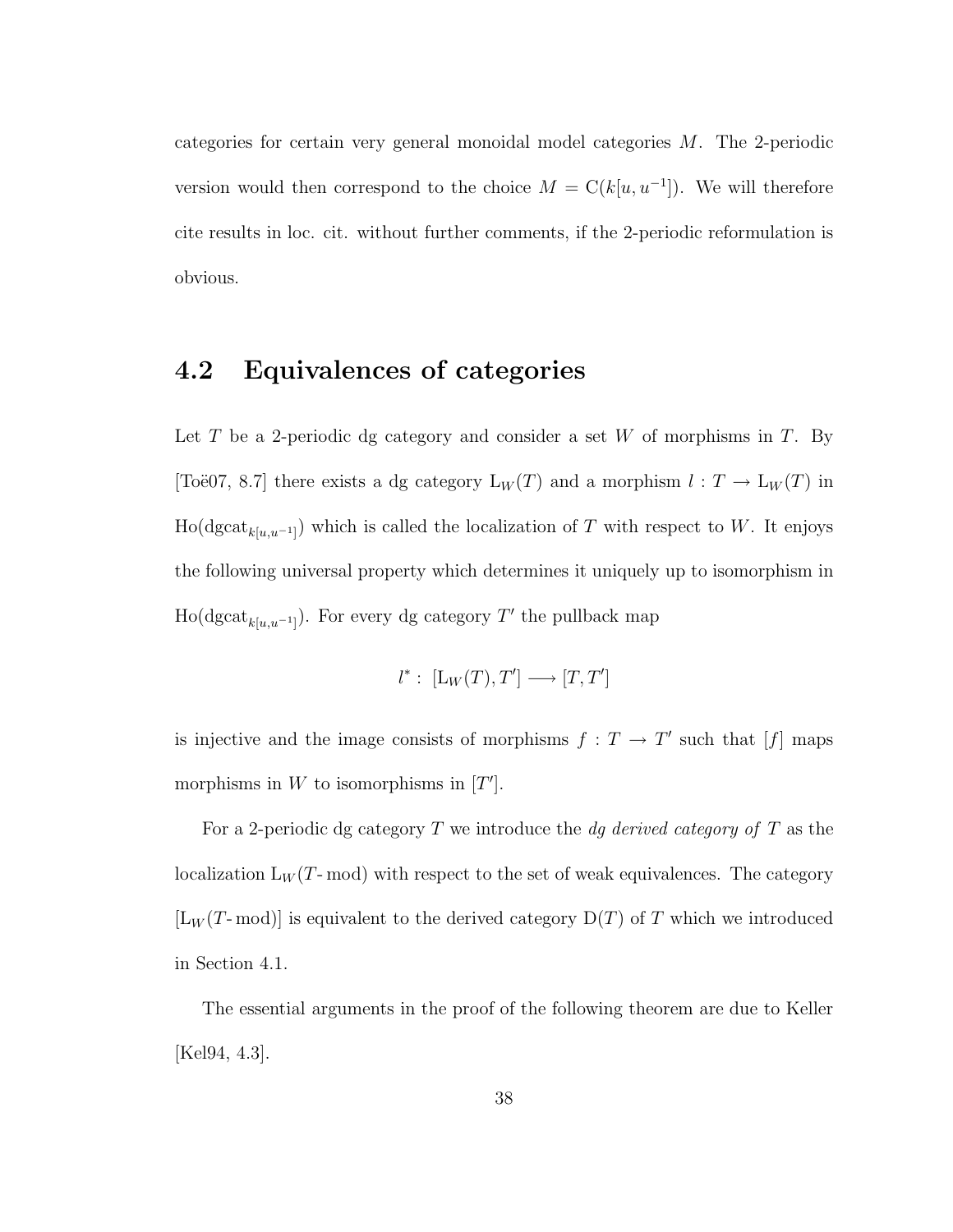categories for certain very general monoidal model categories M. The 2-periodic version would then correspond to the choice  $M = C(k[u, u^{-1}])$ . We will therefore cite results in loc. cit. without further comments, if the 2-periodic reformulation is obvious.

#### 4.2 Equivalences of categories

Let T be a 2-periodic dg category and consider a set W of morphisms in T. By [Toë07, 8.7] there exists a dg category  $L_W(T)$  and a morphism  $l : T \to L_W(T)$  in  $\text{Ho}(\text{dgcat}_{k[u,u^{-1}]} )$  which is called the localization of T with respect to W. It enjoys the following universal property which determines it uniquely up to isomorphism in  $\text{Ho}(\text{dgcat}_{k[u,u^{-1}]}).$  For every dg category  $T'$  the pullback map

$$
l^*: [L_W(T), T'] \longrightarrow [T, T']
$$

is injective and the image consists of morphisms  $f: T \to T'$  such that [f] maps morphisms in  $W$  to isomorphisms in  $[T']$ .

For a 2-periodic dg category T we introduce the *dg derived category of* T as the localization  $L_W(T\text{-mod})$  with respect to the set of weak equivalences. The category  $[L_W(T \text{--} \text{mod})]$  is equivalent to the derived category  $D(T)$  of T which we introduced in Section 4.1.

The essential arguments in the proof of the following theorem are due to Keller [Kel94, 4.3].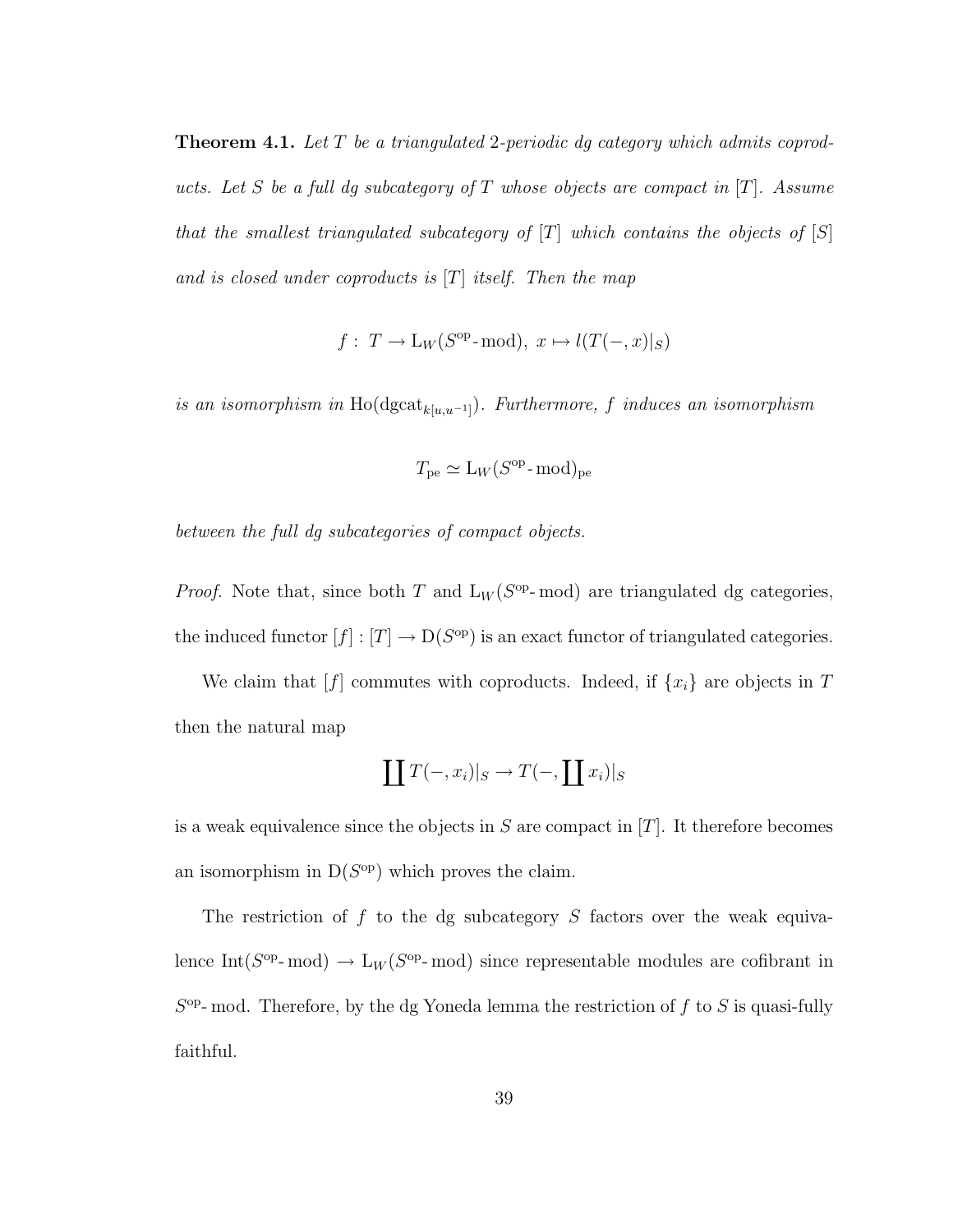Theorem 4.1. *Let* T *be a triangulated* 2*-periodic dg category which admits coproducts. Let* S *be a full dg subcategory of* T *whose objects are compact in* [T]*. Assume that the smallest triangulated subcategory of* [T] *which contains the objects of* [S] *and is closed under coproducts is* [T] *itself. Then the map*

$$
f: T \to L_W(S^{op}\text{-mod}), x \mapsto l(T(-,x)|_S)
$$

 $\alpha$  *is an isomorphism in* Ho( $\text{dgcat}_{k[u,u^{-1}]}$ ). Furthermore, f induces an isomorphism

$$
T_{\text{pe}} \simeq L_W(S^{\text{op}} \text{-}\text{mod})_{\text{pe}}
$$

*between the full dg subcategories of compact objects.*

*Proof.* Note that, since both T and  $L_W(S^{op-} \text{mod})$  are triangulated dg categories, the induced functor  $[f] : [T] \to D(S^{\text{op}})$  is an exact functor of triangulated categories.

We claim that  $[f]$  commutes with coproducts. Indeed, if  $\{x_i\}$  are objects in T then the natural map

$$
\coprod T(-,x_i)|_S \to T(-,\coprod x_i)|_S
$$

is a weak equivalence since the objects in  $S$  are compact in  $[T]$ . It therefore becomes an isomorphism in  $D(S^{op})$  which proves the claim.

The restriction of  $f$  to the dg subcategory  $S$  factors over the weak equivalence Int( $S^{\text{op}}$ -mod)  $\rightarrow$  L<sub>W</sub>( $S^{\text{op}}$ -mod) since representable modules are cofibrant in  $S<sup>op</sup>$ - mod. Therefore, by the dg Yoneda lemma the restriction of f to S is quasi-fully faithful.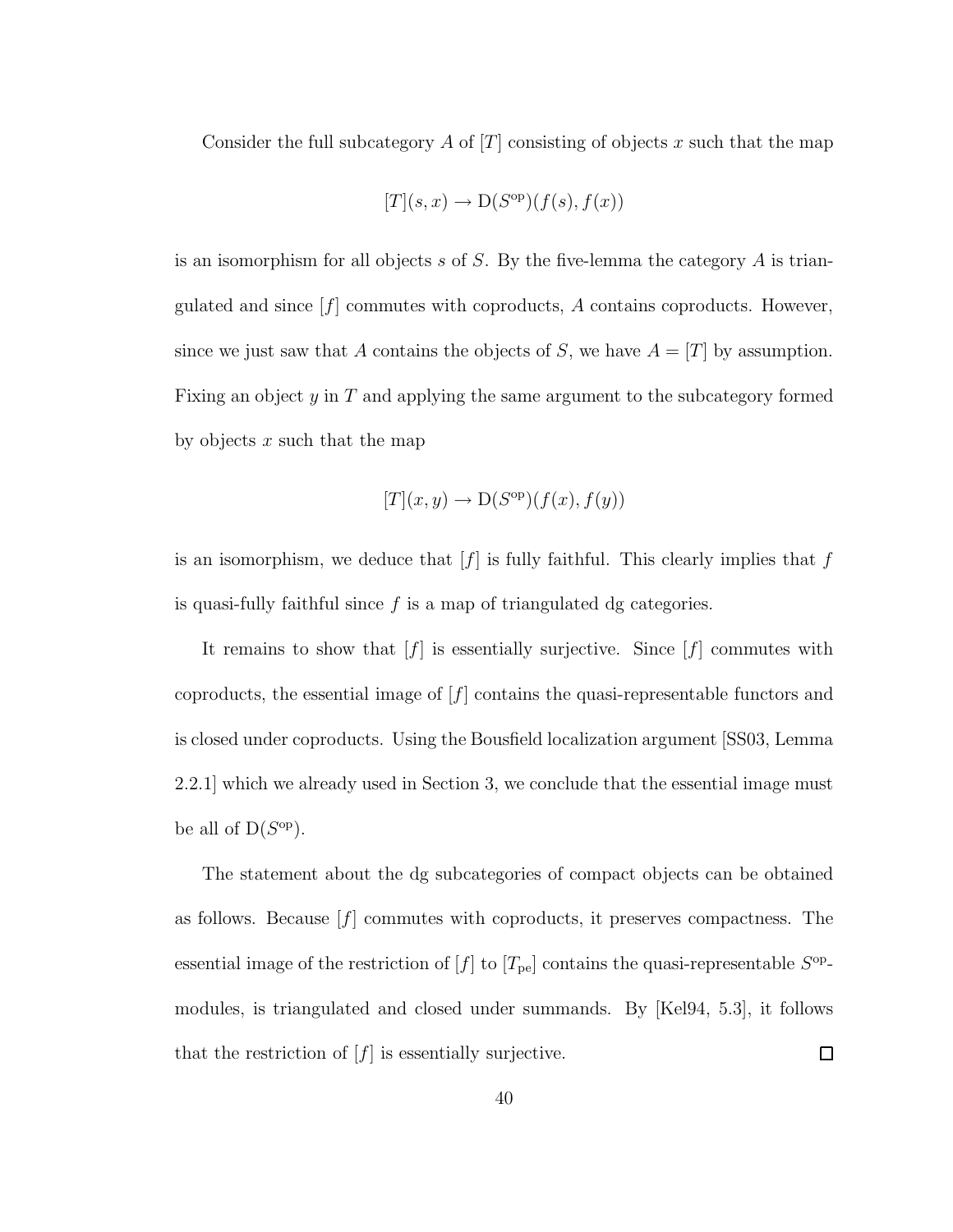Consider the full subcategory A of  $[T]$  consisting of objects x such that the map

$$
[T](s,x) \to D(S^{op})(f(s),f(x))
$$

is an isomorphism for all objects s of S. By the five-lemma the category  $A$  is triangulated and since  $[f]$  commutes with coproducts,  $A$  contains coproducts. However, since we just saw that A contains the objects of S, we have  $A = [T]$  by assumption. Fixing an object y in T and applying the same argument to the subcategory formed by objects  $x$  such that the map

$$
[T](x,y) \to D(S^{op})(f(x),f(y))
$$

is an isomorphism, we deduce that  $[f]$  is fully faithful. This clearly implies that  $f$ is quasi-fully faithful since  $f$  is a map of triangulated dg categories.

It remains to show that  $[f]$  is essentially surjective. Since  $[f]$  commutes with coproducts, the essential image of  $[f]$  contains the quasi-representable functors and is closed under coproducts. Using the Bousfield localization argument [SS03, Lemma 2.2.1] which we already used in Section 3, we conclude that the essential image must be all of  $D(S^{op})$ .

The statement about the dg subcategories of compact objects can be obtained as follows. Because  $[f]$  commutes with coproducts, it preserves compactness. The essential image of the restriction of  $[f]$  to  $[T_{pe}]$  contains the quasi-representable  $S^{op}$ modules, is triangulated and closed under summands. By [Kel94, 5.3], it follows  $\Box$ that the restriction of  $[f]$  is essentially surjective.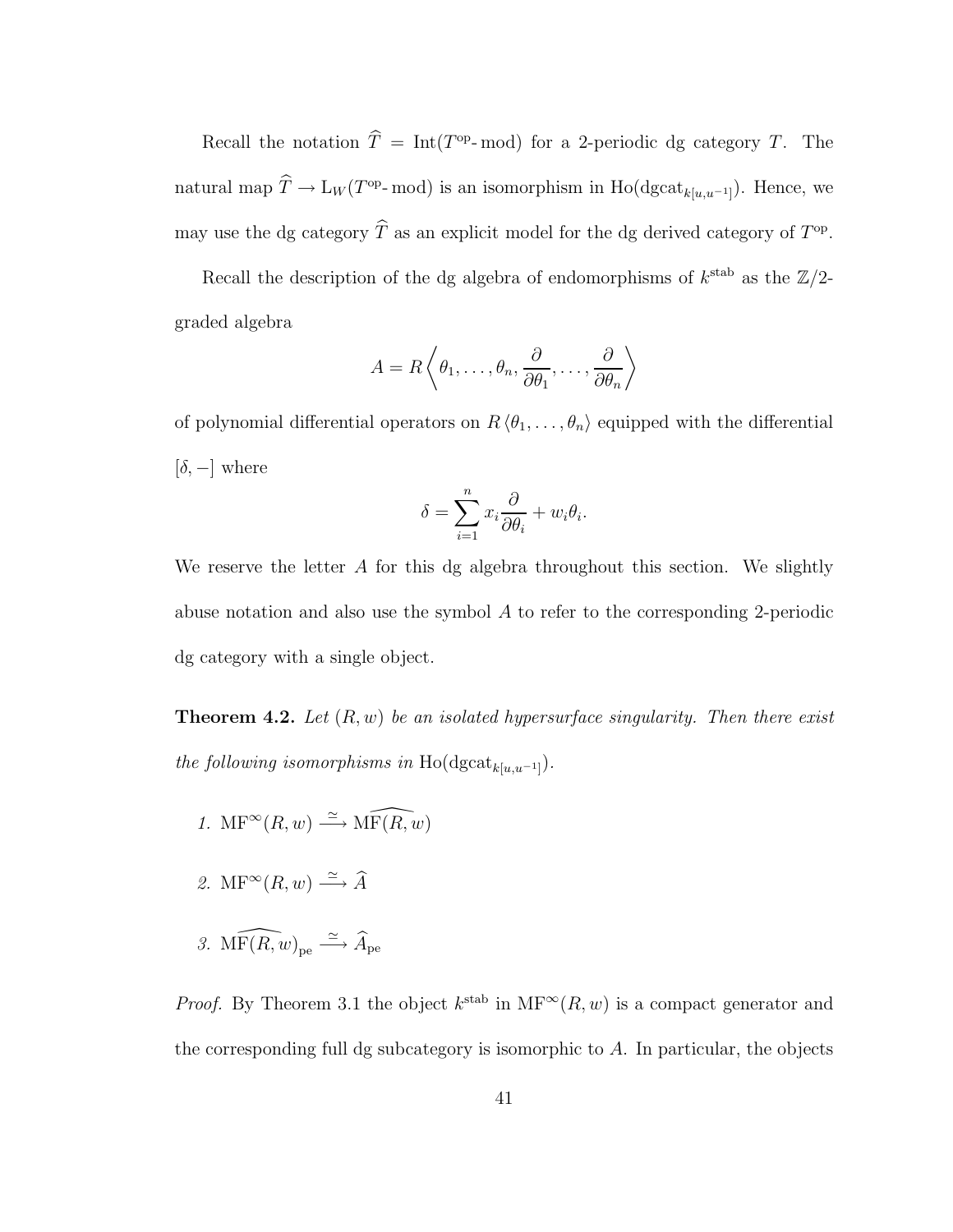Recall the notation  $\hat{T} = \text{Int}(T^{\text{op}}-)$  mod) for a 2-periodic dg category T. The natural map  $\hat{T} \to L_W (T^{\text{op}}-)$  mod) is an isomorphism in Ho(dgcat<sub>k[u,u<sup>-1</sup>]</sub>). Hence, we may use the dg category  $\hat{T}$  as an explicit model for the dg derived category of  $T^{\text{op}}$ .

Recall the description of the dg algebra of endomorphisms of  $k^{\text{stab}}$  as the  $\mathbb{Z}/2$ graded algebra

$$
A = R\left\langle \theta_1, \dots, \theta_n, \frac{\partial}{\partial \theta_1}, \dots, \frac{\partial}{\partial \theta_n} \right\rangle
$$

of polynomial differential operators on  $R \langle \theta_1, \ldots, \theta_n \rangle$  equipped with the differential  $[\delta, -]$  where

$$
\delta = \sum_{i=1}^{n} x_i \frac{\partial}{\partial \theta_i} + w_i \theta_i.
$$

We reserve the letter  $A$  for this dg algebra throughout this section. We slightly abuse notation and also use the symbol  $A$  to refer to the corresponding 2-periodic dg category with a single object.

Theorem 4.2. *Let* (R, w) *be an isolated hypersurface singularity. Then there exist the following isomorphisms in* Ho(dgcat<sub>k[u,u−1]</sub>).

- 1.  $\text{MF}^{\infty}(R, w) \stackrel{\simeq}{\longrightarrow} \widehat{\text{MF}(R, w)}$
- 2.  $\text{MF}^{\infty}(R, w) \xrightarrow{\simeq} \widehat{A}$
- 3.  $\widehat{\mathrm{MF}(R, w)}_{\mathrm{pe}} \xrightarrow{\simeq} \widehat{A}_{\mathrm{pe}}$

*Proof.* By Theorem 3.1 the object  $k^{\text{stab}}$  in  $\text{MF}^{\infty}(R, w)$  is a compact generator and the corresponding full dg subcategory is isomorphic to  $A$ . In particular, the objects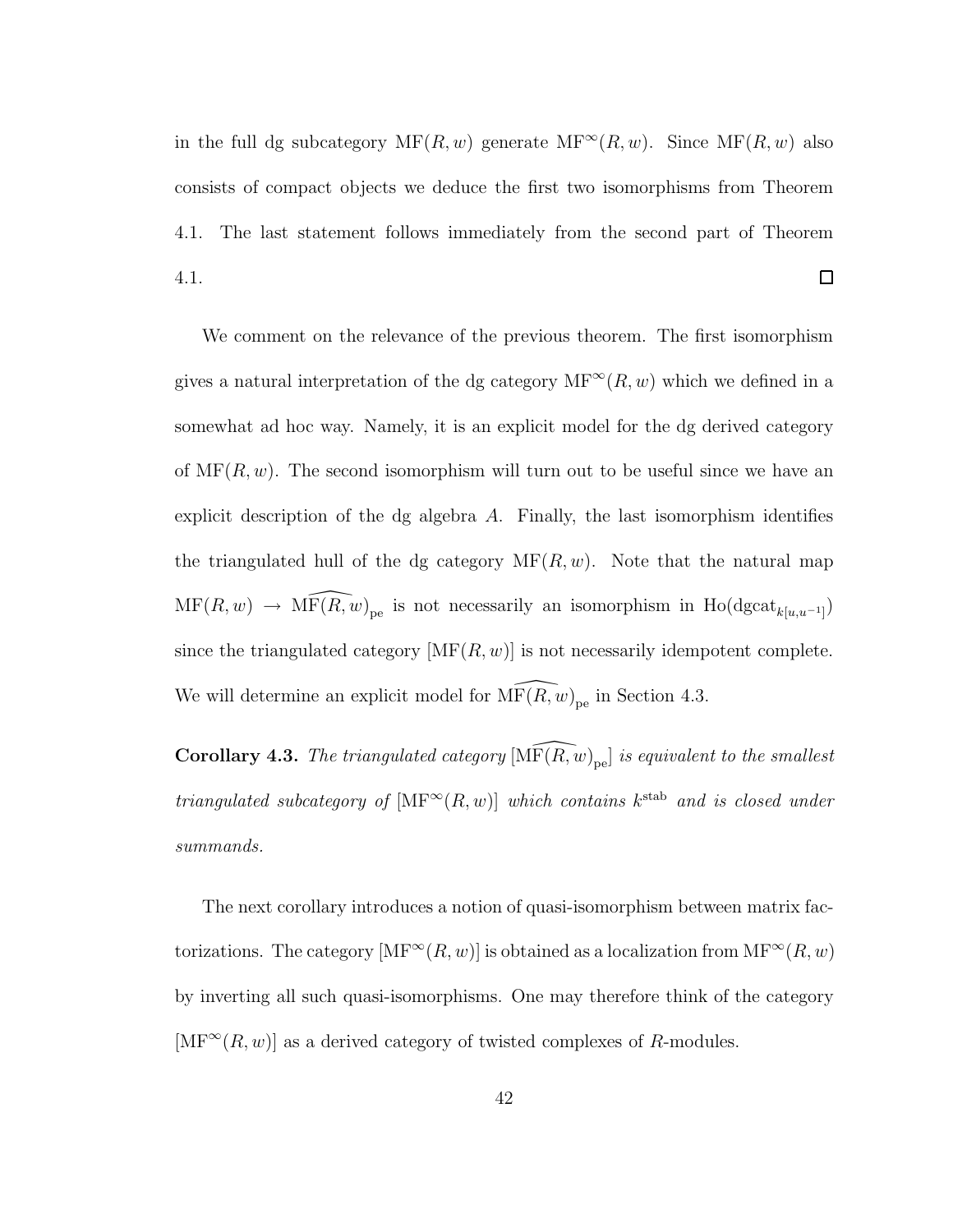in the full dg subcategory  $MF(R, w)$  generate  $MF^{\infty}(R, w)$ . Since  $MF(R, w)$  also consists of compact objects we deduce the first two isomorphisms from Theorem 4.1. The last statement follows immediately from the second part of Theorem  $\Box$ 4.1.

We comment on the relevance of the previous theorem. The first isomorphism gives a natural interpretation of the dg category  $MF^{\infty}(R, w)$  which we defined in a somewhat ad hoc way. Namely, it is an explicit model for the dg derived category of  $MF(R, w)$ . The second isomorphism will turn out to be useful since we have an explicit description of the dg algebra  $A$ . Finally, the last isomorphism identifies the triangulated hull of the dg category  $\text{MF}(R, w)$ . Note that the natural map  $MF(R, w) \rightarrow \widehat{MF(R, w)}_{pe}$  is not necessarily an isomorphism in Ho(dgcat<sub>k[u,u-1]</sub>) since the triangulated category  $[MF(R, w)]$  is not necessarily idempotent complete. We will determine an explicit model for  $\widehat{\text{MF}(R, w)}_{\text{pe}}$  in Section 4.3.

Corollary 4.3. The triangulated category  $[\widehat{\rm MF}(R, w)_{pe}]$  is equivalent to the smallest *triangulated subcategory of*  $[\text{MF}^{\infty}(R, w)]$  *which contains*  $k^{\text{stab}}$  *and is closed under summands.*

The next corollary introduces a notion of quasi-isomorphism between matrix factorizations. The category  $[\text{MF}^{\infty}(R, w)]$  is obtained as a localization from  $\text{MF}^{\infty}(R, w)$ by inverting all such quasi-isomorphisms. One may therefore think of the category  $[\text{MF}^{\infty}(R, w)]$  as a derived category of twisted complexes of R-modules.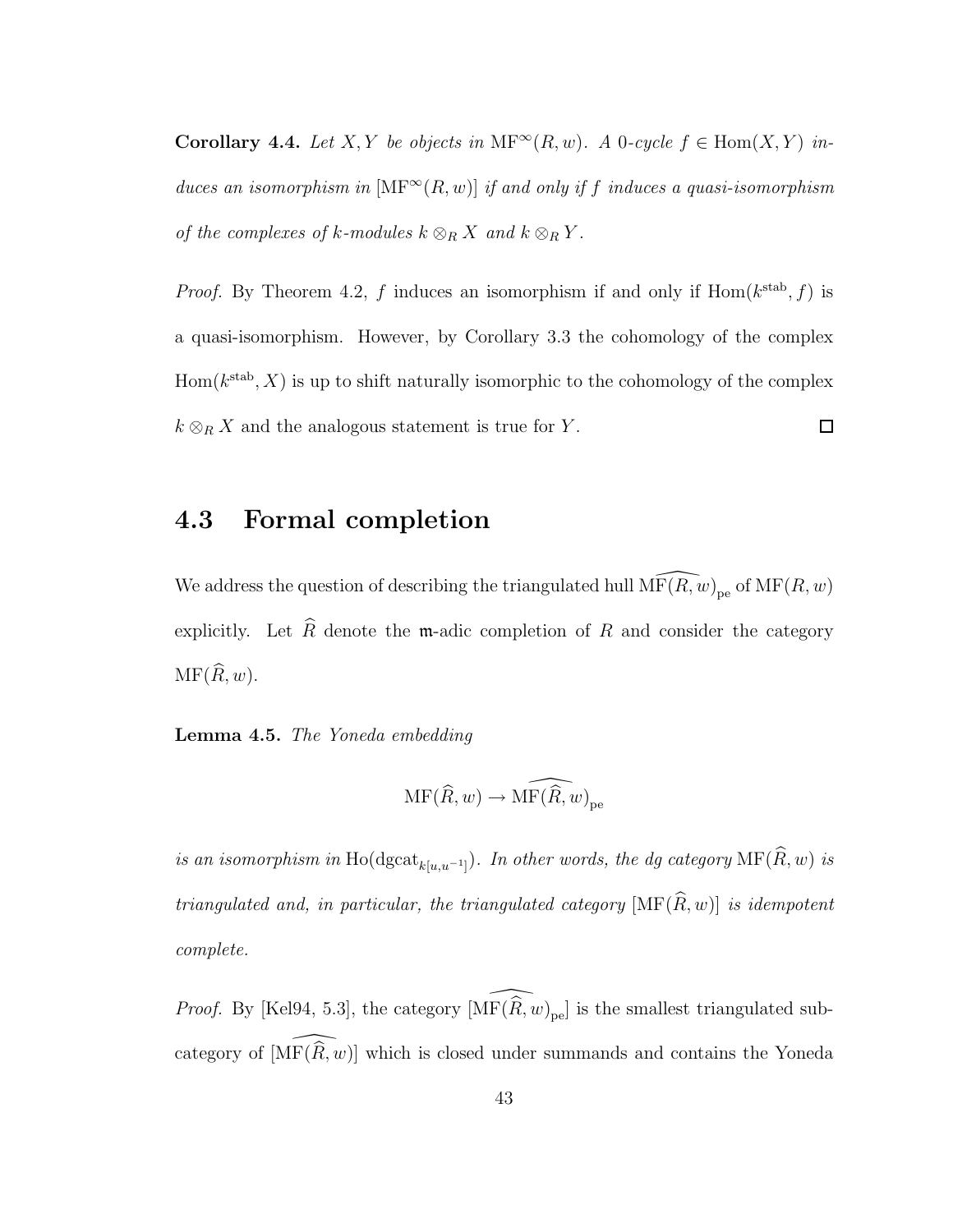Corollary 4.4. *Let*  $X, Y$  *be objects in*  $MF^{\infty}(R, w)$ *. A* 0*-cycle*  $f \in Hom(X, Y)$  *induces an isomorphism in*  $[\text{MF}^{\infty}(R, w)]$  *if and only if f induces a quasi-isomorphism of the complexes of*  $k$ *-modules*  $k \otimes_R X$  *and*  $k \otimes_R Y$ *.* 

*Proof.* By Theorem 4.2, f induces an isomorphism if and only if  $Hom(k^{stab}, f)$  is a quasi-isomorphism. However, by Corollary 3.3 the cohomology of the complex  $Hom(k^{stab}, X)$  is up to shift naturally isomorphic to the cohomology of the complex  $k \otimes_R X$  and the analogous statement is true for Y.  $\Box$ 

#### 4.3 Formal completion

We address the question of describing the triangulated hull  $\widehat{\text{MF}(R, w)}_{\text{pe}}$  of  $\text{MF}(R, w)$ explicitly. Let  $\widehat{R}$  denote the m-adic completion of R and consider the category  $MF(\widehat{R}, w)$ .

#### Lemma 4.5. *The Yoneda embedding*

$$
\mathrm{MF}(\widehat{R},w)\to \widehat{\mathrm{MF}(\widehat{R},w)}_{\mathrm{pe}}
$$

*is an isomorphism in* Ho( $\text{dgcat}_{k[u,u^{-1}]}$ ). In other words, the dg category  $\text{MF}(R, w)$  *is triangulated and, in particular, the triangulated category*  $[\text{MF}(\widehat{R}, w)]$  *is idempotent complete.*

*Proof.* By [Kel94, 5.3], the category  $\widehat{[\text{MF}(\widehat{R}, w)_{pe}]}$  is the smallest triangulated subcategory of  $[\widehat{\mathrm{MF}}(\widehat{R, w})]$  which is closed under summands and contains the Yoneda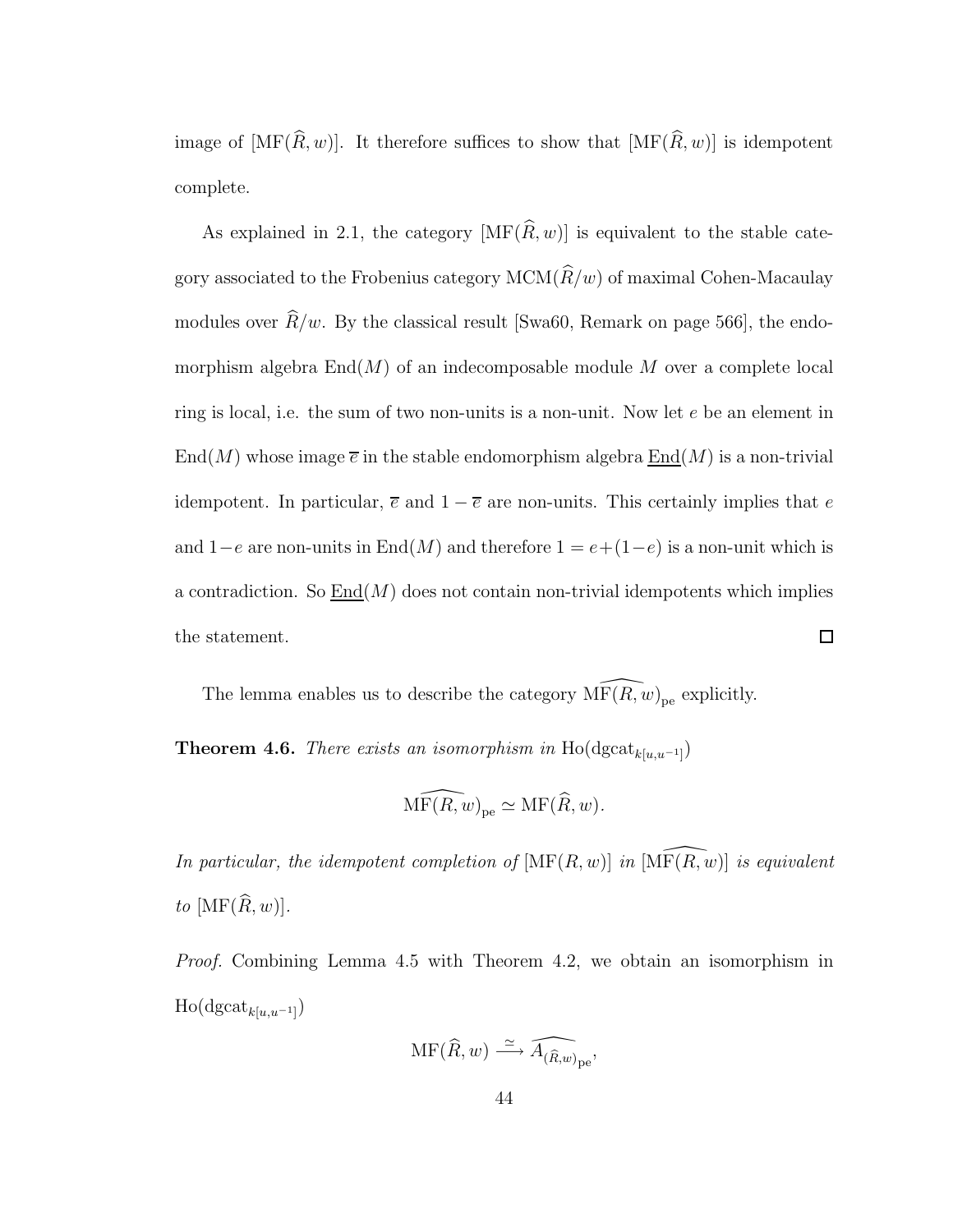image of  $[\text{MF}(\widehat{R}, w)]$ . It therefore suffices to show that  $[\text{MF}(\widehat{R}, w)]$  is idempotent complete.

As explained in 2.1, the category  $[\text{MF}(\widehat{R}, w)]$  is equivalent to the stable category associated to the Frobenius category  $MCM(\hat{R}/w)$  of maximal Cohen-Macaulay modules over  $\widehat{R}/w$ . By the classical result [Swa60, Remark on page 566], the endomorphism algebra  $\text{End}(M)$  of an indecomposable module M over a complete local ring is local, i.e. the sum of two non-units is a non-unit. Now let  $e$  be an element in  $\text{End}(M)$  whose image  $\overline{e}$  in the stable endomorphism algebra  $\text{End}(M)$  is a non-trivial idempotent. In particular,  $\bar{e}$  and  $1 - \bar{e}$  are non-units. This certainly implies that e and  $1-e$  are non-units in End(M) and therefore  $1 = e+(1-e)$  is a non-unit which is a contradiction. So  $\text{End}(M)$  does not contain non-trivial idempotents which implies the statement.  $\Box$ 

The lemma enables us to describe the category  $\widehat{\text{MF}}(R, w)_{pe}$  explicitly.

**Theorem 4.6.** *There exists an isomorphism in*  $\text{Ho}(\text{dgcat}_{k[u,u^{-1}]}),$ 

$$
\widehat{\mathrm{MF}(R,w)}_{\mathrm{pe}} \simeq \mathrm{MF}(\widehat{R},w).
$$

*In particular, the idempotent completion of*  $[\text{MF}(R, w)]$  *in*  $[\text{MF}(R, w)]$  *is equivalent*  $to$  [MF( $\widehat{R}, w$ )].

*Proof.* Combining Lemma 4.5 with Theorem 4.2, we obtain an isomorphism in  $\text{Ho}(\text{dgcat}_{k[u,u^{-1}]}),$ 

$$
\mathrm{MF}(\widehat{R},w) \xrightarrow{\simeq} \widehat{A_{(\widehat{R},w)}}_{\mathrm{pe}},
$$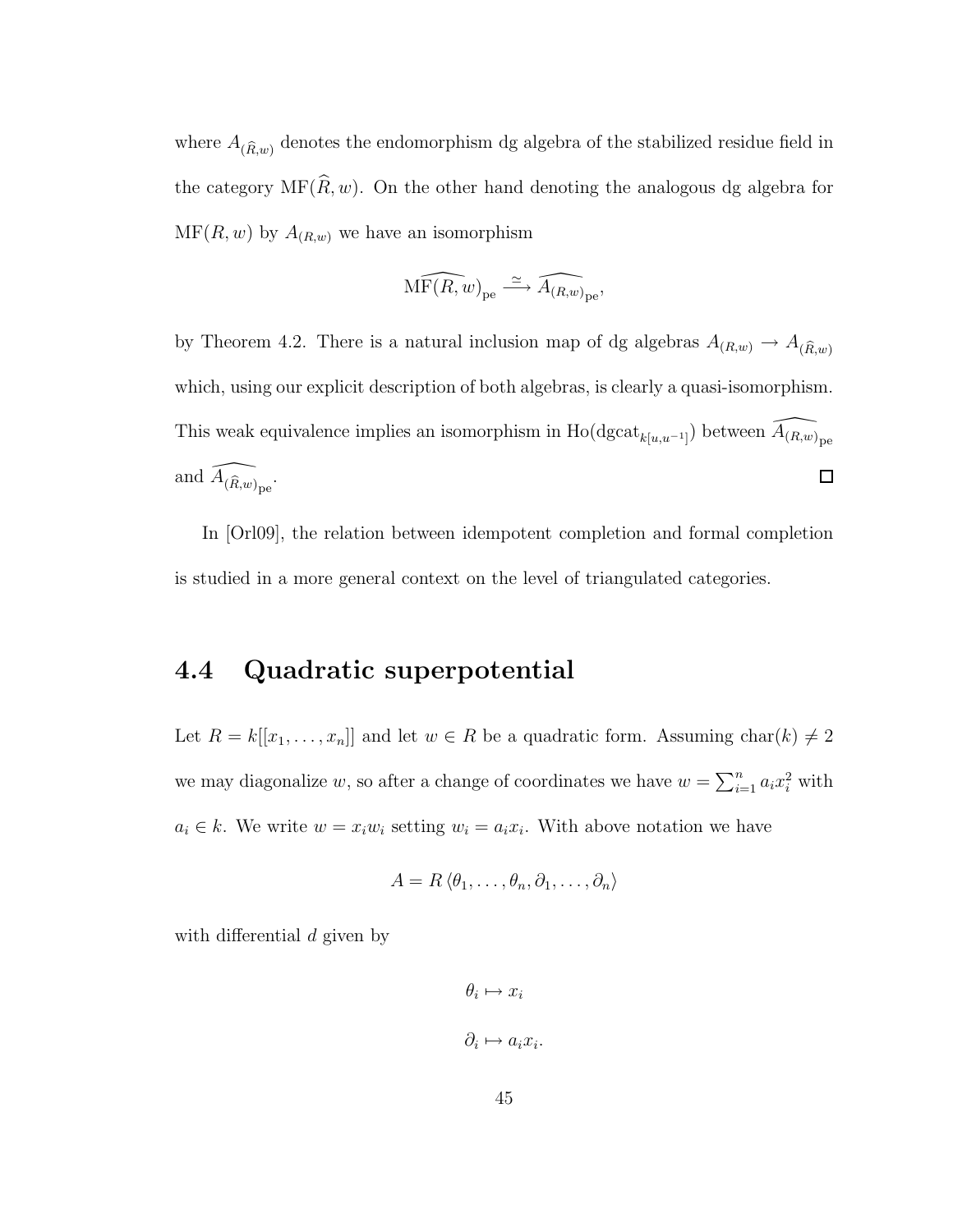where  $A_{(\widehat{R},w)}$  denotes the endomorphism dg algebra of the stabilized residue field in the category  $\text{MF}(\widehat{R}, w)$ . On the other hand denoting the analogous dg algebra for  $\mathrm{MF}(R, w)$  by  $A_{(R, w)}$  we have an isomorphism

$$
\widehat{\mathrm{MF}(R,w)}_{\mathrm{pe}} \xrightarrow{\simeq} \widehat{A_{(R,w)}}_{\mathrm{pe}},
$$

by Theorem 4.2. There is a natural inclusion map of dg algebras  $A_{(R,w)} \to A_{(\hat{R},w)}$ which, using our explicit description of both algebras, is clearly a quasi-isomorphism. This weak equivalence implies an isomorphism in  $\text{Ho}(\text{dgcat}_{k[u,u^{-1}]} )$  between  $\widehat{A_{(R,w)}}_{\text{pe}}$ and  $\widehat{A_{(\hat{R},w)}}_{\mathrm{pe}}$ .  $\Box$ 

In [Orl09], the relation between idempotent completion and formal completion is studied in a more general context on the level of triangulated categories.

#### 4.4 Quadratic superpotential

Let  $R = k[[x_1, \ldots, x_n]]$  and let  $w \in R$  be a quadratic form. Assuming  $char(k) \neq 2$ we may diagonalize w, so after a change of coordinates we have  $w = \sum_{i=1}^{n} a_i x_i^2$  with  $a_i \in k$ . We write  $w = x_i w_i$  setting  $w_i = a_i x_i$ . With above notation we have

$$
A = R \langle \theta_1, \dots, \theta_n, \partial_1, \dots, \partial_n \rangle
$$

with differential d given by

$$
\theta_i \mapsto x_i
$$
  

$$
\partial_i \mapsto a_i x_i.
$$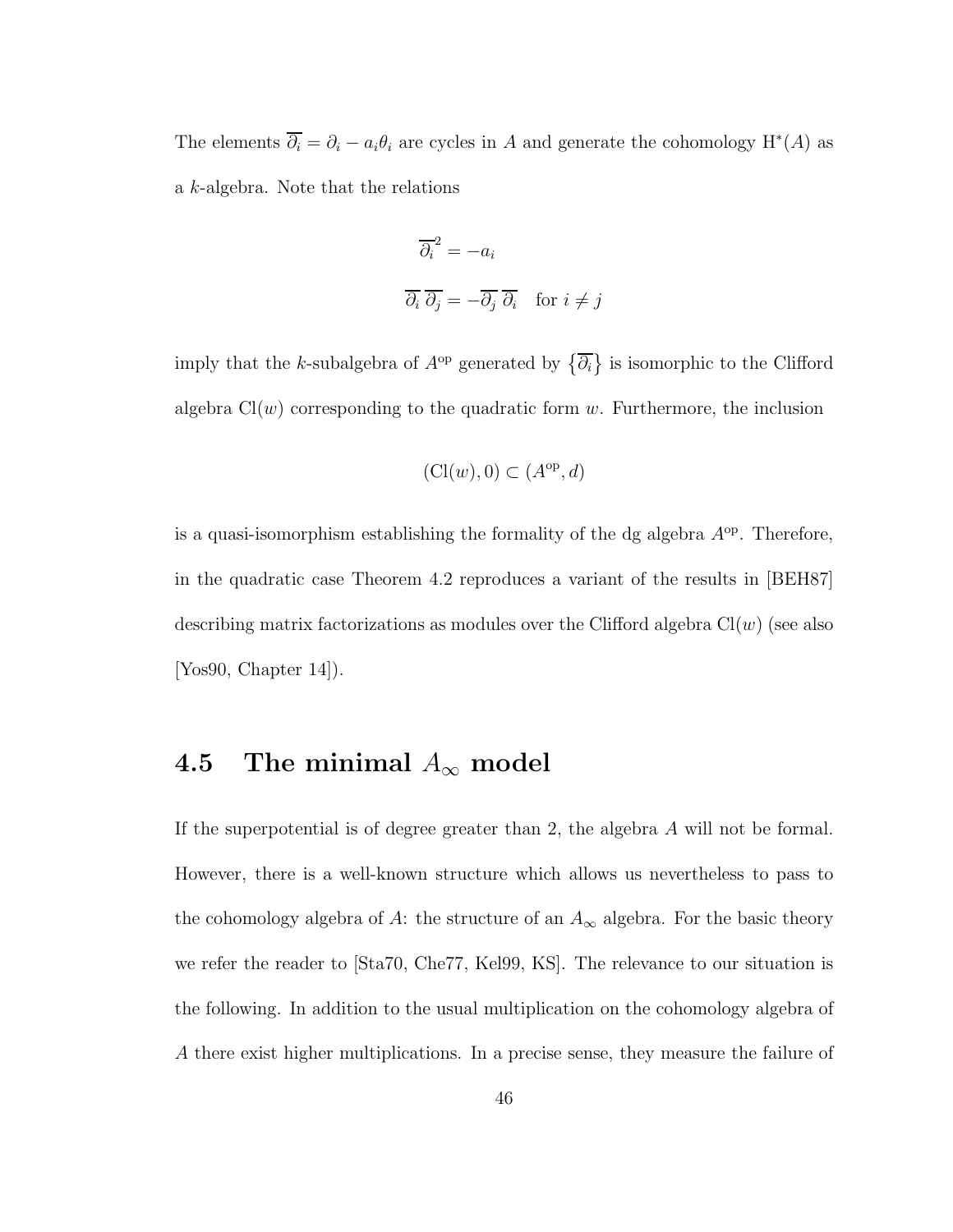The elements  $\overline{\partial_i} = \partial_i - a_i \theta_i$  are cycles in A and generate the cohomology  $H^*(A)$  as a k-algebra. Note that the relations

$$
\overline{\partial_i}^2 = -a_i
$$
  

$$
\overline{\partial_i} \overline{\partial_j} = -\overline{\partial_j} \overline{\partial_i} \quad \text{for } i \neq j
$$

imply that the k-subalgebra of  $A^{\rm op}$  generated by  $\{\overline{\partial_i}\}\$ is isomorphic to the Clifford algebra  $Cl(w)$  corresponding to the quadratic form w. Furthermore, the inclusion

$$
(\mathrm{Cl}(w),0) \subset (A^{\mathrm{op}},d)
$$

is a quasi-isomorphism establishing the formality of the dg algebra  $A^{\rm op}$ . Therefore, in the quadratic case Theorem 4.2 reproduces a variant of the results in [BEH87] describing matrix factorizations as modules over the Clifford algebra  $Cl(w)$  (see also [Yos90, Chapter 14]).

### 4.5 The minimal  $A_{\infty}$  model

If the superpotential is of degree greater than 2, the algebra A will not be formal. However, there is a well-known structure which allows us nevertheless to pass to the cohomology algebra of A: the structure of an  $A_{\infty}$  algebra. For the basic theory we refer the reader to [Sta70, Che77, Kel99, KS]. The relevance to our situation is the following. In addition to the usual multiplication on the cohomology algebra of A there exist higher multiplications. In a precise sense, they measure the failure of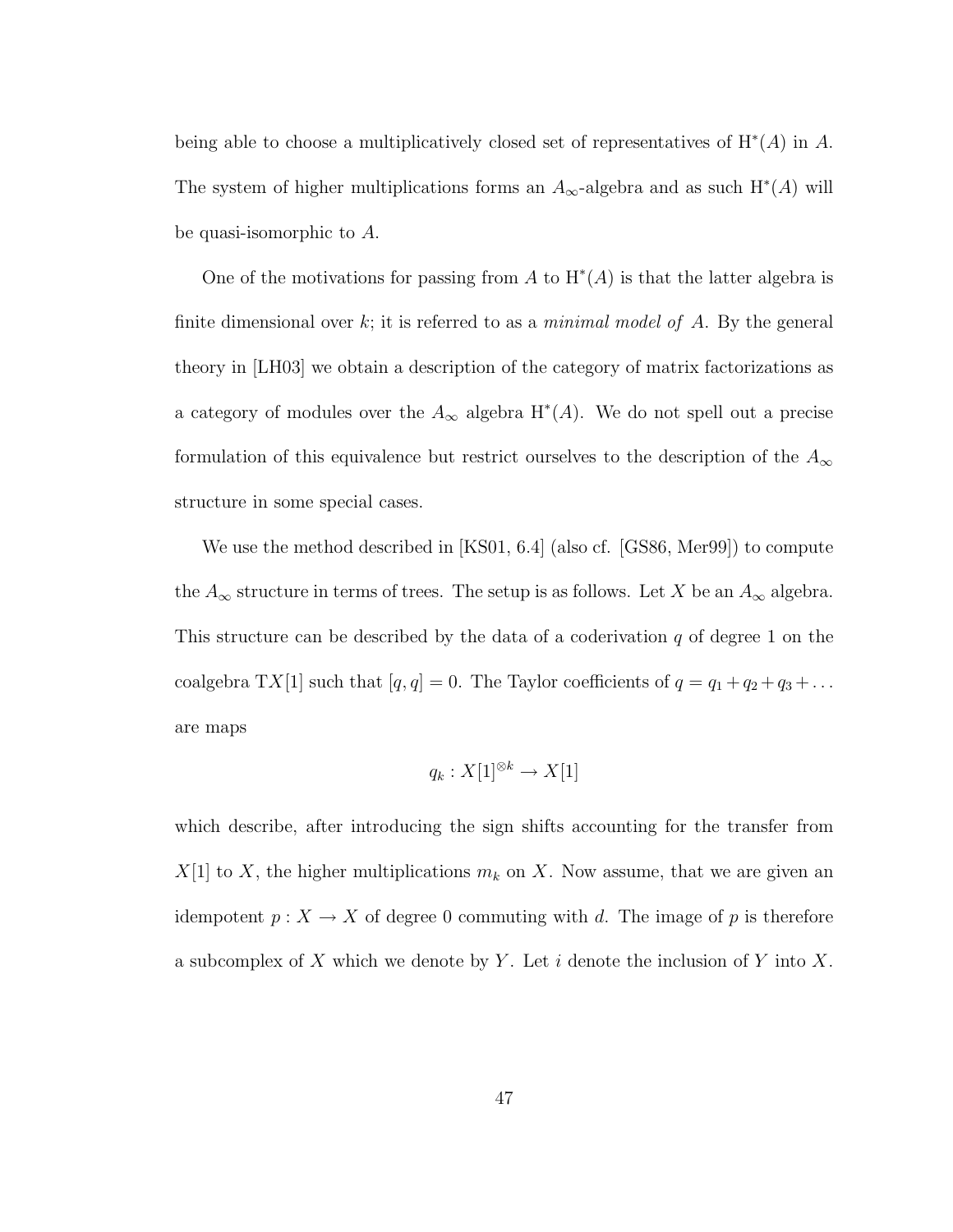being able to choose a multiplicatively closed set of representatives of  $H^*(A)$  in A. The system of higher multiplications forms an  $A_{\infty}$ -algebra and as such  $H^*(A)$  will be quasi-isomorphic to A.

One of the motivations for passing from A to  $H^*(A)$  is that the latter algebra is finite dimensional over k; it is referred to as a *minimal model of* A. By the general theory in [LH03] we obtain a description of the category of matrix factorizations as a category of modules over the  $A_{\infty}$  algebra  $H^*(A)$ . We do not spell out a precise formulation of this equivalence but restrict ourselves to the description of the  $A_{\infty}$ structure in some special cases.

We use the method described in [KS01, 6.4] (also cf. [GS86, Mer99]) to compute the  $A_{\infty}$  structure in terms of trees. The setup is as follows. Let X be an  $A_{\infty}$  algebra. This structure can be described by the data of a coderivation  $q$  of degree 1 on the coalgebra TX[1] such that  $[q, q] = 0$ . The Taylor coefficients of  $q = q_1 + q_2 + q_3 + \dots$ are maps

$$
q_k: X[1]^{\otimes k} \to X[1]
$$

which describe, after introducing the sign shifts accounting for the transfer from  $X[1]$  to X, the higher multiplications  $m_k$  on X. Now assume, that we are given an idempotent  $p: X \to X$  of degree 0 commuting with d. The image of p is therefore a subcomplex of X which we denote by Y. Let  $i$  denote the inclusion of Y into X.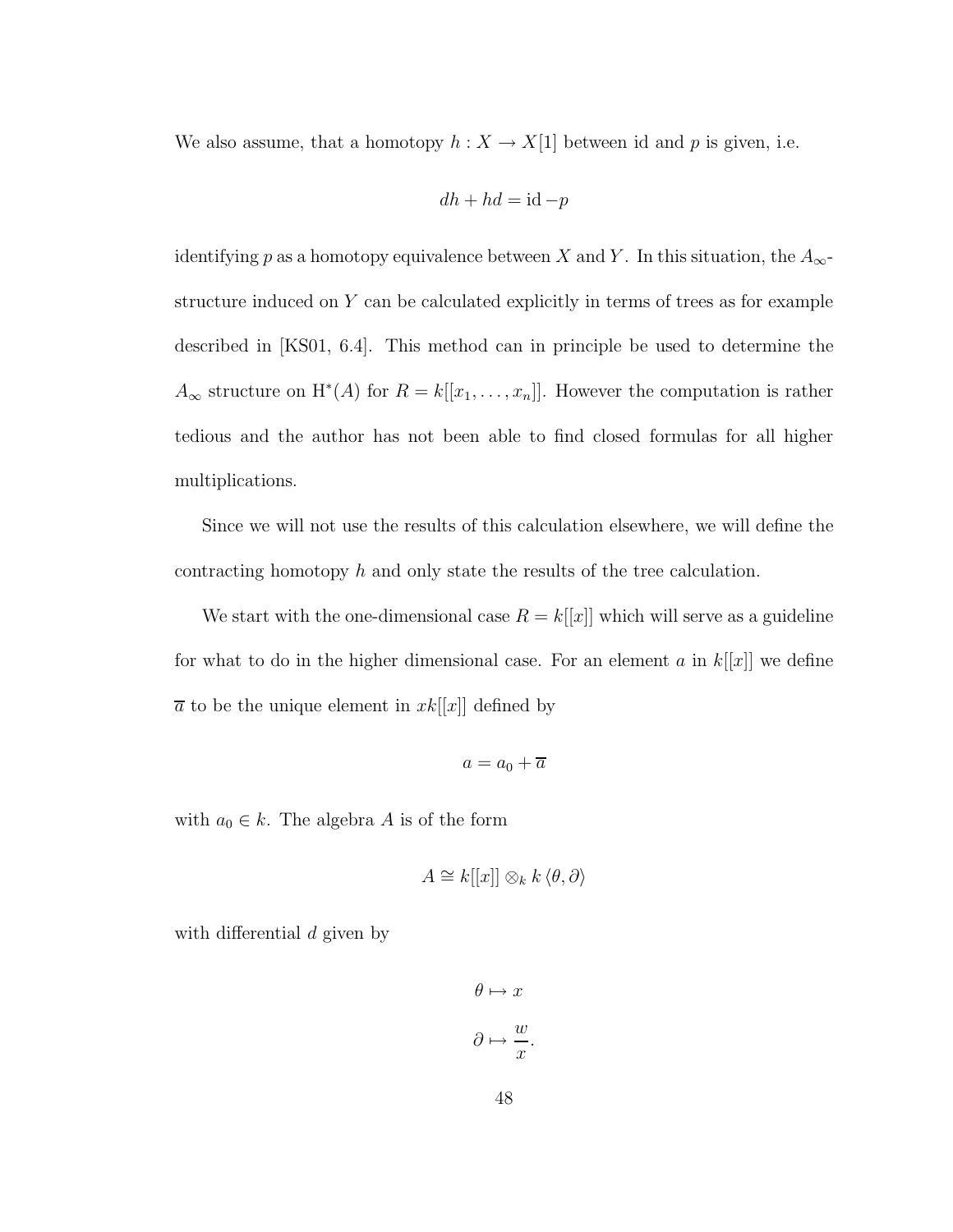We also assume, that a homotopy  $h : X \to X[1]$  between id and p is given, i.e.

$$
dh + hd = \mathrm{id} - p
$$

identifying p as a homotopy equivalence between X and Y. In this situation, the  $A_{\infty}$ structure induced on  $Y$  can be calculated explicitly in terms of trees as for example described in [KS01, 6.4]. This method can in principle be used to determine the  $A_{\infty}$  structure on  $H^*(A)$  for  $R = k[[x_1, \ldots, x_n]]$ . However the computation is rather tedious and the author has not been able to find closed formulas for all higher multiplications.

Since we will not use the results of this calculation elsewhere, we will define the contracting homotopy h and only state the results of the tree calculation.

We start with the one-dimensional case  $R = k[[x]]$  which will serve as a guideline for what to do in the higher dimensional case. For an element  $a$  in  $k[[x]]$  we define  $\overline{a}$  to be the unique element in  $xk[[x]]$  defined by

$$
a = a_0 + \overline{a}
$$

with  $a_0 \in k$ . The algebra A is of the form

$$
A \cong k[[x]] \otimes_k k \langle \theta, \partial \rangle
$$

with differential d given by

$$
\theta \mapsto x
$$

$$
\partial \mapsto \frac{w}{x}.
$$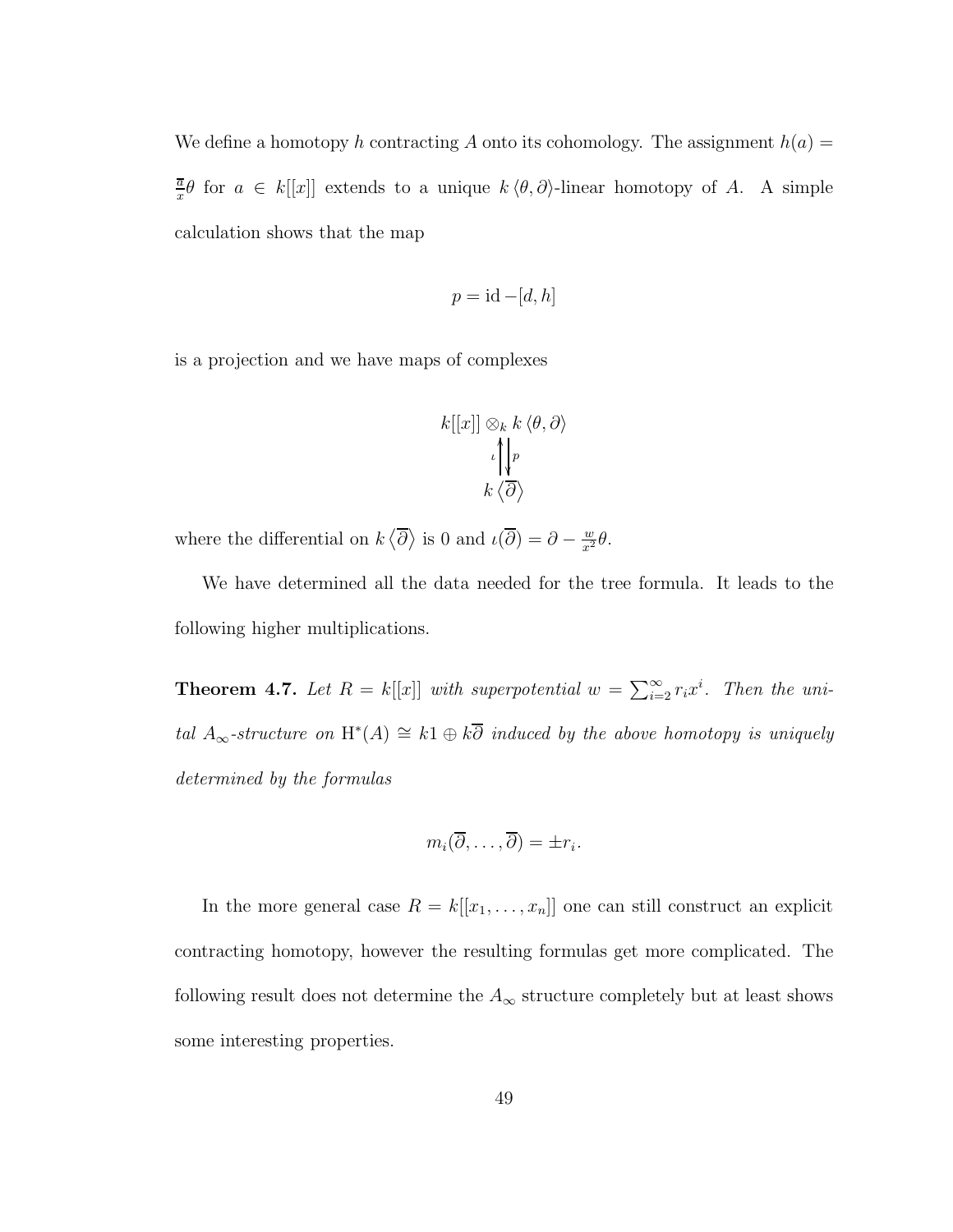We define a homotopy h contracting A onto its cohomology. The assignment  $h(a)$  = a  $\frac{\overline{a}}{x}\theta$  for  $a \in k[[x]]$  extends to a unique  $k \langle \theta, \partial \rangle$ -linear homotopy of A. A simple calculation shows that the map

$$
p = id - [d, h]
$$

is a projection and we have maps of complexes

$$
k[[x]] \otimes_k k \langle \theta, \partial \rangle
$$

$$
\iota \left\| \begin{matrix} p \\ p \\ k \langle \overline{\partial} \rangle \end{matrix} \right\|
$$

where the differential on  $k \langle \overline{\partial} \rangle$  is 0 and  $\iota(\overline{\partial}) = \partial - \frac{w}{x^2} \theta$ .

We have determined all the data needed for the tree formula. It leads to the following higher multiplications.

**Theorem 4.7.** Let  $R = k[[x]]$  with superpotential  $w = \sum_{i=2}^{\infty} r_i x^i$ . Then the uni*tal*  $A_{\infty}$ -structure on H<sup>\*</sup>(A) ≅ k1 ⊕ k $\overline{\partial}$  *induced by the above homotopy is uniquely determined by the formulas*

$$
m_i(\overline{\partial},\ldots,\overline{\partial})=\pm r_i.
$$

In the more general case  $R = k[[x_1, \ldots, x_n]]$  one can still construct an explicit contracting homotopy, however the resulting formulas get more complicated. The following result does not determine the  $A_\infty$  structure completely but at least shows some interesting properties.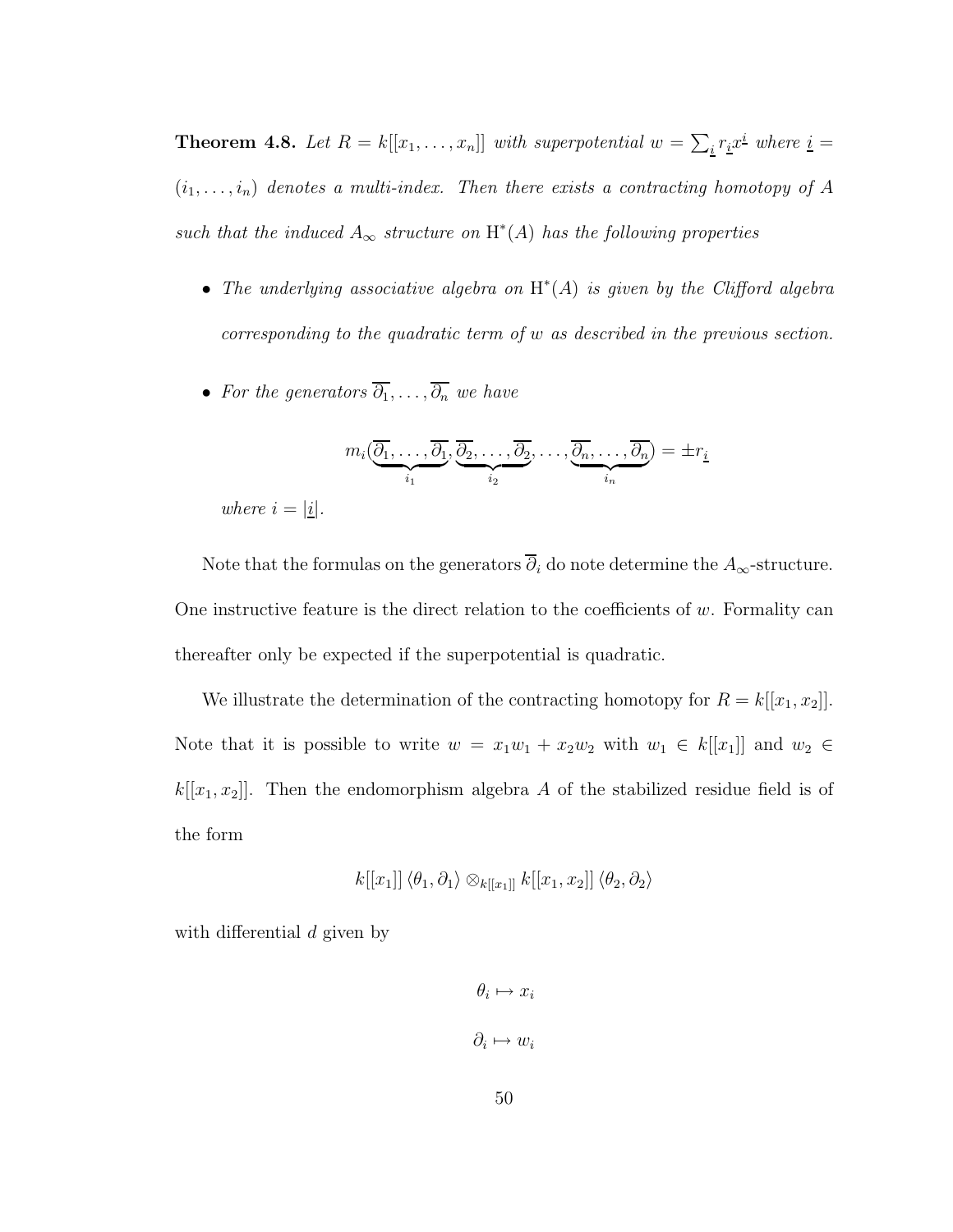**Theorem 4.8.** Let  $R = k[[x_1, \ldots, x_n]]$  with superpotential  $w = \sum_i r_i x^i$  where  $i =$  $(i_1, \ldots, i_n)$  *denotes a multi-index. Then there exists a contracting homotopy of*  $A$ such that the induced  $A_{\infty}$  structure on  $H^*(A)$  has the following properties

- *The underlying associative algebra on* H ∗ (A) *is given by the Clifford algebra corresponding to the quadratic term of* w *as described in the previous section.*
- *For the generators*  $\overline{\partial_1}, \ldots, \overline{\partial_n}$  *we have*

$$
m_i(\underbrace{\overline{\partial_1},\ldots,\overline{\partial_1}}_{i_1},\underbrace{\overline{\partial_2},\ldots,\overline{\partial_2}}_{i_2},\ldots,\underbrace{\overline{\partial_n},\ldots,\overline{\partial_n}}_{i_n})=\pm r_{\underline{i}}
$$

*where*  $i = |i|$ *.* 

Note that the formulas on the generators  $\overline{\partial}_i$  do note determine the  $A_{\infty}$ -structure. One instructive feature is the direct relation to the coefficients of  $w$ . Formality can thereafter only be expected if the superpotential is quadratic.

We illustrate the determination of the contracting homotopy for  $R = k[[x_1, x_2]]$ . Note that it is possible to write  $w = x_1w_1 + x_2w_2$  with  $w_1 \in k[[x_1]]$  and  $w_2 \in$  $k[[x_1, x_2]]$ . Then the endomorphism algebra A of the stabilized residue field is of the form

$$
k[[x_1]] \langle \theta_1, \partial_1 \rangle \otimes_{k[[x_1]]} k[[x_1, x_2]] \langle \theta_2, \partial_2 \rangle
$$

with differential d given by

$$
\theta_i \mapsto x_i
$$
  

$$
\partial_i \mapsto w_i
$$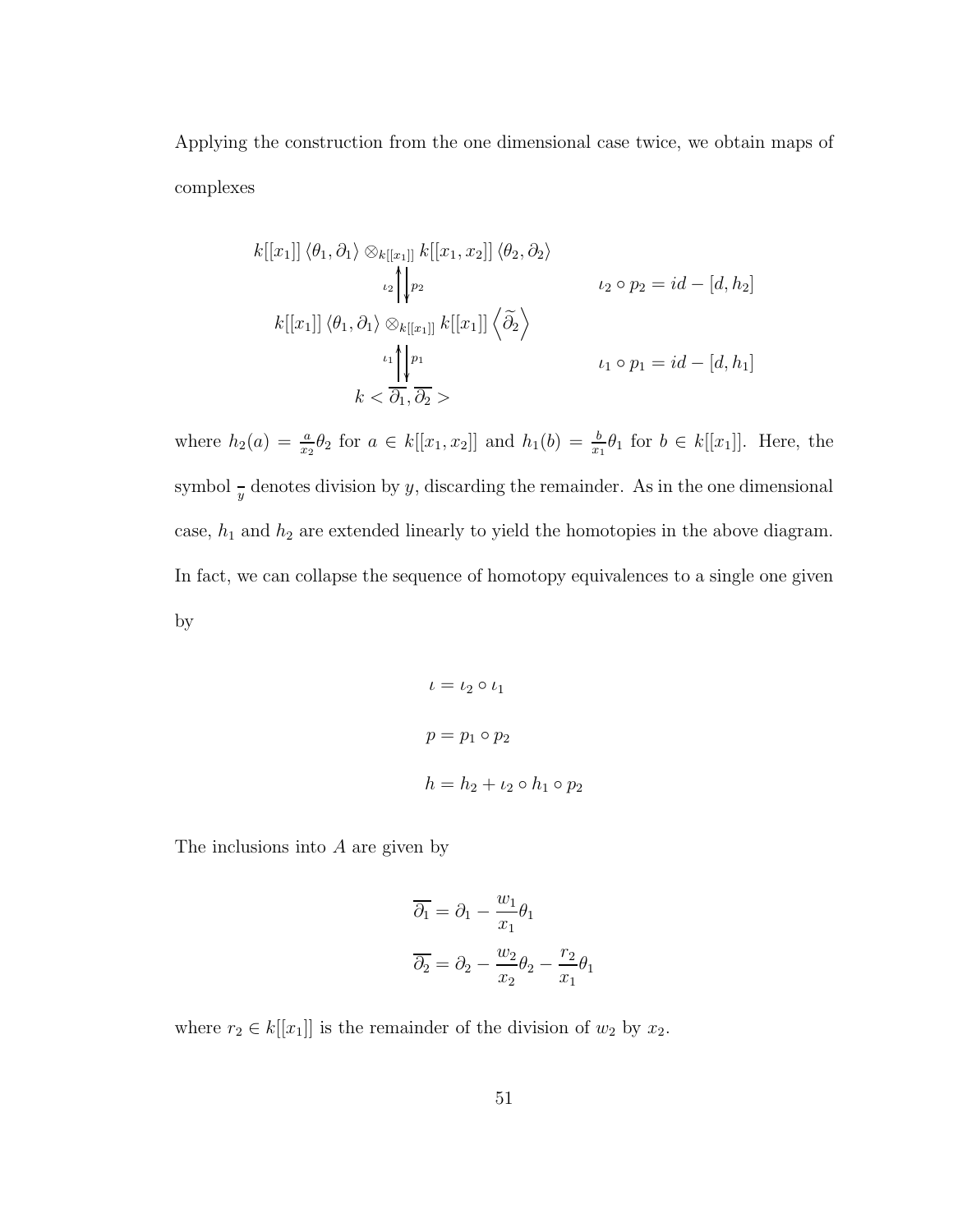Applying the construction from the one dimensional case twice, we obtain maps of complexes

$$
k[[x_1]] \langle \theta_1, \partial_1 \rangle \otimes_{k[[x_1]]} k[[x_1, x_2]] \langle \theta_2, \partial_2 \rangle
$$
  
\n
$$
\downarrow_2 \downarrow_{p_2} \qquad \qquad \downarrow_2 \circ p_2 = id - [d, h_2]
$$
  
\n
$$
k[[x_1]] \langle \theta_1, \partial_1 \rangle \otimes_{k[[x_1]]} k[[x_1]] \langle \widetilde{\partial}_2 \rangle
$$
  
\n
$$
\downarrow_1 \circ p_1 = id - [d, h_1]
$$
  
\n
$$
k < \overline{\partial_1}, \overline{\partial_2} >
$$

where  $h_2(a) = \frac{a}{x_2} \theta_2$  for  $a \in k[[x_1, x_2]]$  and  $h_1(b) = \frac{b}{x_1} \theta_1$  for  $b \in k[[x_1]]$ . Here, the symbol  $\frac{1}{y}$  denotes division by y, discarding the remainder. As in the one dimensional case,  $h_1$  and  $h_2$  are extended linearly to yield the homotopies in the above diagram. In fact, we can collapse the sequence of homotopy equivalences to a single one given by

$$
\iota = \iota_2 \circ \iota_1
$$

$$
p = p_1 \circ p_2
$$

$$
h = h_2 + \iota_2 \circ h_1 \circ p_2
$$

The inclusions into A are given by

$$
\overline{\partial_1} = \partial_1 - \frac{w_1}{x_1} \theta_1
$$

$$
\overline{\partial_2} = \partial_2 - \frac{w_2}{x_2} \theta_2 - \frac{r_2}{x_1} \theta_1
$$

where  $r_2 \in k[[x_1]]$  is the remainder of the division of  $w_2$  by  $x_2$ .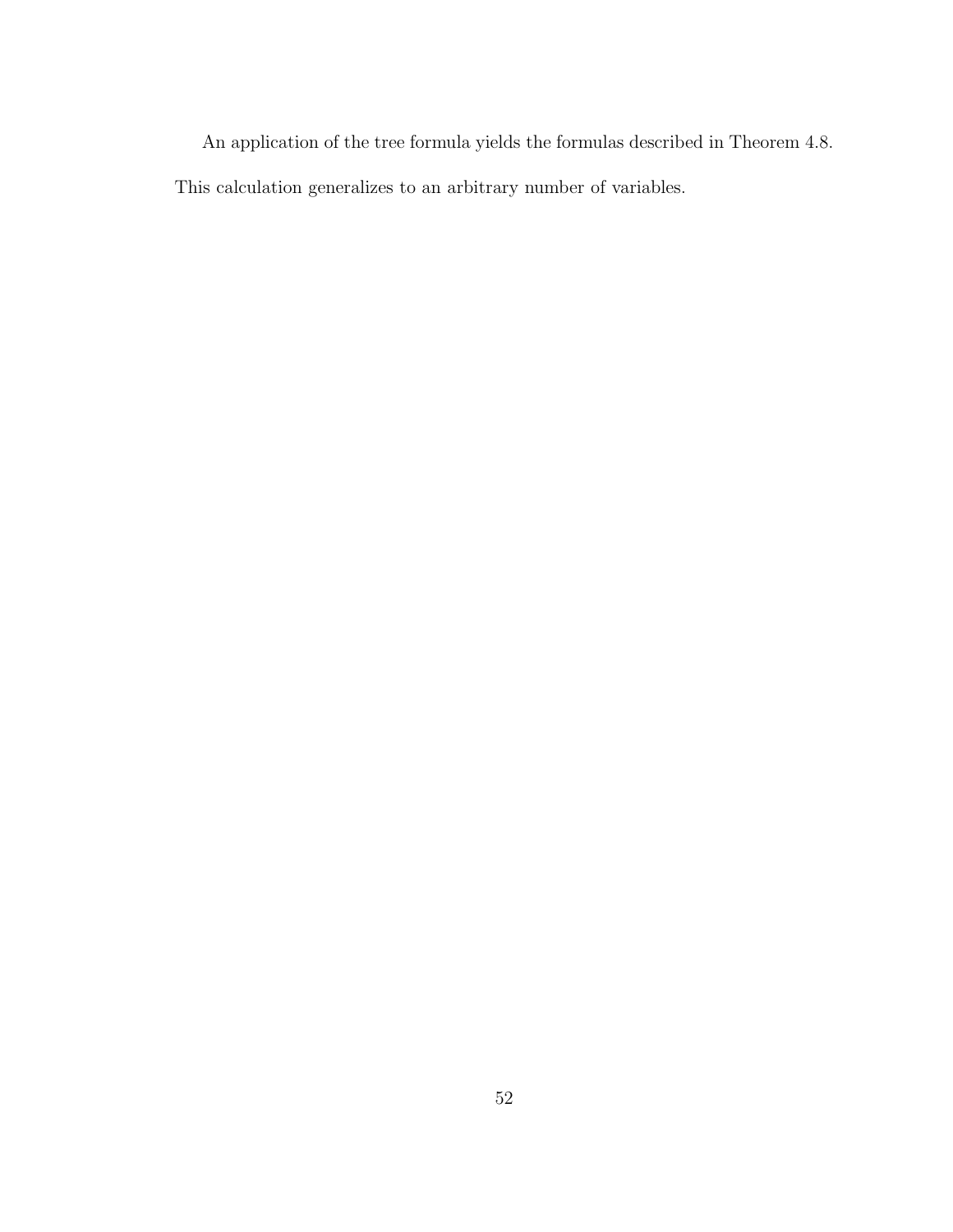An application of the tree formula yields the formulas described in Theorem 4.8. This calculation generalizes to an arbitrary number of variables.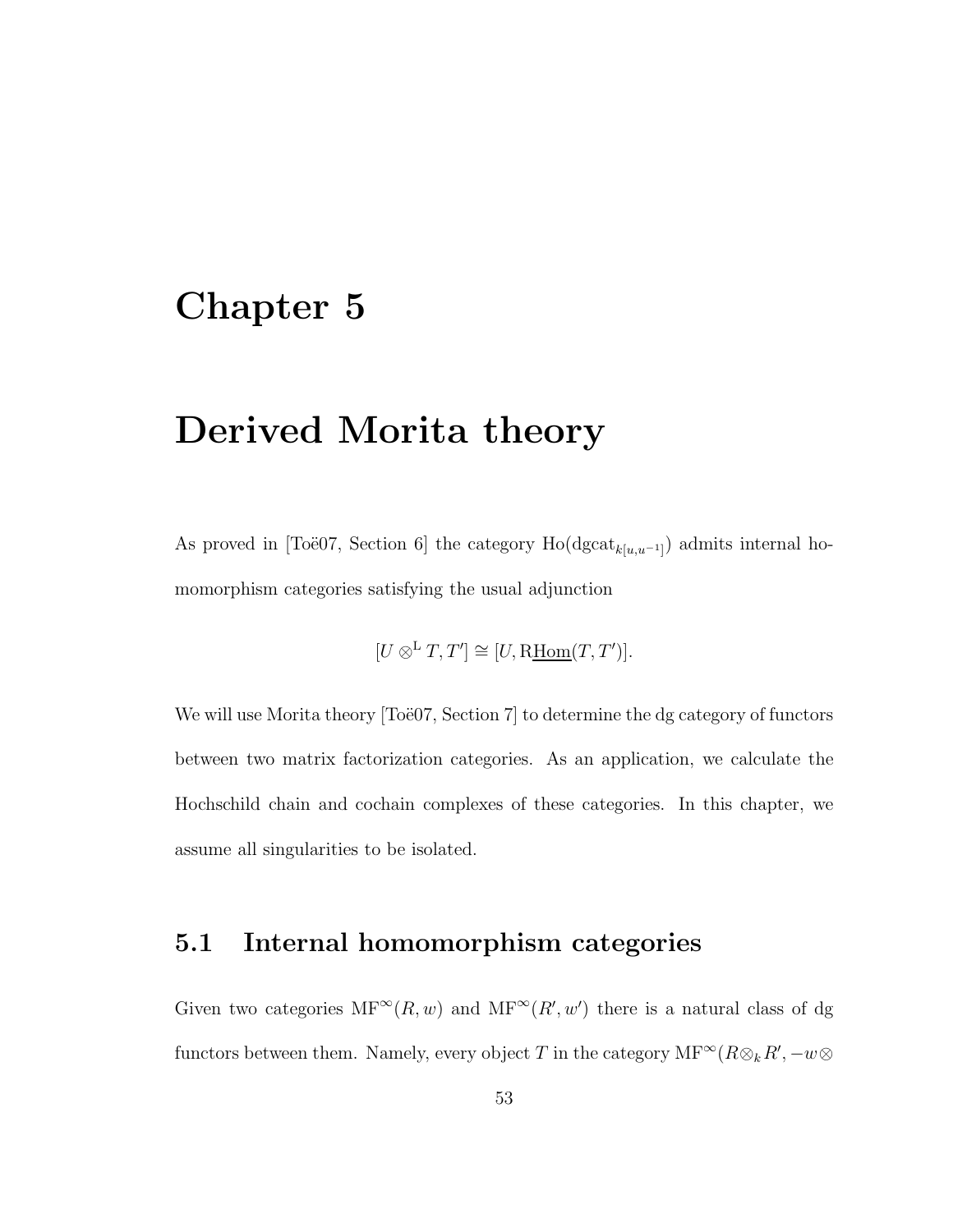## Chapter 5

## Derived Morita theory

As proved in [Toë07, Section 6] the category  $\text{Ho}(\text{dgcat}_{k[u,u^{-1}]} )$  admits internal homomorphism categories satisfying the usual adjunction

$$
[U \otimes^{\mathbf{L}} T, T'] \cong [U, \text{R\underline{Hom}}(T, T')].
$$

We will use Morita theory  $[To"e07, Section 7]$  to determine the dg category of functors between two matrix factorization categories. As an application, we calculate the Hochschild chain and cochain complexes of these categories. In this chapter, we assume all singularities to be isolated.

#### 5.1 Internal homomorphism categories

Given two categories  $MF^{\infty}(R, w)$  and  $MF^{\infty}(R', w')$  there is a natural class of dg functors between them. Namely, every object T in the category  $\text{MF}^{\infty}(R \otimes_k R', -w \otimes$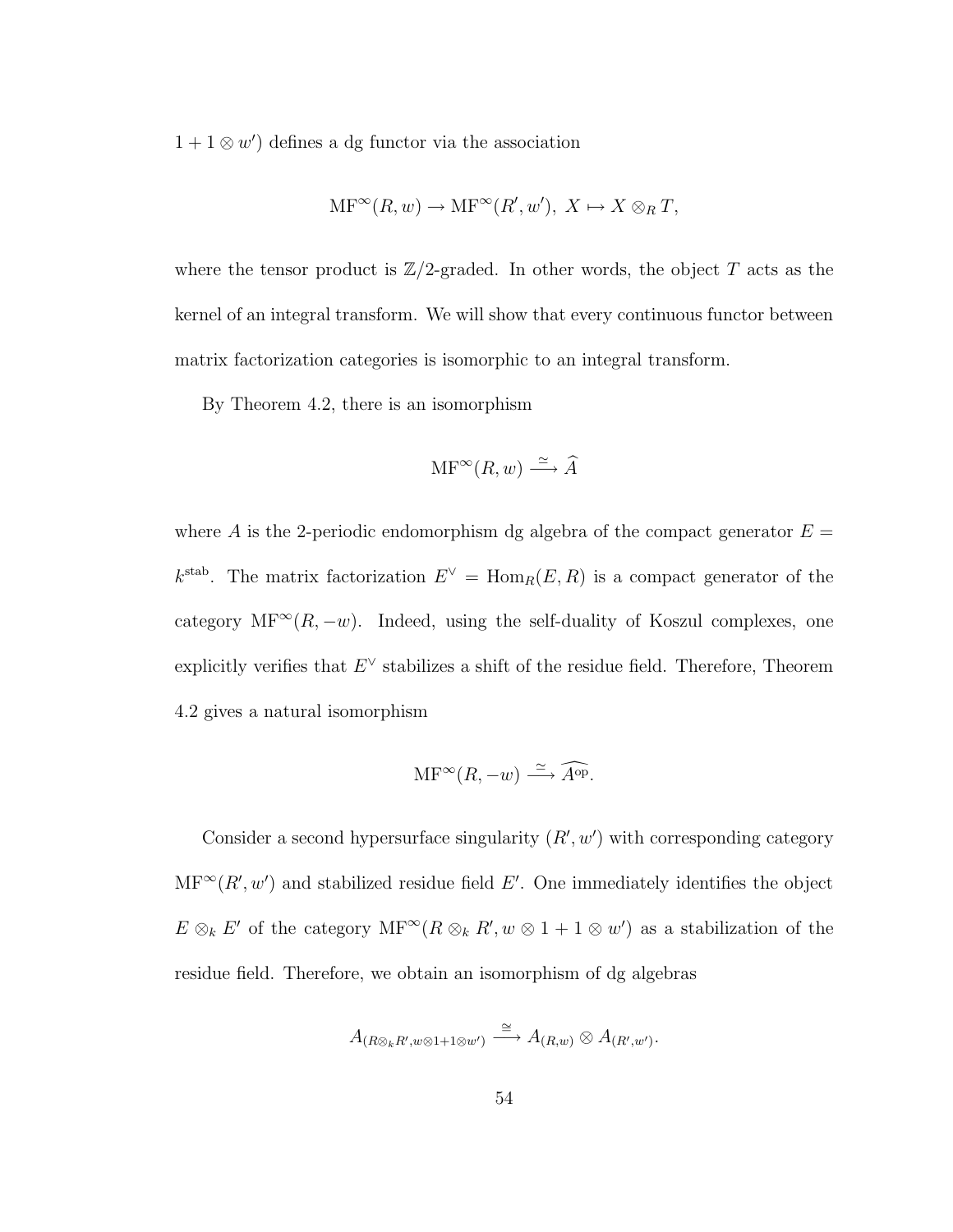$1 + 1 \otimes w'$  defines a dg functor via the association

$$
\mathrm{MF}^{\infty}(R, w) \to \mathrm{MF}^{\infty}(R', w'), X \mapsto X \otimes_R T,
$$

where the tensor product is  $\mathbb{Z}/2$ -graded. In other words, the object T acts as the kernel of an integral transform. We will show that every continuous functor between matrix factorization categories is isomorphic to an integral transform.

By Theorem 4.2, there is an isomorphism

$$
\mathrm{MF}^\infty(R, w) \xrightarrow{\simeq} \widehat{A}
$$

where A is the 2-periodic endomorphism dg algebra of the compact generator  $E =$  $k^{\text{stab}}$ . The matrix factorization  $E^{\vee} = \text{Hom}_{R}(E, R)$  is a compact generator of the category MF<sup>∞</sup>( $R, -w$ ). Indeed, using the self-duality of Koszul complexes, one explicitly verifies that  $E^{\vee}$  stabilizes a shift of the residue field. Therefore, Theorem 4.2 gives a natural isomorphism

$$
\mathrm{MF}^{\infty}(R, -w) \xrightarrow{\simeq} \widehat{A^{\mathrm{op}}}.
$$

Consider a second hypersurface singularity  $(R, w')$  with corresponding category  $MF^{\infty}(R', w')$  and stabilized residue field E'. One immediately identifies the object  $E \otimes_k E'$  of the category  $MF^{\infty}(R \otimes_k R', w \otimes 1 + 1 \otimes w')$  as a stabilization of the residue field. Therefore, we obtain an isomorphism of dg algebras

$$
A_{(R\otimes_k R', w\otimes 1+1\otimes w')} \stackrel{\cong}{\longrightarrow} A_{(R,w)} \otimes A_{(R',w')}.
$$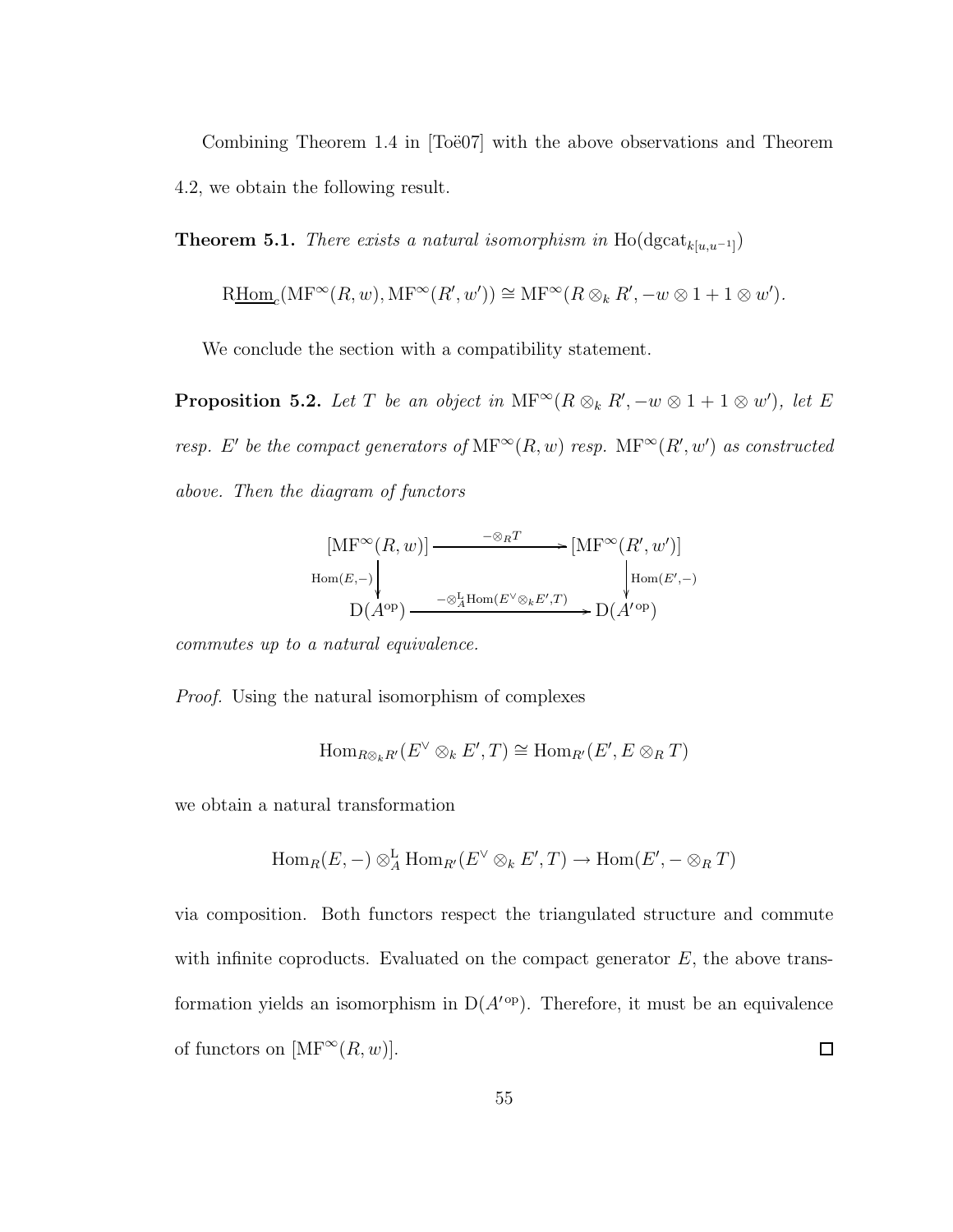Combining Theorem 1.4 in  $\text{Toö07}$  with the above observations and Theorem 4.2, we obtain the following result.

**Theorem 5.1.** *There exists a natural isomorphism in*  $\text{Ho}(\text{dgcat}_{k[u,u^{-1}]} )$ 

$$
\text{R\underline{Hom}}_c(\text{MF}^{\infty}(R, w), \text{MF}^{\infty}(R', w')) \cong \text{MF}^{\infty}(R \otimes_k R', -w \otimes 1 + 1 \otimes w').
$$

We conclude the section with a compatibility statement.

**Proposition 5.2.** Let T be an object in  $\text{MF}^{\infty}(R \otimes_k R', -w \otimes 1 + 1 \otimes w')$ , let E *resp.* E' be the compact generators of  $\text{MF}^{\infty}(R, w)$  *resp.*  $\text{MF}^{\infty}(R', w')$  *as constructed above. Then the diagram of functors*

$$
[MF^{\infty}(R, w)] \longrightarrow {\cong_{R}T} [MF^{\infty}(R', w')]
$$
  
Hom(E,-)  

$$
D(A^{\text{op}}) \longrightarrow {\otimes_{A}^{L}Hom(E^{\vee} \otimes_{k} E', T)} D(A^{\text{op}})
$$

*commutes up to a natural equivalence.*

*Proof.* Using the natural isomorphism of complexes

$$
\mathrm{Hom}_{R\otimes_k R'}(E^\vee\otimes_k E',T)\cong \mathrm{Hom}_{R'}(E',E\otimes_R T)
$$

we obtain a natural transformation

$$
\text{Hom}_R(E,-)\otimes^{\mathbf{L}}_A \text{Hom}_{R'}(E^{\vee}\otimes_k E',T)\to \text{Hom}(E',-\otimes_R T)
$$

via composition. Both functors respect the triangulated structure and commute with infinite coproducts. Evaluated on the compact generator  $E$ , the above transformation yields an isomorphism in  $D(A<sup>top</sup>)$ . Therefore, it must be an equivalence of functors on  $[\mathrm{MF}^\infty(R,w)].$  $\Box$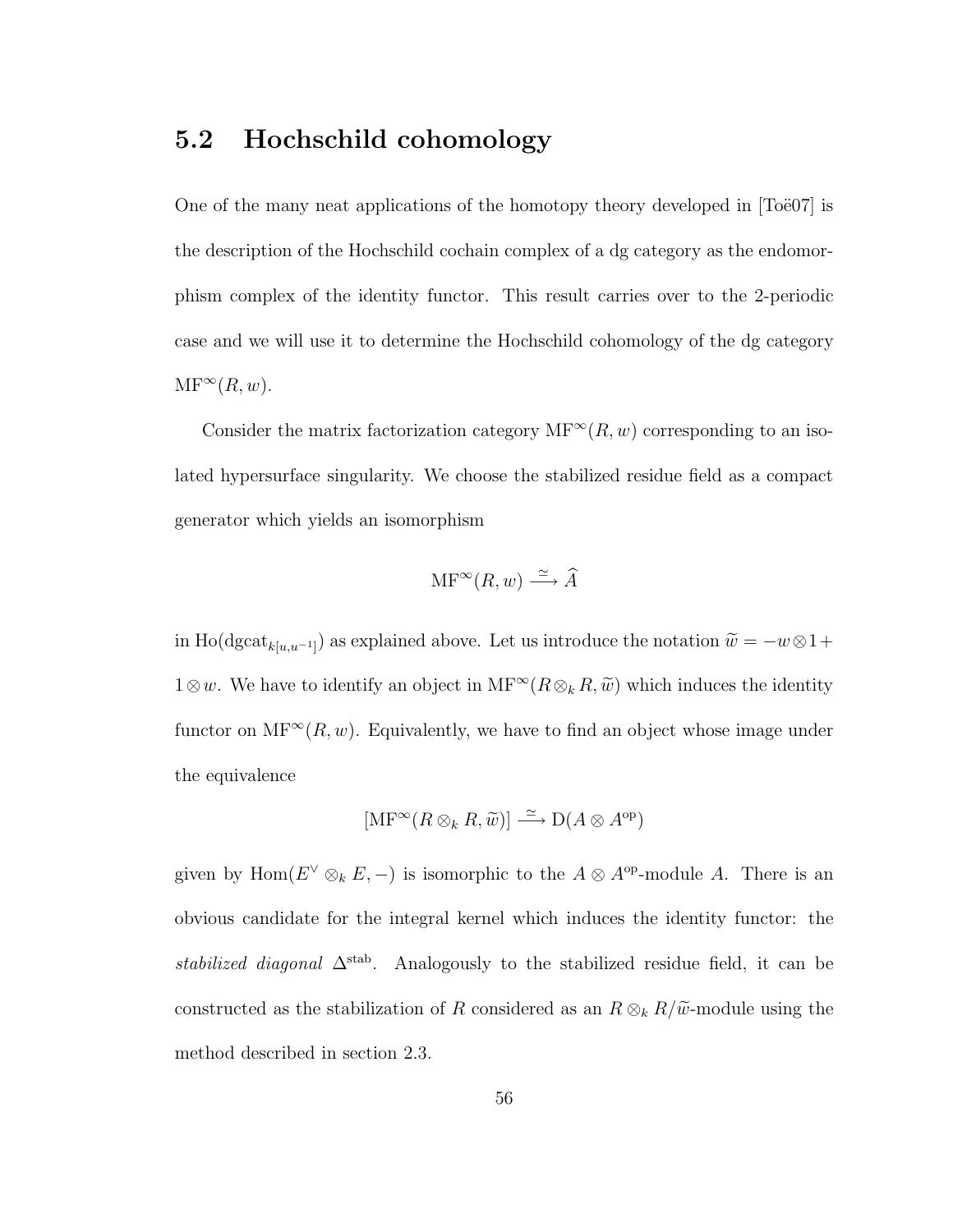#### 5.2 Hochschild cohomology

One of the many neat applications of the homotopy theory developed in  $[Toe07]$  is the description of the Hochschild cochain complex of a dg category as the endomorphism complex of the identity functor. This result carries over to the 2-periodic case and we will use it to determine the Hochschild cohomology of the dg category  $MF^{\infty}(R, w).$ 

Consider the matrix factorization category  $MF^{\infty}(R, w)$  corresponding to an isolated hypersurface singularity. We choose the stabilized residue field as a compact generator which yields an isomorphism

$$
\mathrm{MF}^\infty(R, w) \xrightarrow{\simeq} \widehat{A}
$$

in Ho(dgcat<sub>k[u,u-1]</sub>) as explained above. Let us introduce the notation  $\widetilde{w} = -w \otimes 1 +$  $1\otimes w$ . We have to identify an object in  $MF^\infty(R\otimes_k R, \tilde{w})$  which induces the identity functor on  $MF^\infty(R, w)$ . Equivalently, we have to find an object whose image under the equivalence

$$
[\mathrm{MF}^{\infty}(R \otimes_k R, \widetilde{w})] \stackrel{\simeq}{\longrightarrow} \mathrm{D}(A \otimes A^{\mathrm{op}})
$$

given by Hom( $E^{\vee} \otimes_k E$ , -) is isomorphic to the  $A \otimes A^{\text{op}}$ -module A. There is an obvious candidate for the integral kernel which induces the identity functor: the *stabilized diagonal* ∆stab. Analogously to the stabilized residue field, it can be constructed as the stabilization of R considered as an  $R \otimes_k R/\tilde{\omega}$ -module using the method described in section 2.3.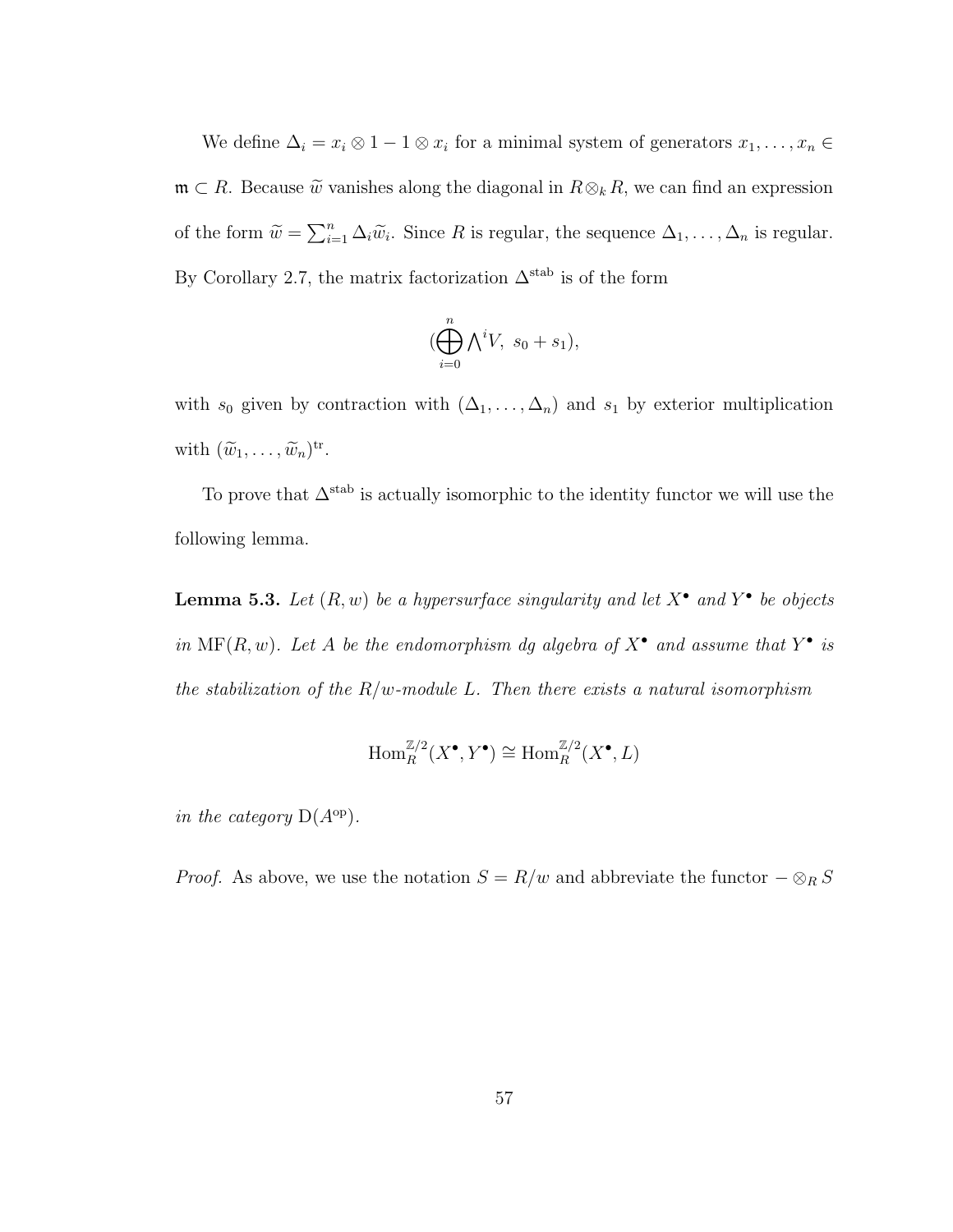We define  $\Delta_i = x_i \otimes 1 - 1 \otimes x_i$  for a minimal system of generators  $x_1, \ldots, x_n \in$  $\mathfrak{m} \subset R$ . Because  $\widetilde{w}$  vanishes along the diagonal in  $R \otimes_k R$ , we can find an expression of the form  $\widetilde{w} = \sum_{i=1}^n \Delta_i \widetilde{w}_i$ . Since R is regular, the sequence  $\Delta_1, \ldots, \Delta_n$  is regular. By Corollary 2.7, the matrix factorization  $\Delta^{\text{stab}}$  is of the form

$$
(\bigoplus_{i=0}^{n} \bigwedge^{i} V, s_0 + s_1),
$$

with  $s_0$  given by contraction with  $(\Delta_1, \ldots, \Delta_n)$  and  $s_1$  by exterior multiplication with  $(\widetilde{w}_1, \ldots, \widetilde{w}_n)^{\text{tr}}$ .

To prove that  $\Delta^{\text{stab}}$  is actually isomorphic to the identity functor we will use the following lemma.

**Lemma 5.3.** Let  $(R, w)$  be a hypersurface singularity and let  $X^{\bullet}$  and  $Y^{\bullet}$  be objects *in*  $MF(R, w)$ *. Let* A *be the endomorphism dg algebra of*  $X^{\bullet}$  *and assume that*  $Y^{\bullet}$  *is the stabilization of the* R/w*-module* L*. Then there exists a natural isomorphism*

$$
\operatorname{Hom}_R^{\mathbb{Z}/2}(X^\bullet,Y^\bullet)\cong \operatorname{Hom}_R^{\mathbb{Z}/2}(X^\bullet,L)
$$

*in the category*  $D(A^{op})$ *.* 

*Proof.* As above, we use the notation  $S = R/w$  and abbreviate the functor  $-\otimes_R S$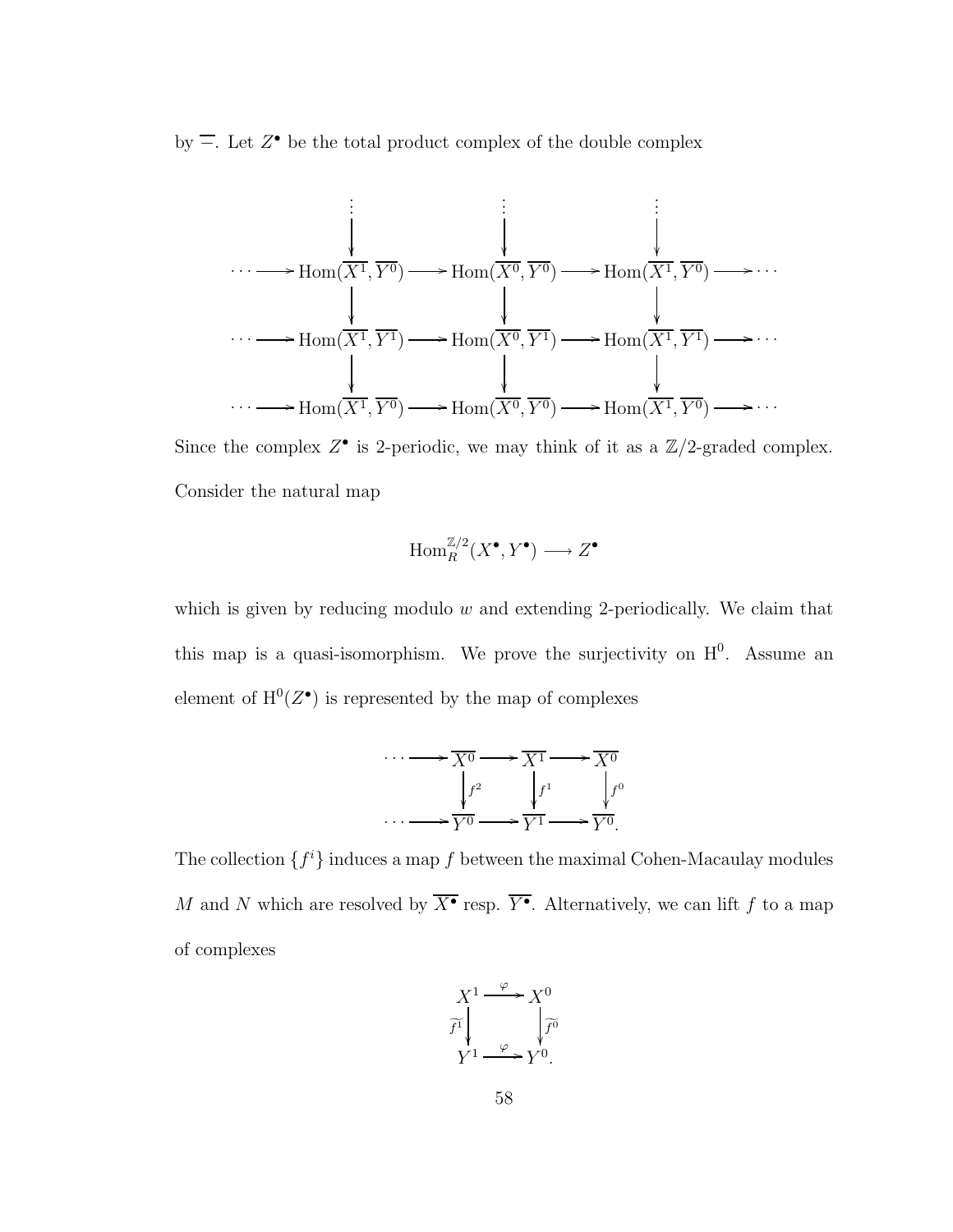by  $\overline{-}$ . Let  $Z^{\bullet}$  be the total product complex of the double complex

$$
\begin{array}{cccc}\n\vdots & \vdots & \vdots & \vdots \\
\downarrow & \downarrow & \downarrow & \downarrow \\
\cdots & \longrightarrow \text{Hom}(\overline{X^1}, \overline{Y^0}) & \longrightarrow \text{Hom}(\overline{X^0}, \overline{Y^0}) & \longrightarrow \text{Hom}(\overline{X^1}, \overline{Y^0}) & \longrightarrow \cdots \\
& & \downarrow & \downarrow & \downarrow \\
\cdots & \longrightarrow \text{Hom}(\overline{X^1}, \overline{Y^1}) & \longrightarrow \text{Hom}(\overline{X^0}, \overline{Y^1}) & \longrightarrow \text{Hom}(\overline{X^1}, \overline{Y^1}) & \longrightarrow \cdots \\
& & \downarrow & \downarrow & \downarrow \\
\cdots & \longrightarrow \text{Hom}(\overline{X^1}, \overline{Y^0}) & \longrightarrow \text{Hom}(\overline{X^0}, \overline{Y^0}) & \longrightarrow \text{Hom}(\overline{X^1}, \overline{Y^0}) & \longrightarrow \cdots\n\end{array}
$$

Since the complex  $Z^{\bullet}$  is 2-periodic, we may think of it as a  $\mathbb{Z}/2$ -graded complex. Consider the natural map

$$
\operatorname{Hom}_R^{{\mathbb{Z}/2}}(X^\bullet,Y^\bullet) \longrightarrow Z^\bullet
$$

which is given by reducing modulo  $w$  and extending 2-periodically. We claim that this map is a quasi-isomorphism. We prove the surjectivity on  $H^0$ . Assume an element of  $H^0(Z^{\bullet})$  is represented by the map of complexes

$$
\cdots \longrightarrow \overline{X^0} \longrightarrow \overline{X^1} \longrightarrow \overline{X^0}
$$

$$
\downarrow f^2 \qquad \qquad f^1 \qquad \qquad f^0
$$

$$
\cdots \longrightarrow \overline{Y^0} \longrightarrow \overline{Y^1} \longrightarrow \overline{Y^0}.
$$

The collection  $\{f^i\}$  induces a map f between the maximal Cohen-Macaulay modules M and N which are resolved by  $\overline{X^{\bullet}}$  resp.  $\overline{Y^{\bullet}}$ . Alternatively, we can lift f to a map of complexes

$$
X^{1} \xrightarrow{\varphi} X^{0}
$$

$$
\widetilde{f^{1}} \downarrow \qquad \qquad \downarrow \widetilde{f^{0}}
$$

$$
Y^{1} \xrightarrow{\varphi} Y^{0}.
$$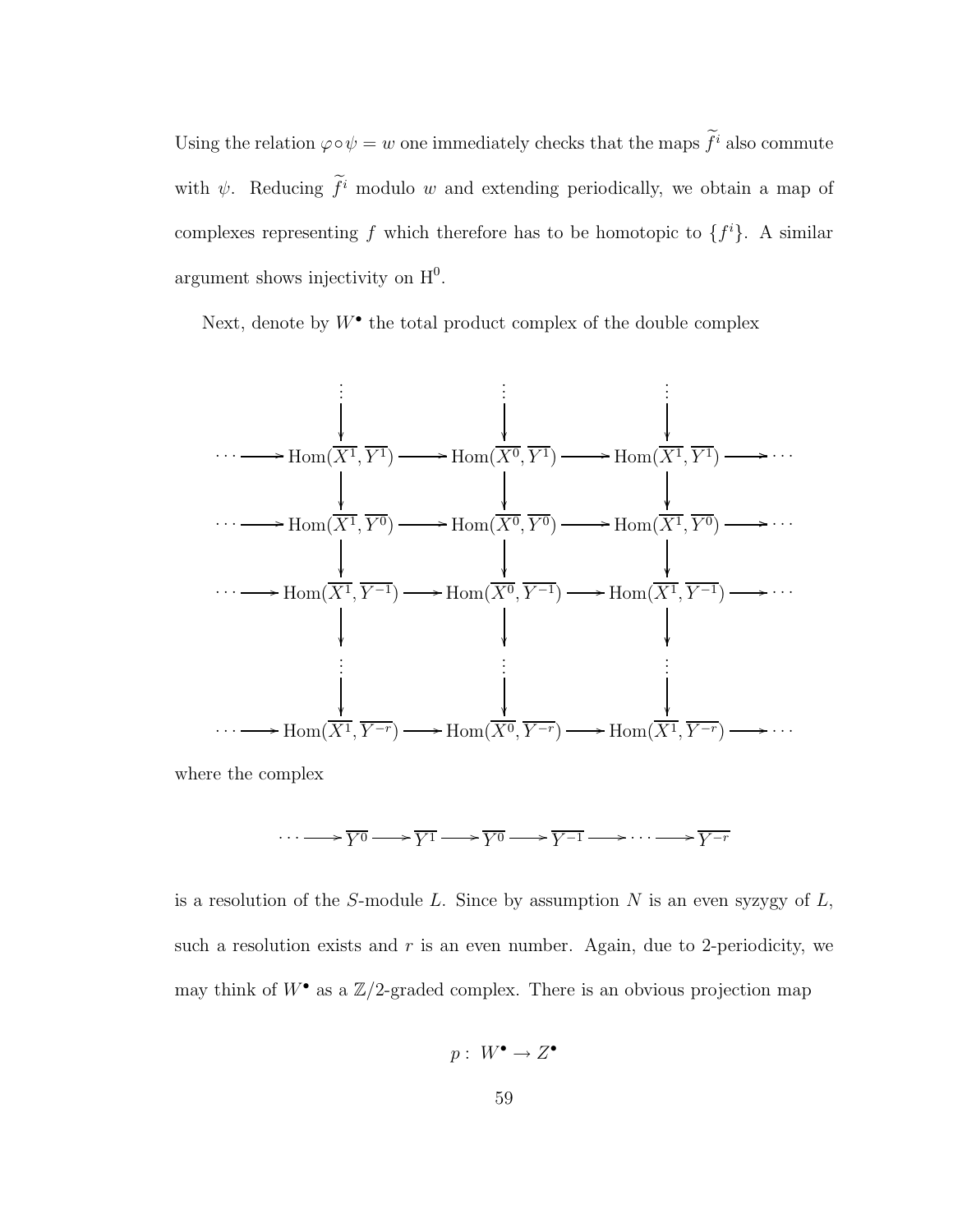Using the relation  $\varphi \circ \psi = w$  one immediately checks that the maps  $f^i$  also commute with  $\psi$ . Reducing  $f^i$  modulo w and extending periodically, we obtain a map of complexes representing f which therefore has to be homotopic to  $\{f^i\}$ . A similar argument shows injectivity on  $H^0$ .

Next, denote by  $W^{\bullet}$  the total product complex of the double complex



where the complex

$$
\cdots \longrightarrow \overline{Y^0} \longrightarrow \overline{Y^1} \longrightarrow \overline{Y^0} \longrightarrow \overline{Y^{-1}} \longrightarrow \cdots \longrightarrow \overline{Y^{-r}}
$$

is a resolution of the S-module L. Since by assumption  $N$  is an even syzygy of  $L$ , such a resolution exists and  $r$  is an even number. Again, due to 2-periodicity, we may think of  $W^{\bullet}$  as a  $\mathbb{Z}/2$ -graded complex. There is an obvious projection map

$$
p:\ W^\bullet \to Z^\bullet
$$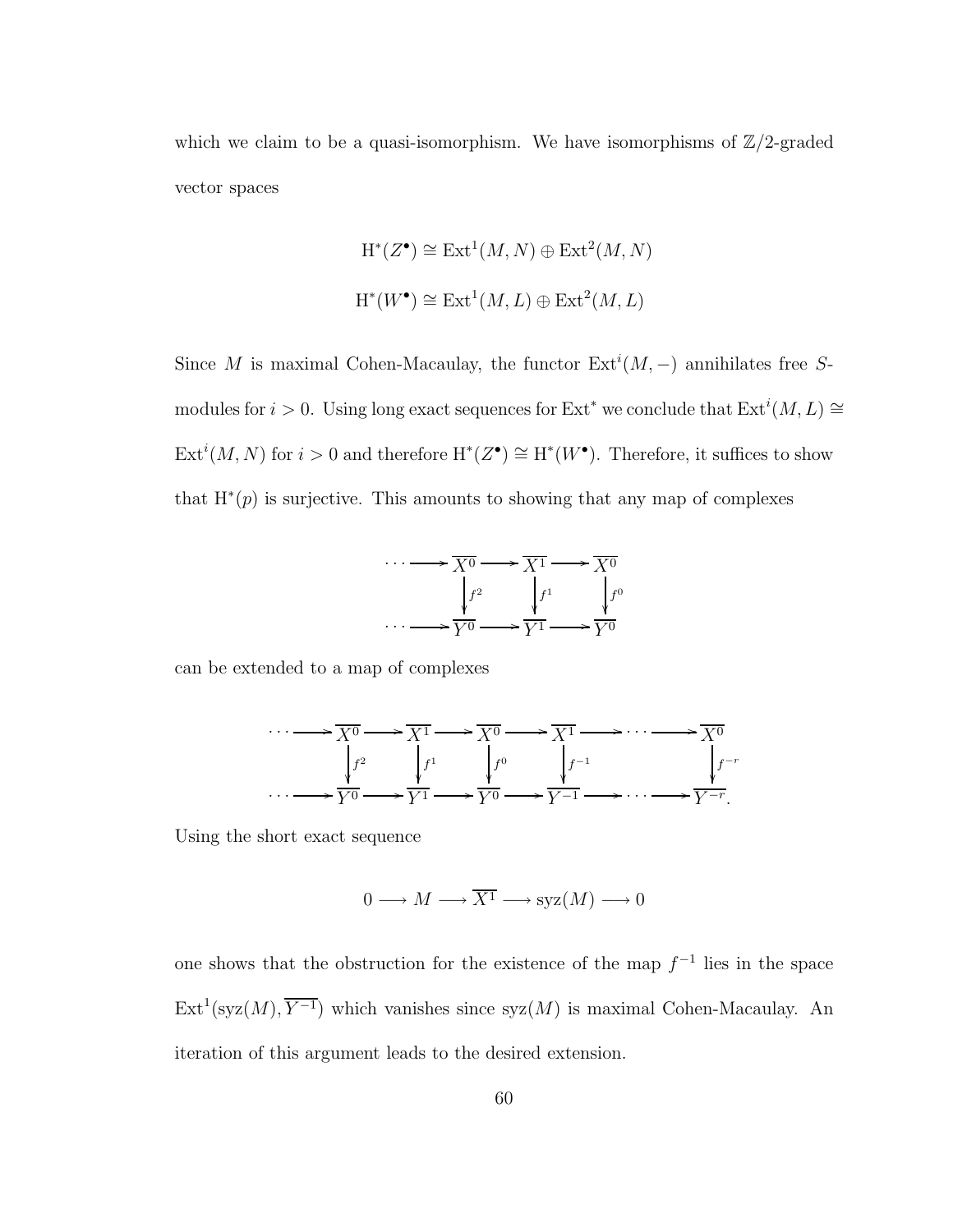which we claim to be a quasi-isomorphism. We have isomorphisms of  $\mathbb{Z}/2$ -graded vector spaces

$$
H^*(Z^{\bullet}) \cong Ext^1(M, N) \oplus Ext^2(M, N)
$$
  

$$
H^*(W^{\bullet}) \cong Ext^1(M, L) \oplus Ext^2(M, L)
$$

Since M is maximal Cohen-Macaulay, the functor  $\text{Ext}^i(M, -)$  annihilates free Smodules for  $i > 0$ . Using long exact sequences for Ext<sup>\*</sup> we conclude that  $\text{Ext}^i(M, L) \cong$ Ext<sup>i</sup>(M, N) for  $i > 0$  and therefore  $H^*(Z^{\bullet}) \cong H^*(W^{\bullet})$ . Therefore, it suffices to show that  $H^*(p)$  is surjective. This amounts to showing that any map of complexes



can be extended to a map of complexes



Using the short exact sequence

$$
0 \longrightarrow M \longrightarrow \overline{X^1} \longrightarrow \text{syz}(M) \longrightarrow 0
$$

one shows that the obstruction for the existence of the map  $f^{-1}$  lies in the space  $Ext^{1}(syz(M), \overline{Y^{-1}})$  which vanishes since  $syz(M)$  is maximal Cohen-Macaulay. An iteration of this argument leads to the desired extension.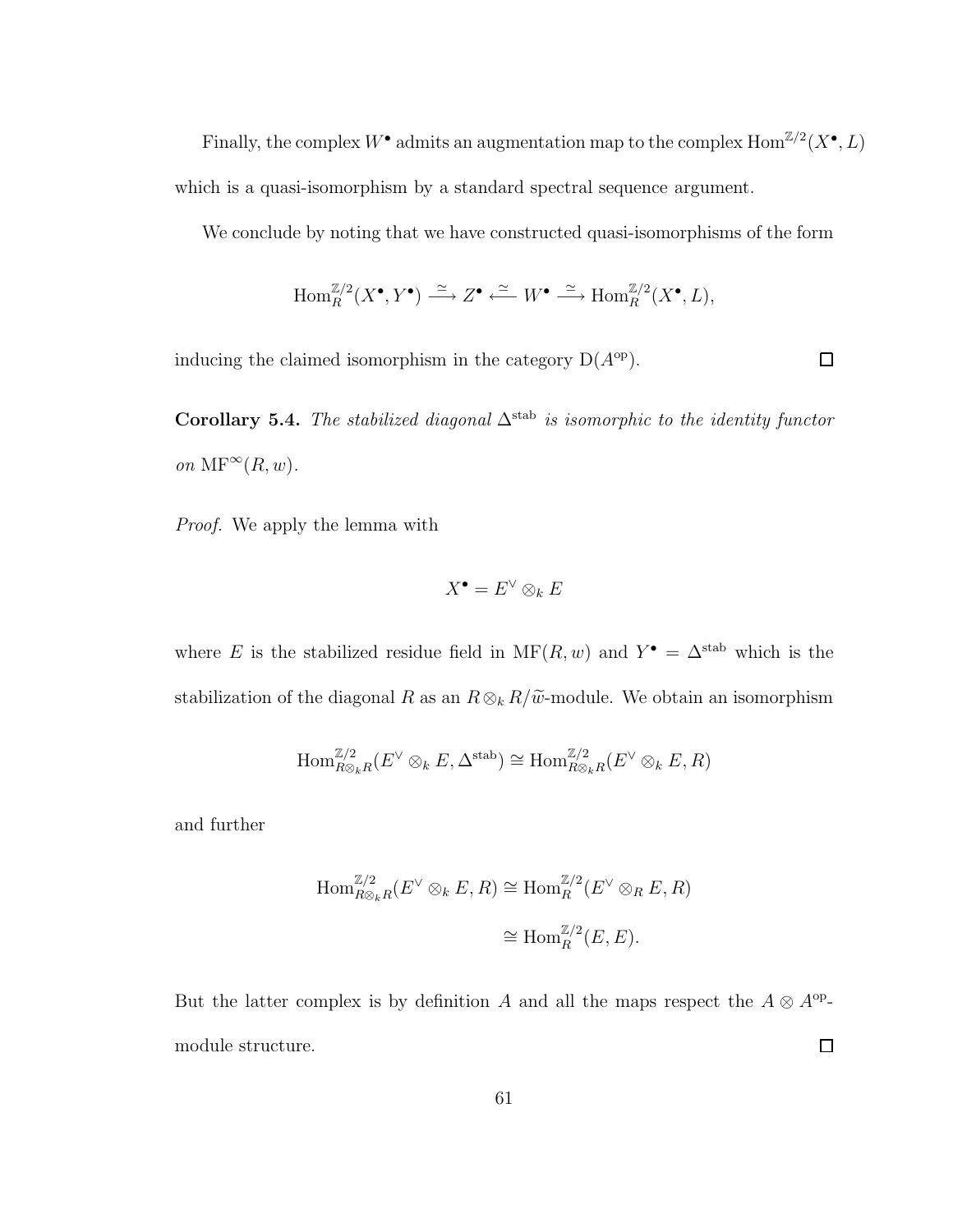Finally, the complex  $W^{\bullet}$  admits an augmentation map to the complex  $\text{Hom}^{\mathbb{Z}/2}(X^{\bullet}, L)$ which is a quasi-isomorphism by a standard spectral sequence argument.

We conclude by noting that we have constructed quasi-isomorphisms of the form

$$
\operatorname{Hom}_R^{\mathbb{Z}/2}(X^\bullet,Y^\bullet) \stackrel{\simeq}{\longrightarrow} Z^\bullet \stackrel{\simeq}{\longleftarrow} W^\bullet \stackrel{\simeq}{\longrightarrow} \operatorname{Hom}_R^{\mathbb{Z}/2}(X^\bullet,L),
$$

 $\Box$ 

inducing the claimed isomorphism in the category  $D(A^{\rm op})$ .

Corollary 5.4. *The stabilized diagonal*  $\Delta^{stab}$  *is isomorphic to the identity functor on*  $\text{MF}^{\infty}(R, w)$ *.* 

*Proof.* We apply the lemma with

$$
X^\bullet=E^\vee\otimes_k E
$$

where E is the stabilized residue field in  $MF(R, w)$  and  $Y^{\bullet} = \Delta^{\text{stab}}$  which is the stabilization of the diagonal R as an  $R \otimes_k R/\widetilde{\omega}$ -module. We obtain an isomorphism

$$
\text{Hom}_{R\otimes_k R}^{\mathbb{Z}/2}(E^{\vee}\otimes_k E, \Delta^{\text{stab}}) \cong \text{Hom}_{R\otimes_k R}^{\mathbb{Z}/2}(E^{\vee}\otimes_k E, R)
$$

and further

$$
\text{Hom}_{R\otimes_k R}^{\mathbb{Z}/2}(E^{\vee}\otimes_k E, R) \cong \text{Hom}_R^{\mathbb{Z}/2}(E^{\vee}\otimes_R E, R)
$$

$$
\cong \text{Hom}_R^{\mathbb{Z}/2}(E, E).
$$

But the latter complex is by definition A and all the maps respect the  $A \otimes A^{op}$ - $\Box$ module structure.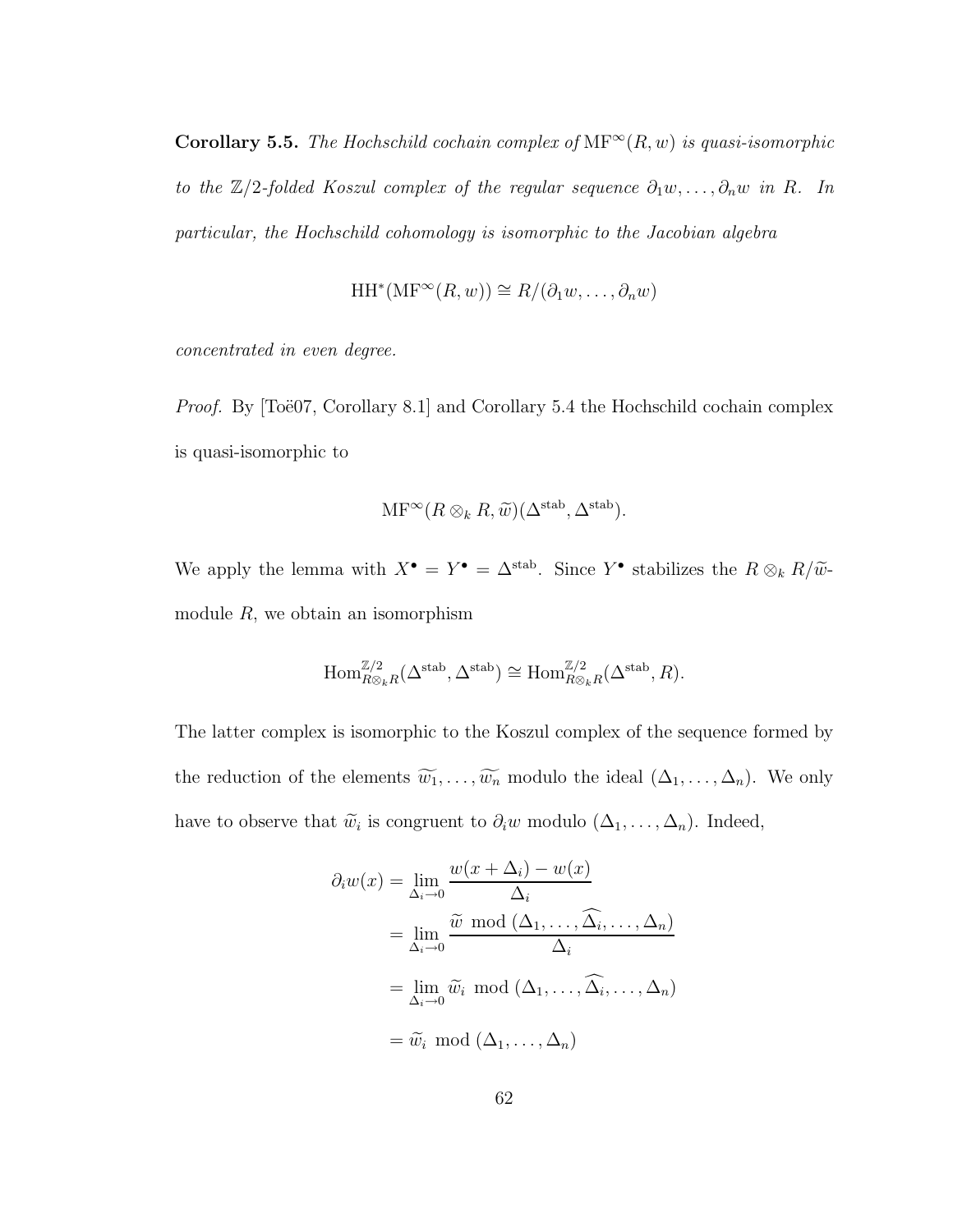Corollary 5.5. *The Hochschild cochain complex of*  $MF^{\infty}(R, w)$  *is quasi-isomorphic to the*  $\mathbb{Z}/2$ -folded Koszul complex of the regular sequence  $\partial_1 w, \ldots, \partial_n w$  in R. In *particular, the Hochschild cohomology is isomorphic to the Jacobian algebra*

$$
HH^*(MF^{\infty}(R, w)) \cong R/(\partial_1 w, \dots, \partial_n w)
$$

*concentrated in even degree.*

*Proof.* By  $\text{Toe}07$ , Corollary 8.1 and Corollary 5.4 the Hochschild cochain complex is quasi-isomorphic to

$$
\mathrm{MF}^{\infty}(R \otimes_k R, \widetilde{w})(\Delta^{\mathrm{stab}}, \Delta^{\mathrm{stab}}).
$$

We apply the lemma with  $X^{\bullet} = Y^{\bullet} = \Delta^{\text{stab}}$ . Since  $Y^{\bullet}$  stabilizes the  $R \otimes_k R/\widetilde{\omega}$ module  $R$ , we obtain an isomorphism

$$
\text{Hom}_{R\otimes_k R}^{\mathbb{Z}/2}(\Delta^{\text{stab}}, \Delta^{\text{stab}}) \cong \text{Hom}_{R\otimes_k R}^{\mathbb{Z}/2}(\Delta^{\text{stab}}, R).
$$

The latter complex is isomorphic to the Koszul complex of the sequence formed by the reduction of the elements  $\widetilde{w_1}, \ldots, \widetilde{w_n}$  modulo the ideal  $(\Delta_1, \ldots, \Delta_n)$ . We only have to observe that  $\widetilde{w}_i$  is congruent to  $\partial_i w$  modulo  $(\Delta_1, \ldots, \Delta_n)$ . Indeed,

$$
\partial_i w(x) = \lim_{\Delta_i \to 0} \frac{w(x + \Delta_i) - w(x)}{\Delta_i}
$$
  
= 
$$
\lim_{\Delta_i \to 0} \frac{\tilde{w} \mod (\Delta_1, \dots, \widehat{\Delta_i}, \dots, \Delta_n)}{\Delta_i}
$$
  
= 
$$
\lim_{\Delta_i \to 0} \tilde{w}_i \mod (\Delta_1, \dots, \widehat{\Delta_i}, \dots, \Delta_n)
$$
  
= 
$$
\tilde{w}_i \mod (\Delta_1, \dots, \Delta_n)
$$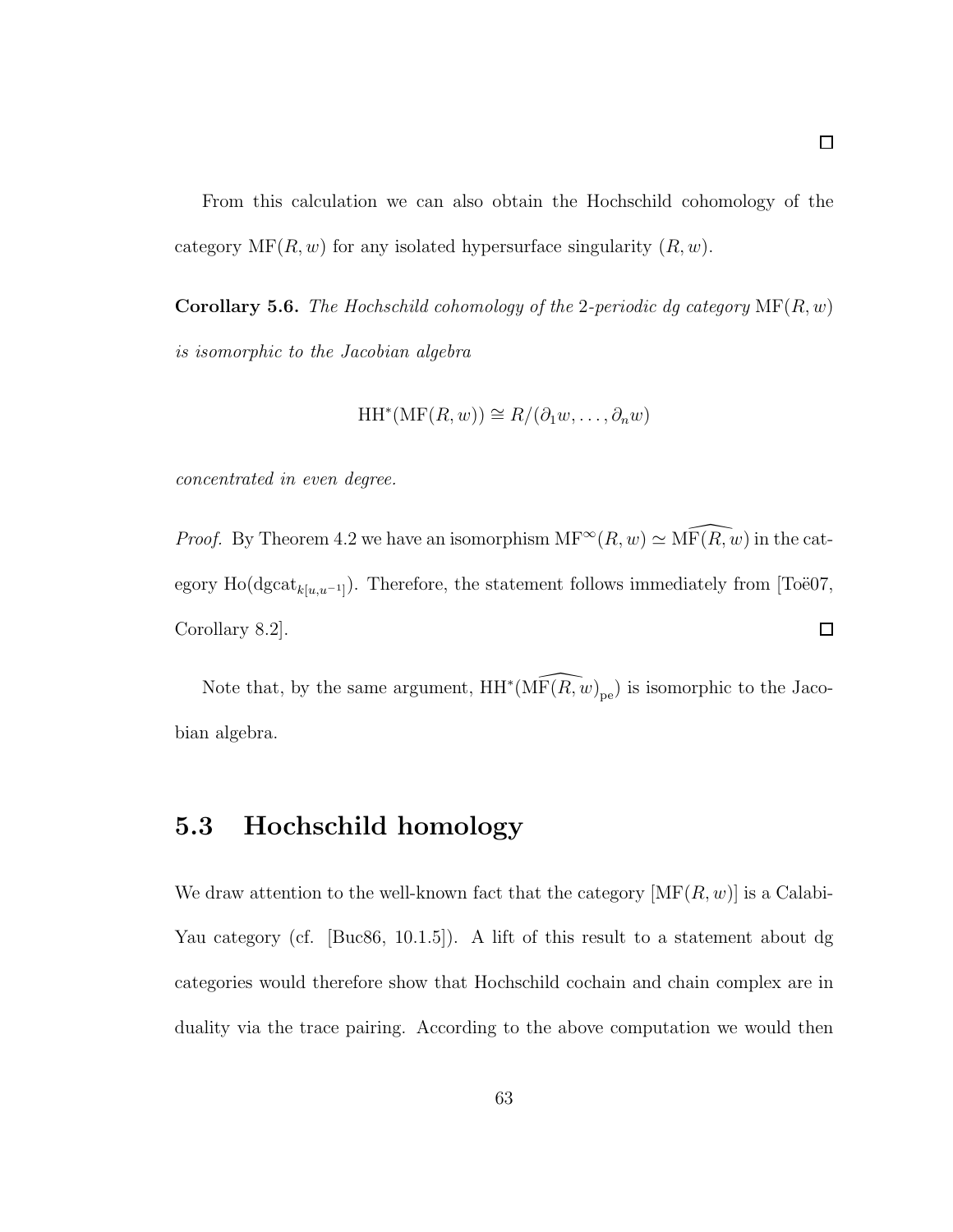From this calculation we can also obtain the Hochschild cohomology of the category  $MF(R, w)$  for any isolated hypersurface singularity  $(R, w)$ .

Corollary 5.6. *The Hochschild cohomology of the* 2*-periodic dg category* MF(R, w) *is isomorphic to the Jacobian algebra*

$$
HH^*(\mathrm{MF}(R,w)) \cong R/(\partial_1 w, \ldots, \partial_n w)
$$

*concentrated in even degree.*

*Proof.* By Theorem 4.2 we have an isomorphism  $MF^{\infty}(R, w) \simeq \widehat{MF(R, w)}$  in the category Ho(dgcat<sub>k[u,u<sup>-1</sup>]</sub>). Therefore, the statement follows immediately from [Toë07, Corollary 8.2].  $\Box$ 

Note that, by the same argument,  $HH^*(\widehat{\mathrm{MF}(R,w)}_{pe})$  is isomorphic to the Jacobian algebra.

#### 5.3 Hochschild homology

We draw attention to the well-known fact that the category  $[\text{MF}(R, w)]$  is a Calabi-Yau category (cf. [Buc86, 10.1.5]). A lift of this result to a statement about dg categories would therefore show that Hochschild cochain and chain complex are in duality via the trace pairing. According to the above computation we would then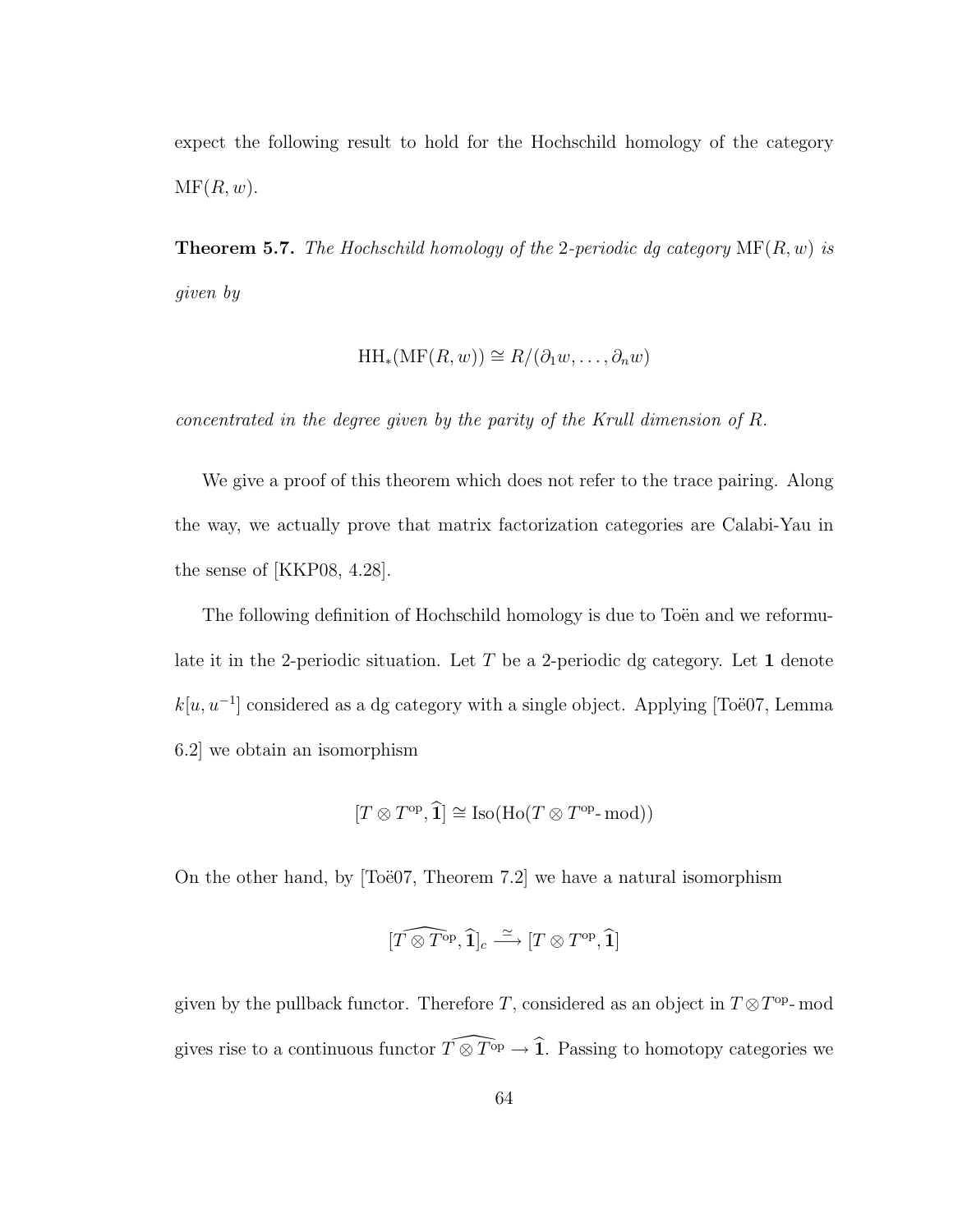expect the following result to hold for the Hochschild homology of the category  $\mathrm{MF}(R, w)$ .

Theorem 5.7. *The Hochschild homology of the* 2*-periodic dg category* MF(R, w) *is given by*

$$
HH_*(\mathrm{MF}(R,w)) \cong R/(\partial_1 w, \dots, \partial_n w)
$$

*concentrated in the degree given by the parity of the Krull dimension of* R*.*

We give a proof of this theorem which does not refer to the trace pairing. Along the way, we actually prove that matrix factorization categories are Calabi-Yau in the sense of [KKP08, 4.28].

The following definition of Hochschild homology is due to Toën and we reformulate it in the 2-periodic situation. Let T be a 2-periodic dg category. Let 1 denote  $k[u, u^{-1}]$  considered as a dg category with a single object. Applying [Toë07, Lemma 6.2] we obtain an isomorphism

$$
[T \otimes T^{\mathrm{op}}, \widehat{\mathbf{1}}] \cong \mathrm{Iso}(\mathrm{Ho}(T \otimes T^{\mathrm{op}} \text{-}\mathrm{mod}))
$$

On the other hand, by  $[To\ddot{e}07, Theorem 7.2]$  we have a natural isomorphism

$$
[\widehat{T\otimes T^{\text{op}}},\widehat{\mathbf{1}}]_c\xrightarrow{\simeq}[T\otimes T^{\text{op}},\widehat{\mathbf{1}}]
$$

given by the pullback functor. Therefore T, considered as an object in  $T \otimes T^{\text{op}}$ -mod gives rise to a continuous functor  $\widehat{T\otimes T^{op}} \to \widehat{1}$ . Passing to homotopy categories we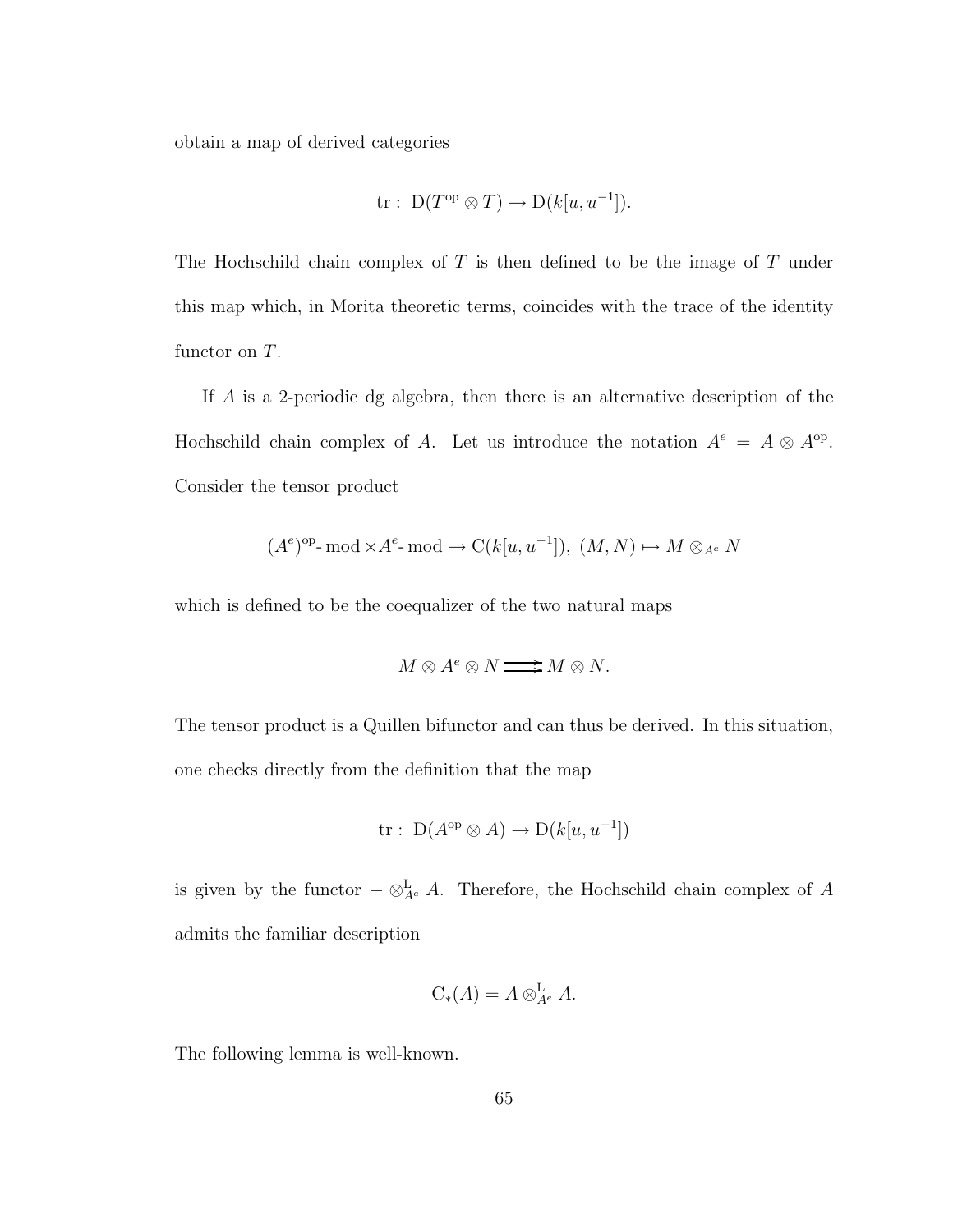obtain a map of derived categories

$$
tr: D(T^{op} \otimes T) \to D(k[u, u^{-1}]).
$$

The Hochschild chain complex of  $T$  is then defined to be the image of  $T$  under this map which, in Morita theoretic terms, coincides with the trace of the identity functor on T.

If A is a 2-periodic dg algebra, then there is an alternative description of the Hochschild chain complex of A. Let us introduce the notation  $A^e = A \otimes A^{op}$ . Consider the tensor product

$$
(A^e)^{\text{op}}\text{-}\operatorname{mod} \times A^e\text{-}\operatorname{mod} \to C(k[u, u^{-1}]), (M, N) \mapsto M \otimes_{A^e} N
$$

which is defined to be the coequalizer of the two natural maps

$$
M\otimes A^e\otimes N\mathop{\longrightarrow}\limits^{\textstyle\longrightarrow} M\otimes N.
$$

The tensor product is a Quillen bifunctor and can thus be derived. In this situation, one checks directly from the definition that the map

$$
\text{tr}: \ D(A^{\text{op}} \otimes A) \to D(k[u, u^{-1}])
$$

is given by the functor  $-\otimes_{A^e}^{\mathbf{L}} A$ . Therefore, the Hochschild chain complex of A admits the familiar description

$$
C_*(A) = A \otimes_{A^e}^{\mathbf{L}} A.
$$

The following lemma is well-known.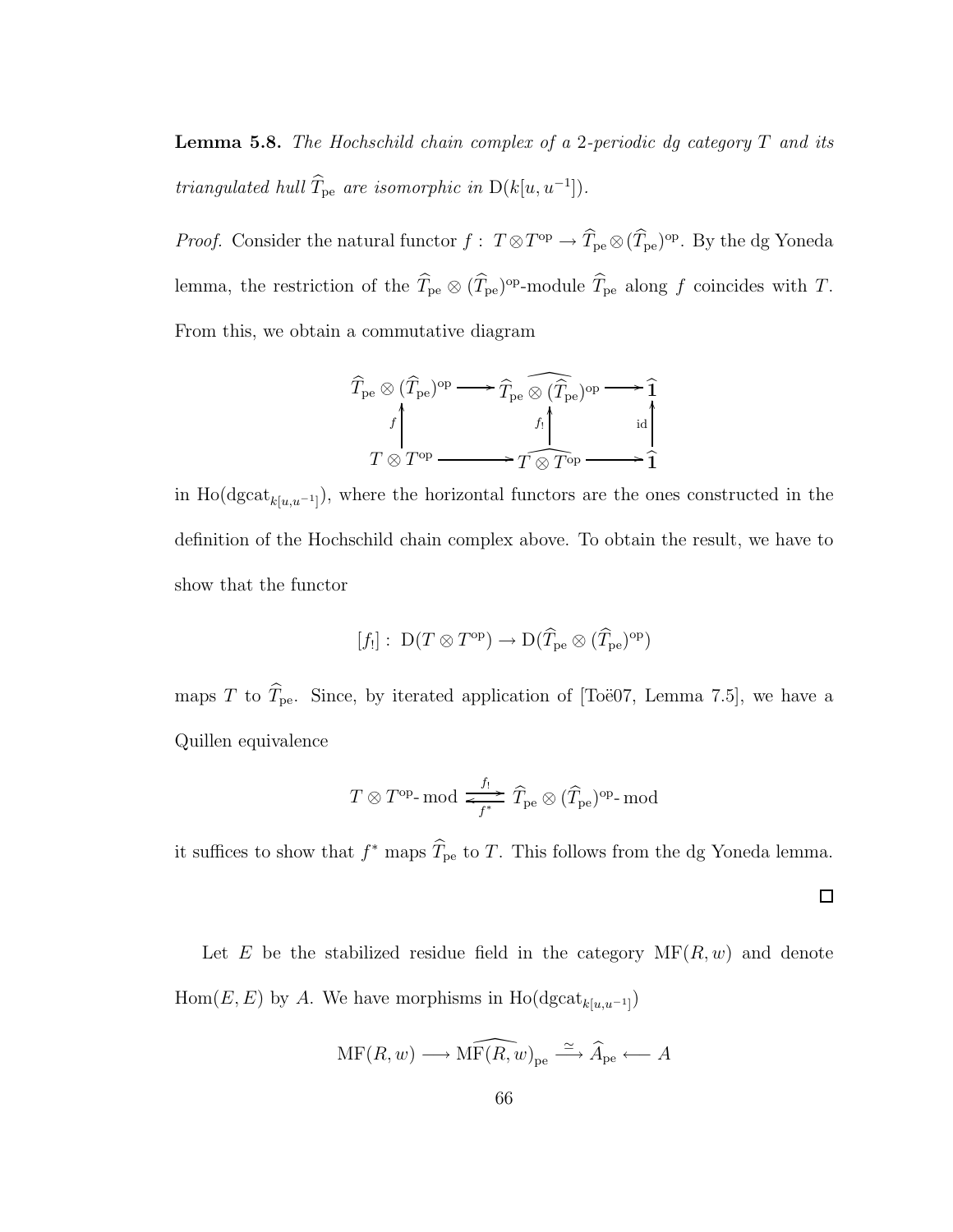Lemma 5.8. *The Hochschild chain complex of a* 2*-periodic dg category* T *and its triangulated hull*  $\hat{T}_{pe}$  *are isomorphic in*  $D(k[u, u^{-1}])$ *.* 

*Proof.* Consider the natural functor  $f: T \otimes T^{\text{op}} \to T_{\text{pe}} \otimes (T_{\text{pe}})^{\text{op}}$ . By the dg Yoneda lemma, the restriction of the  $T_{pe} \otimes (T_{pe})^{\text{op}}$ -module  $T_{pe}$  along f coincides with T. From this, we obtain a commutative diagram

$$
\widehat{T}_{\text{pe}} \otimes (\widehat{T}_{\text{pe}})^{\text{op}} \longrightarrow \widehat{T}_{\text{pe}} \widehat{\otimes} (\widehat{T}_{\text{pe}})^{\text{op}} \longrightarrow \widehat{1}
$$
\n
$$
T \otimes T^{\text{op}} \longrightarrow T \widehat{\otimes} T^{\text{op}} \longrightarrow \widehat{1}
$$

in Ho(dgcat<sub>k[u,u−1]</sub>), where the horizontal functors are the ones constructed in the definition of the Hochschild chain complex above. To obtain the result, we have to show that the functor

$$
[f_!]:\; {\mathrm D}(T\otimes T^{\mathrm{op}})\to {\mathrm D}(\widehat{T}_{\mathrm{pe}}\otimes (\widehat{T}_{\mathrm{pe}})^{\mathrm{op}})
$$

maps T to  $\widehat{T}_{\text{pe}}$ . Since, by iterated application of [Toë07, Lemma 7.5], we have a Quillen equivalence

$$
T \otimes T^\mathrm{op}\text{-}\mathrm{mod} \xrightarrow[\,f^*]{f_! \,} \widehat{T}_\mathrm{pe} \otimes (\widehat{T}_\mathrm{pe})^\mathrm{op}\text{-}\mathrm{mod}
$$

it suffices to show that  $f^*$  maps  $\hat{T}_{pe}$  to T. This follows from the dg Yoneda lemma.

 $\Box$ 

Let E be the stabilized residue field in the category  $\text{MF}(R, w)$  and denote  $Hom(E, E)$  by A. We have morphisms in  $Ho(dgcat_{k[u,u^{-1}]})$ 

$$
\mathrm{MF}(R,w)\longrightarrow \widehat{\mathrm{MF}(R,w)}_{\mathrm{pe}}\stackrel{\simeq}{\longrightarrow} \widehat{A}_{\mathrm{pe}}\longleftarrow A
$$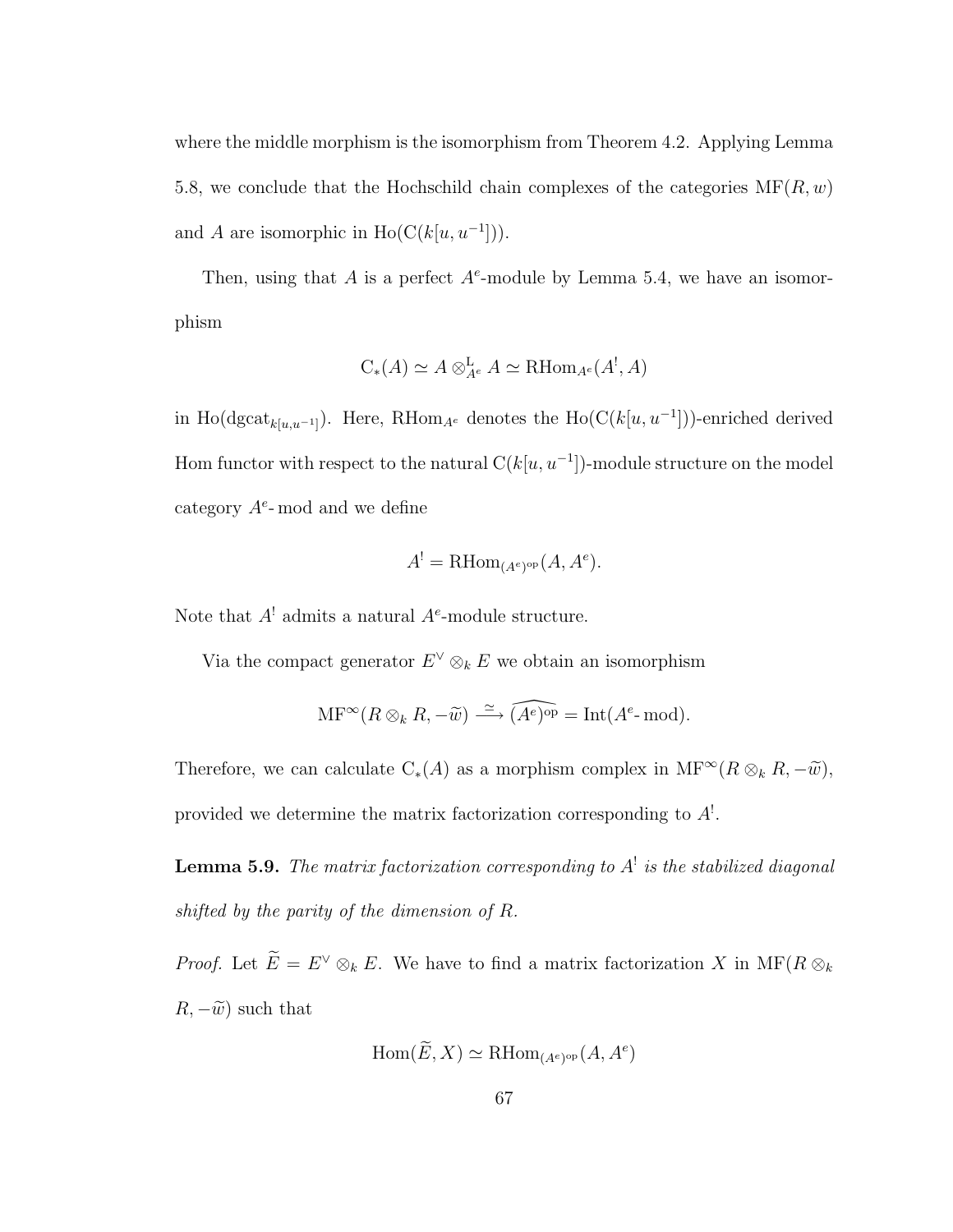where the middle morphism is the isomorphism from Theorem 4.2. Applying Lemma 5.8, we conclude that the Hochschild chain complexes of the categories  $MF(R, w)$ and A are isomorphic in  $Ho(C(k[u, u^{-1}]))$ .

Then, using that A is a perfect  $A^e$ -module by Lemma 5.4, we have an isomorphism

$$
C_*(A) \simeq A \otimes_{A^e}^{\mathbf{L}} A \simeq \mathrm{RHom}_{A^e}(A^!, A)
$$

in Ho(dgcat<sub>k[u,u<sup>-1</sup>]</sub>). Here, RHom<sub>A</sub><sup>e</sup> denotes the Ho( $C(k[u, u^{-1}])$ )-enriched derived Hom functor with respect to the natural  $C(k[u, u^{-1}])$ -module structure on the model category  $A^e$ -mod and we define

$$
A^! = \mathrm{RHom}_{(A^e)^{\mathrm{op}}}(A, A^e).
$$

Note that  $A^!$  admits a natural  $A^e$ -module structure.

Via the compact generator  $E^{\vee} \otimes_k E$  we obtain an isomorphism

$$
\mathrm{MF}^{\infty}(R \otimes_k R, -\widetilde{w}) \xrightarrow{\simeq} \widehat{(A^e)^{\mathrm{op}}} = \mathrm{Int}(A^e \text{-}\mathrm{mod}).
$$

Therefore, we can calculate  $C_*(A)$  as a morphism complex in  $\text{MF}^{\infty}(R \otimes_k R, -\tilde{w}),$ provided we determine the matrix factorization corresponding to  $A^!$ .

**Lemma 5.9.** The matrix factorization corresponding to  $A^!$  is the stabilized diagonal *shifted by the parity of the dimension of* R*.*

*Proof.* Let  $\widetilde{E} = E^{\vee} \otimes_k E$ . We have to find a matrix factorization X in MF( $R \otimes_k$ )  $R, -\widetilde{w}$  such that

$$
\text{Hom}(\widetilde{E}, X) \simeq \text{RHom}_{(A^e)^{\text{op}}}(A, A^e)
$$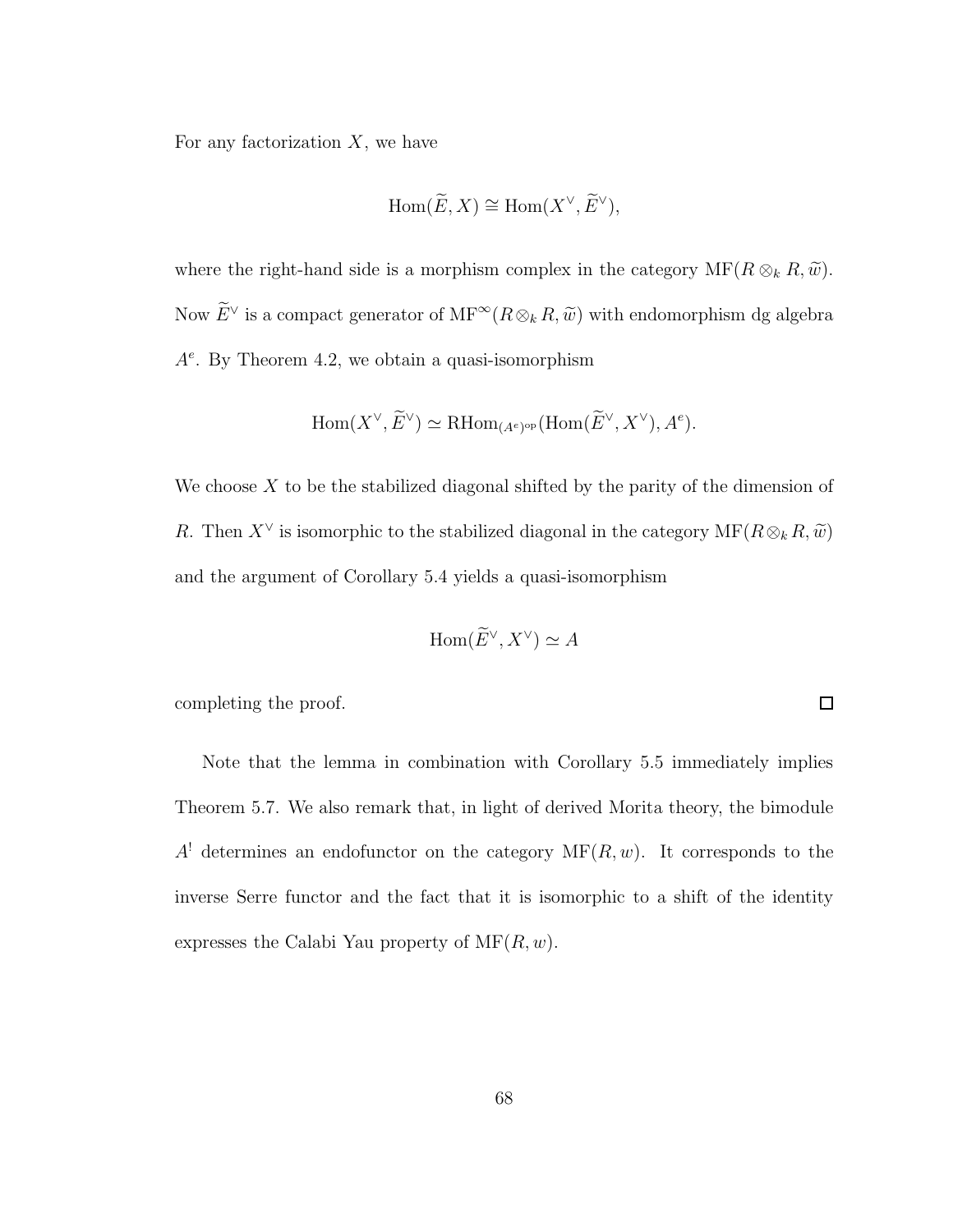For any factorization  $X$ , we have

$$
\operatorname{Hom}(\widetilde{E}, X) \cong \operatorname{Hom}(X^{\vee}, \widetilde{E}^{\vee}),
$$

where the right-hand side is a morphism complex in the category  $\mathrm{MF}(R \otimes_k R, \widetilde{w})$ . Now  $E^{\vee}$  is a compact generator of  $\text{MF}^{\infty}(R \otimes_k R, \tilde{w})$  with endomorphism dg algebra  $A<sup>e</sup>$ . By Theorem 4.2, we obtain a quasi-isomorphism

$$
\operatorname{Hom}(X^{\vee}, \tilde{E}^{\vee}) \simeq \operatorname{RHom}_{(A^e)^{\rm op}}(\operatorname{Hom}(\tilde{E}^{\vee}, X^{\vee}), A^e).
$$

We choose  $X$  to be the stabilized diagonal shifted by the parity of the dimension of R. Then  $X^{\vee}$  is isomorphic to the stabilized diagonal in the category  $\mathrm{MF}(R \otimes_k R, \widetilde{w})$ and the argument of Corollary 5.4 yields a quasi-isomorphism

$$
\operatorname{Hom}(\widetilde{E}^{\vee}, X^{\vee}) \simeq A
$$

 $\Box$ 

completing the proof.

Note that the lemma in combination with Corollary 5.5 immediately implies Theorem 5.7. We also remark that, in light of derived Morita theory, the bimodule  $A<sup>!</sup>$  determines an endofunctor on the category  $MF(R, w)$ . It corresponds to the inverse Serre functor and the fact that it is isomorphic to a shift of the identity expresses the Calabi Yau property of  $\text{MF}(R, w)$ .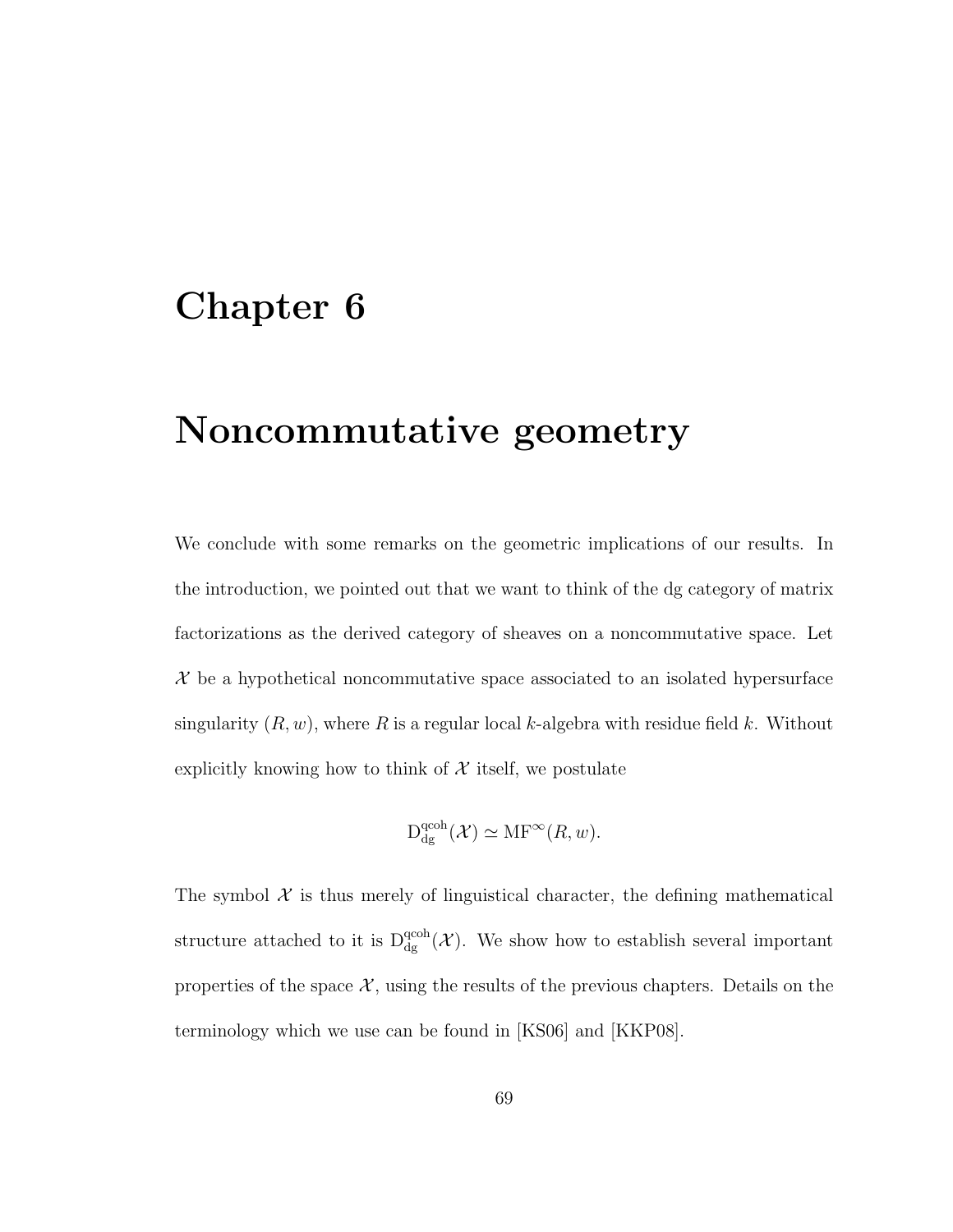## Chapter 6

## Noncommutative geometry

We conclude with some remarks on the geometric implications of our results. In the introduction, we pointed out that we want to think of the dg category of matrix factorizations as the derived category of sheaves on a noncommutative space. Let  $\mathcal X$  be a hypothetical noncommutative space associated to an isolated hypersurface singularity  $(R, w)$ , where R is a regular local k-algebra with residue field k. Without explicitly knowing how to think of  $X$  itself, we postulate

$$
\mathcal{D}_{\rm dg}^{\rm qcoh}(\mathcal{X}) \simeq \mathrm{MF}^\infty(R, w).
$$

The symbol  $\mathcal X$  is thus merely of linguistical character, the defining mathematical structure attached to it is  $D_{dg}^{qcoh}(\mathcal{X})$ . We show how to establish several important properties of the space  $\mathcal{X}$ , using the results of the previous chapters. Details on the terminology which we use can be found in [KS06] and [KKP08].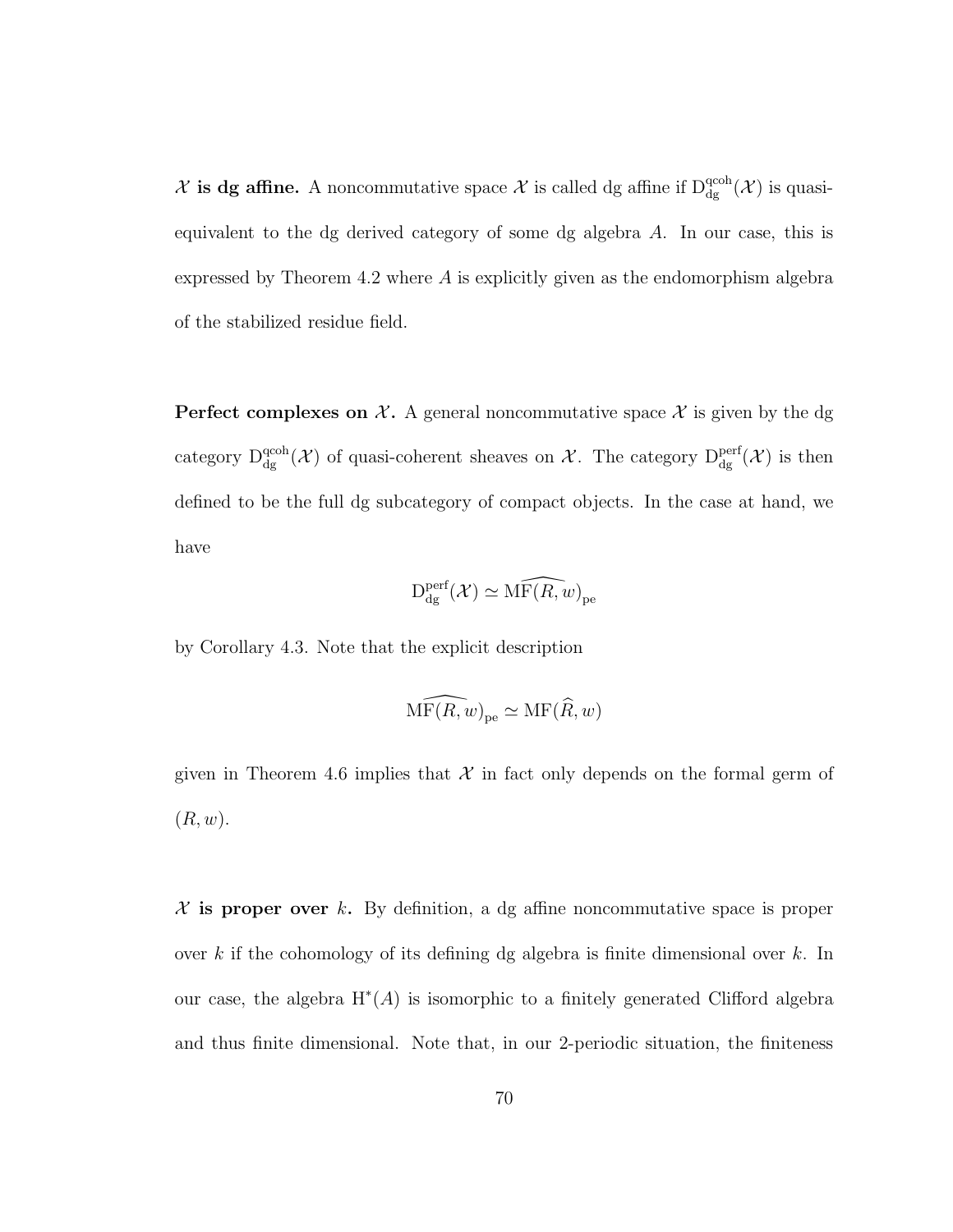$\mathcal X$  is dg affine. A noncommutative space  $\mathcal X$  is called dg affine if  $D_{dg}^{qcoh}(\mathcal X)$  is quasiequivalent to the dg derived category of some dg algebra A. In our case, this is expressed by Theorem 4.2 where A is explicitly given as the endomorphism algebra of the stabilized residue field.

**Perfect complexes on X.** A general noncommutative space X is given by the dg category  $D_{dg}^{qcoh}(\mathcal{X})$  of quasi-coherent sheaves on  $\mathcal{X}$ . The category  $D_{dg}^{perf}(\mathcal{X})$  is then defined to be the full dg subcategory of compact objects. In the case at hand, we have

$$
\mathrm{D}_{\mathrm{dg}}^{\mathrm{perf}}(\mathcal{X}) \simeq \widehat{\mathrm{MF}(R,w)}_{\mathrm{pe}}
$$

by Corollary 4.3. Note that the explicit description

$$
\widehat{\mathrm{MF}(R,w)}_{\mathrm{pe}} \simeq \mathrm{MF}(\widehat{R},w)
$$

given in Theorem 4.6 implies that  $\mathcal X$  in fact only depends on the formal germ of  $(R, w)$ .

 $X$  is proper over k. By definition, a dg affine noncommutative space is proper over k if the cohomology of its defining dg algebra is finite dimensional over k. In our case, the algebra  $H^*(A)$  is isomorphic to a finitely generated Clifford algebra and thus finite dimensional. Note that, in our 2-periodic situation, the finiteness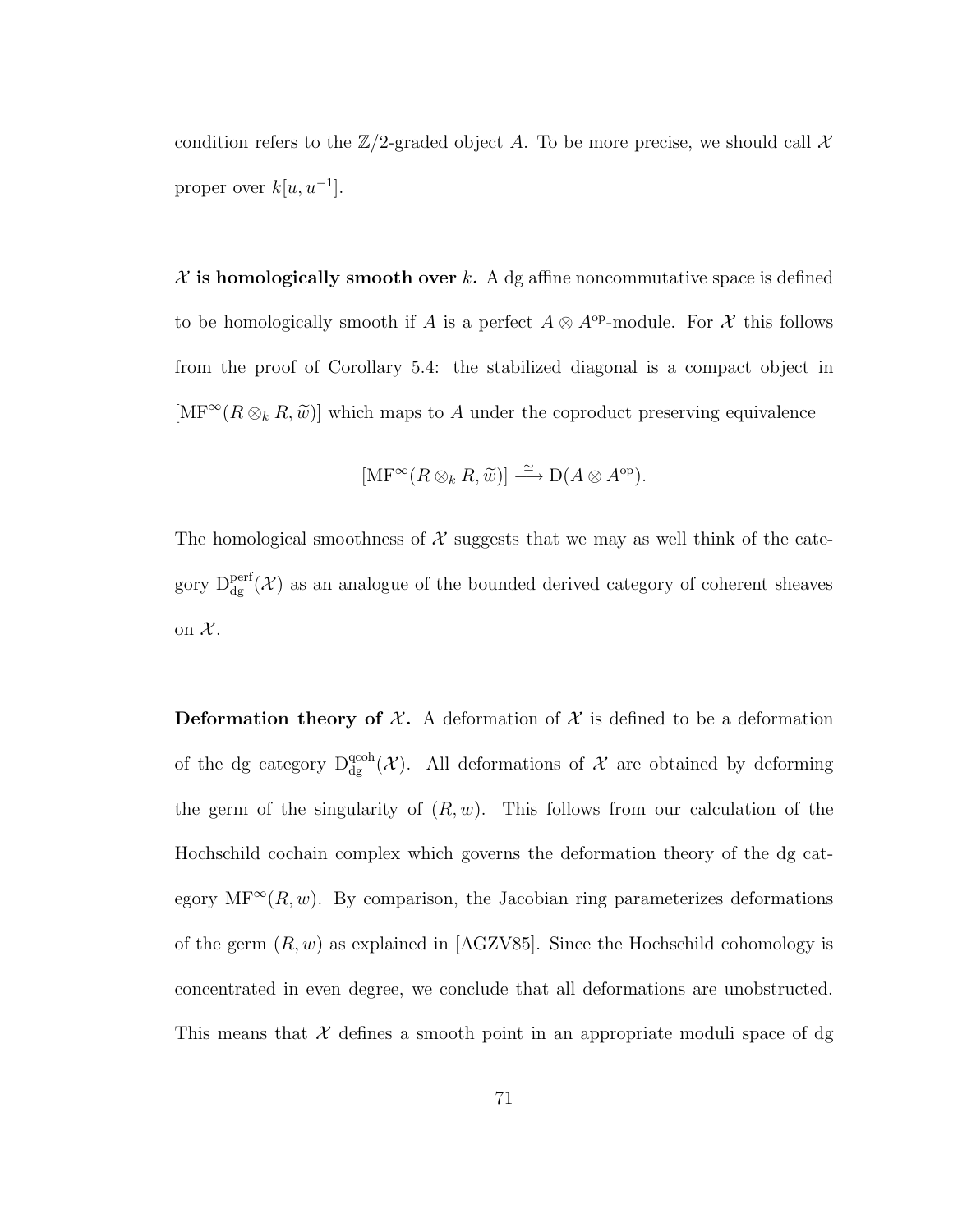condition refers to the  $\mathbb{Z}/2$ -graded object A. To be more precise, we should call X proper over  $k[u, u^{-1}]$ .

 $X$  is homologically smooth over k. A dg affine noncommutative space is defined to be homologically smooth if A is a perfect  $A \otimes A^{op}$ -module. For X this follows from the proof of Corollary 5.4: the stabilized diagonal is a compact object in  $[\text{MF}^{\infty}(R \otimes_k R, \tilde{w})]$  which maps to A under the coproduct preserving equivalence

$$
[\mathrm{MF}^{\infty}(R \otimes_k R, \widetilde{w})] \stackrel{\simeq}{\longrightarrow} \mathrm{D}(A \otimes A^{\mathrm{op}}).
$$

The homological smoothness of  $\mathcal X$  suggests that we may as well think of the category  $D_{dg}^{perf}(\mathcal{X})$  as an analogue of the bounded derived category of coherent sheaves on  $\mathcal{X}$ .

**Deformation theory of X.** A deformation of X is defined to be a deformation of the dg category  $D_{dg}^{qcoh}(\mathcal{X})$ . All deformations of  $\mathcal X$  are obtained by deforming the germ of the singularity of  $(R, w)$ . This follows from our calculation of the Hochschild cochain complex which governs the deformation theory of the dg category MF<sup>∞</sup> $(R, w)$ . By comparison, the Jacobian ring parameterizes deformations of the germ  $(R, w)$  as explained in [AGZV85]. Since the Hochschild cohomology is concentrated in even degree, we conclude that all deformations are unobstructed. This means that  $\mathcal X$  defines a smooth point in an appropriate moduli space of dg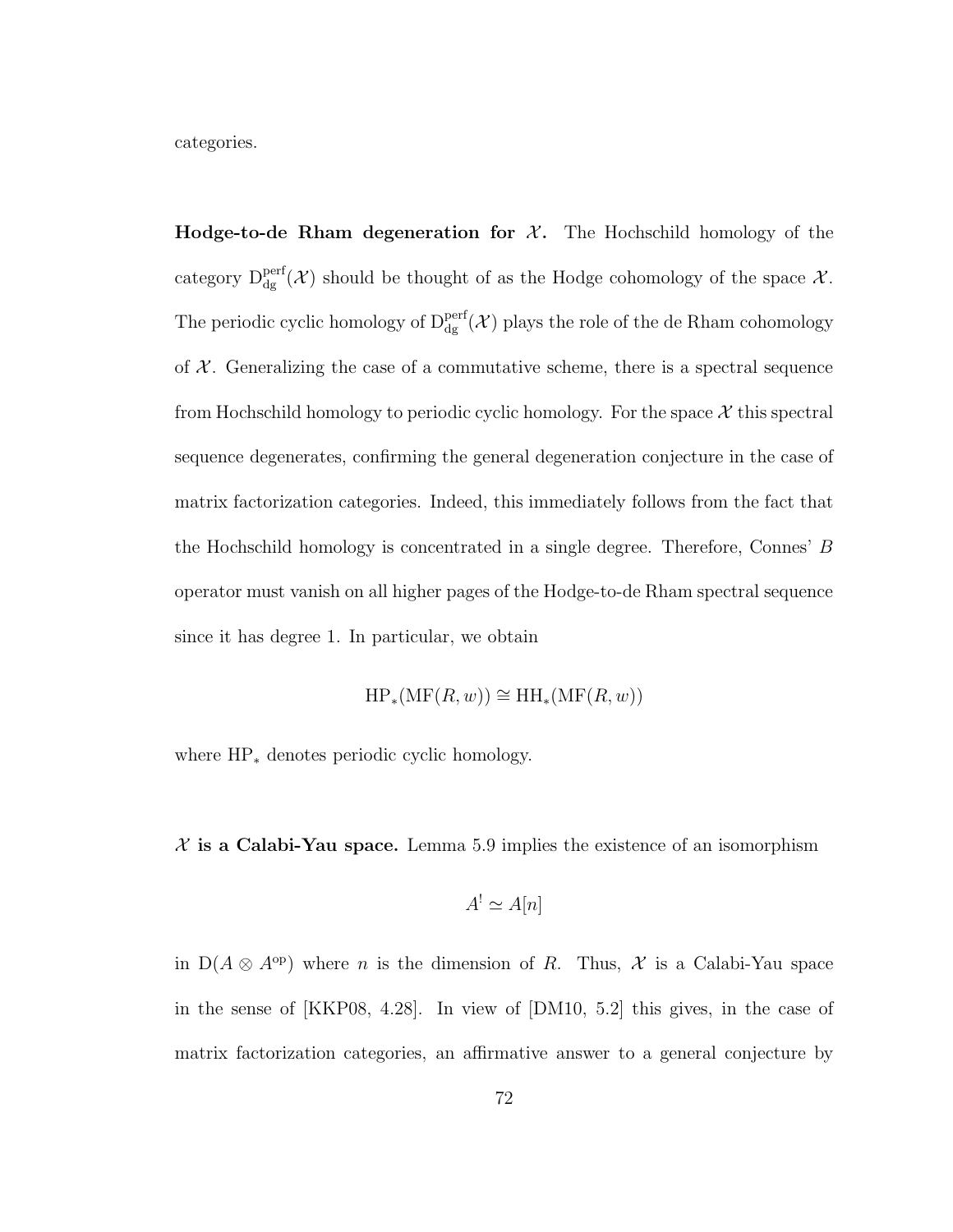categories.

**Hodge-to-de Rham degeneration for**  $\mathcal{X}$ **.** The Hochschild homology of the category  $D_{dg}^{perf}(\mathcal{X})$  should be thought of as the Hodge cohomology of the space  $\mathcal{X}$ . The periodic cyclic homology of  $D_{dg}^{perf}(\mathcal{X})$  plays the role of the de Rham cohomology of  $\mathcal{X}$ . Generalizing the case of a commutative scheme, there is a spectral sequence from Hochschild homology to periodic cyclic homology. For the space  $\mathcal X$  this spectral sequence degenerates, confirming the general degeneration conjecture in the case of matrix factorization categories. Indeed, this immediately follows from the fact that the Hochschild homology is concentrated in a single degree. Therefore, Connes' B operator must vanish on all higher pages of the Hodge-to-de Rham spectral sequence since it has degree 1. In particular, we obtain

 $HP_*(MF(R, w)) \cong HH_*(MF(R, w))$ 

where HP<sup>∗</sup> denotes periodic cyclic homology.

 $X$  is a Calabi-Yau space. Lemma 5.9 implies the existence of an isomorphism

$$
A^! \simeq A[n]
$$

in  $D(A \otimes A^{\rm op})$  where *n* is the dimension of *R*. Thus, *X* is a Calabi-Yau space in the sense of [KKP08, 4.28]. In view of [DM10, 5.2] this gives, in the case of matrix factorization categories, an affirmative answer to a general conjecture by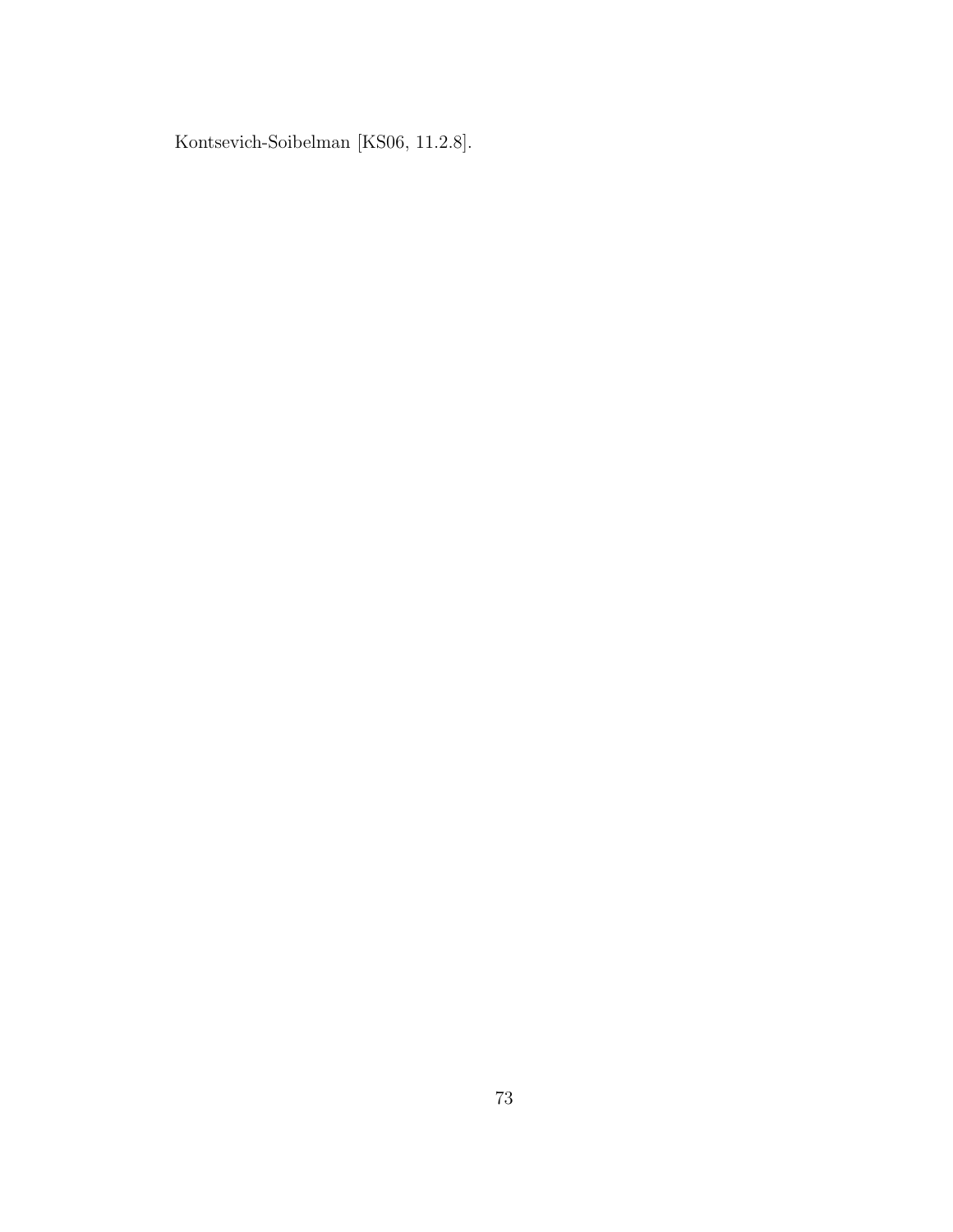Kontsevich-Soibelman [KS06, 11.2.8].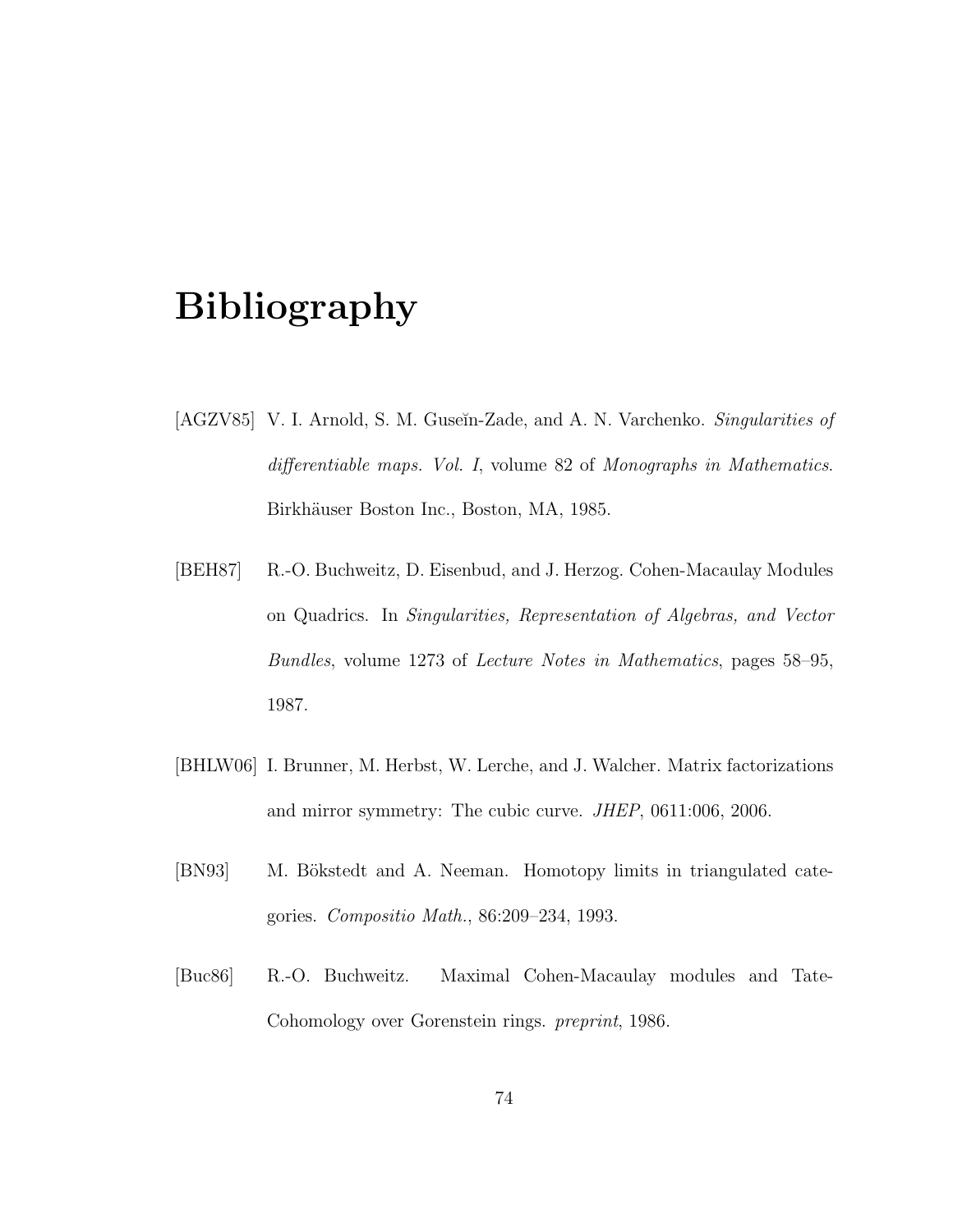## Bibliography

- [AGZV85] V. I. Arnold, S. M. Guseĭn-Zade, and A. N. Varchenko. *Singularities of differentiable maps. Vol. I*, volume 82 of *Monographs in Mathematics*. Birkhäuser Boston Inc., Boston, MA, 1985.
- [BEH87] R.-O. Buchweitz, D. Eisenbud, and J. Herzog. Cohen-Macaulay Modules on Quadrics. In *Singularities, Representation of Algebras, and Vector Bundles*, volume 1273 of *Lecture Notes in Mathematics*, pages 58–95, 1987.
- [BHLW06] I. Brunner, M. Herbst, W. Lerche, and J. Walcher. Matrix factorizations and mirror symmetry: The cubic curve. *JHEP*, 0611:006, 2006.
- [BN93] M. Bökstedt and A. Neeman. Homotopy limits in triangulated categories. *Compositio Math.*, 86:209–234, 1993.
- [Buc86] R.-O. Buchweitz. Maximal Cohen-Macaulay modules and Tate-Cohomology over Gorenstein rings. *preprint*, 1986.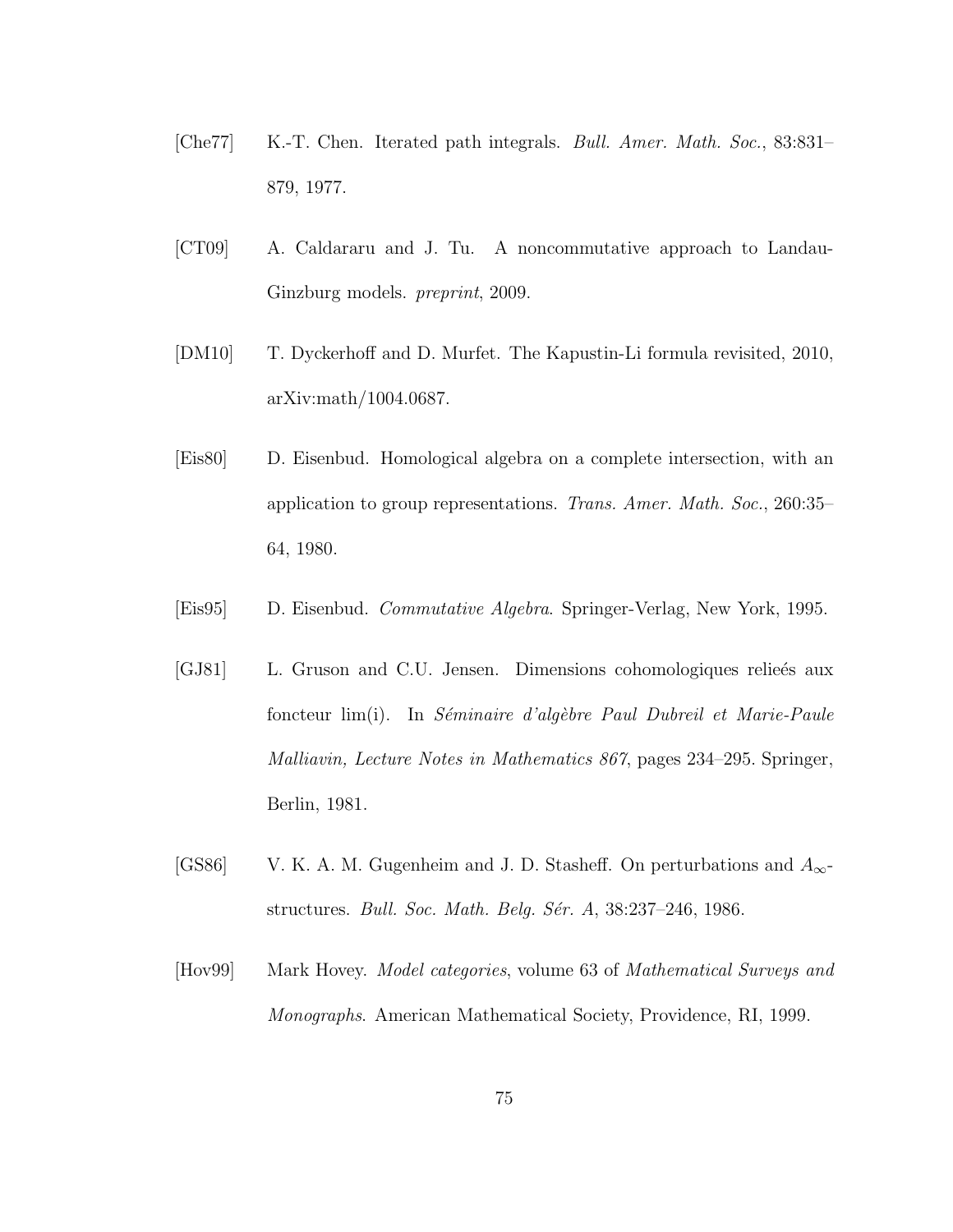- [Che77] K.-T. Chen. Iterated path integrals. *Bull. Amer. Math. Soc.*, 83:831– 879, 1977.
- [CT09] A. Caldararu and J. Tu. A noncommutative approach to Landau-Ginzburg models. *preprint*, 2009.
- [DM10] T. Dyckerhoff and D. Murfet. The Kapustin-Li formula revisited, 2010, arXiv:math/1004.0687.
- [Eis80] D. Eisenbud. Homological algebra on a complete intersection, with an application to group representations. *Trans. Amer. Math. Soc.*, 260:35– 64, 1980.
- [Eis95] D. Eisenbud. *Commutative Algebra*. Springer-Verlag, New York, 1995.
- [GJ81] L. Gruson and C.U. Jensen. Dimensions cohomologiques relieés aux foncteur lim(i). In *S´eminaire d'alg`ebre Paul Dubreil et Marie-Paule Malliavin, Lecture Notes in Mathematics 867*, pages 234–295. Springer, Berlin, 1981.
- [GS86] V. K. A. M. Gugenheim and J. D. Stasheff. On perturbations and  $A_{\infty}$ structures. *Bull. Soc. Math. Belg. S´er. A*, 38:237–246, 1986.
- [Hov99] Mark Hovey. *Model categories*, volume 63 of *Mathematical Surveys and Monographs*. American Mathematical Society, Providence, RI, 1999.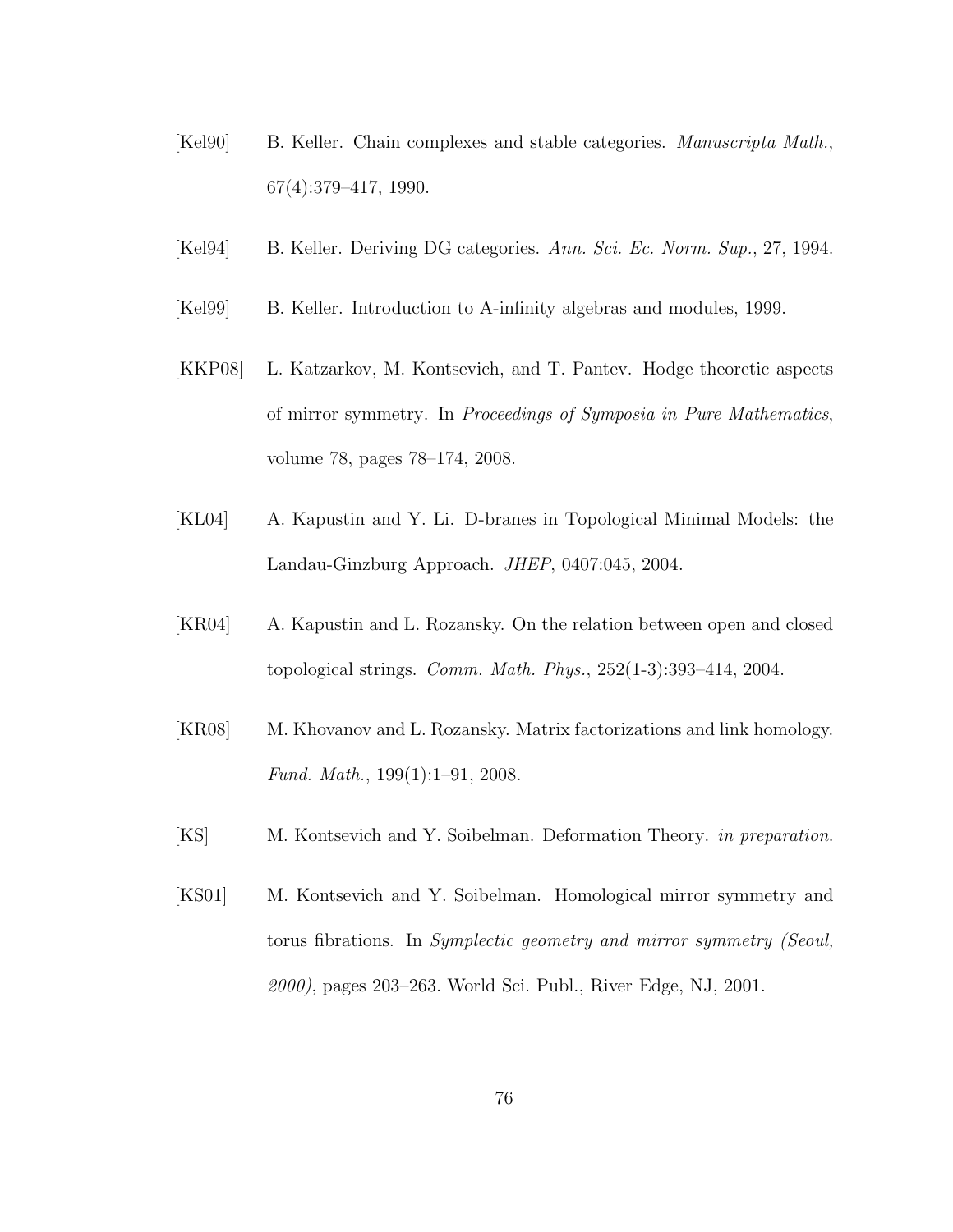- [Kel90] B. Keller. Chain complexes and stable categories. *Manuscripta Math.*, 67(4):379–417, 1990.
- [Kel94] B. Keller. Deriving DG categories. *Ann. Sci. Ec. Norm. Sup.*, 27, 1994.
- [Kel99] B. Keller. Introduction to A-infinity algebras and modules, 1999.
- [KKP08] L. Katzarkov, M. Kontsevich, and T. Pantev. Hodge theoretic aspects of mirror symmetry. In *Proceedings of Symposia in Pure Mathematics*, volume 78, pages 78–174, 2008.
- [KL04] A. Kapustin and Y. Li. D-branes in Topological Minimal Models: the Landau-Ginzburg Approach. *JHEP*, 0407:045, 2004.
- [KR04] A. Kapustin and L. Rozansky. On the relation between open and closed topological strings. *Comm. Math. Phys.*, 252(1-3):393–414, 2004.
- [KR08] M. Khovanov and L. Rozansky. Matrix factorizations and link homology. *Fund. Math.*, 199(1):1–91, 2008.
- [KS] M. Kontsevich and Y. Soibelman. Deformation Theory. *in preparation*.
- [KS01] M. Kontsevich and Y. Soibelman. Homological mirror symmetry and torus fibrations. In *Symplectic geometry and mirror symmetry (Seoul, 2000)*, pages 203–263. World Sci. Publ., River Edge, NJ, 2001.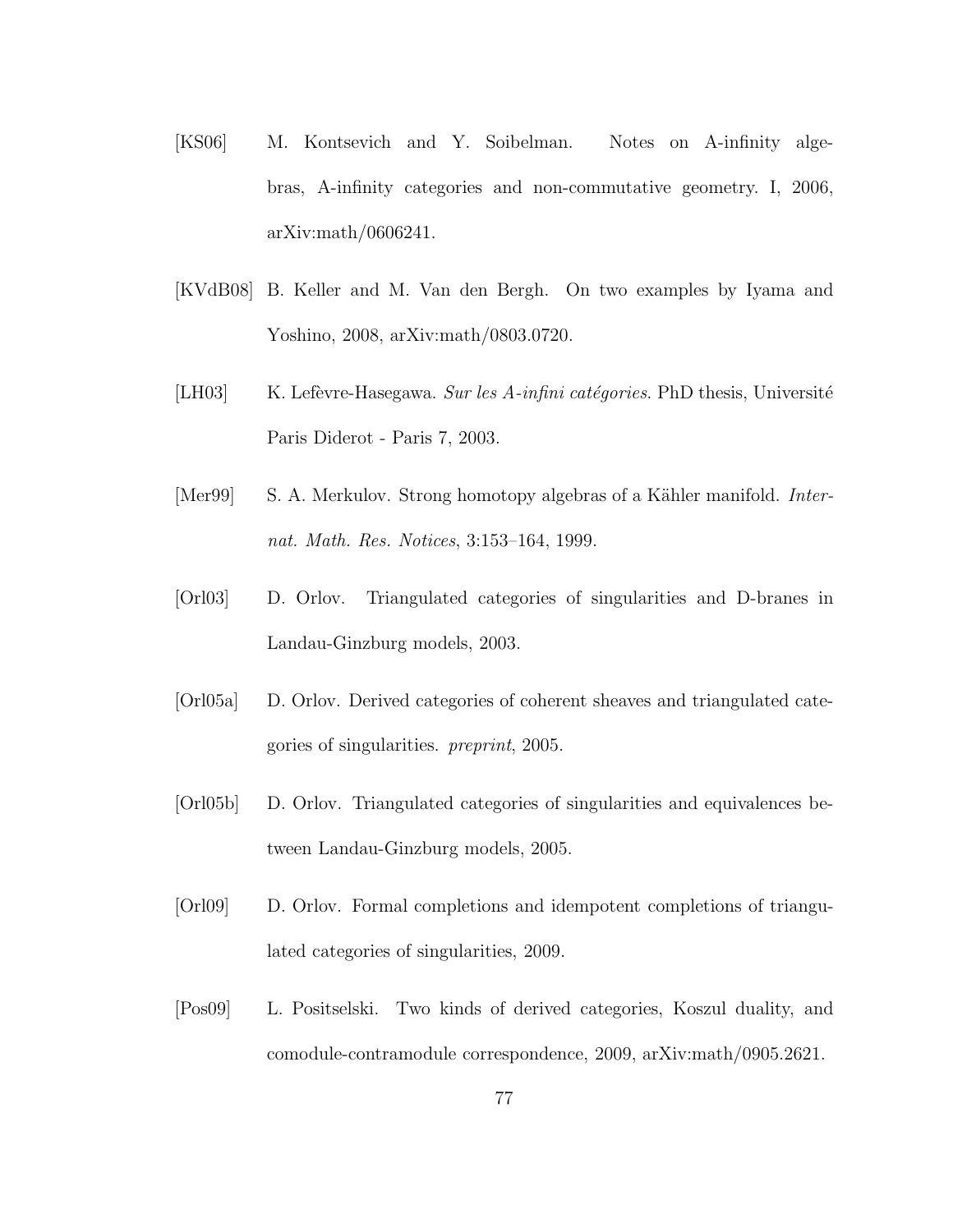- [KS06] M. Kontsevich and Y. Soibelman. Notes on A-infinity algebras, A-infinity categories and non-commutative geometry. I, 2006, arXiv:math/0606241.
- [KVdB08] B. Keller and M. Van den Bergh. On two examples by Iyama and Yoshino, 2008, arXiv:math/0803.0720.
- [LH03] K. Lefèvre-Hasegawa. *Sur les A-infini catégories*. PhD thesis, Université Paris Diderot - Paris 7, 2003.
- [Mer99] S. A. Merkulov. Strong homotopy algebras of a Kähler manifold. *Internat. Math. Res. Notices*, 3:153–164, 1999.
- [Orl03] D. Orlov. Triangulated categories of singularities and D-branes in Landau-Ginzburg models, 2003.
- [Orl05a] D. Orlov. Derived categories of coherent sheaves and triangulated categories of singularities. *preprint*, 2005.
- [Orl05b] D. Orlov. Triangulated categories of singularities and equivalences between Landau-Ginzburg models, 2005.
- [Orl09] D. Orlov. Formal completions and idempotent completions of triangulated categories of singularities, 2009.
- [Pos09] L. Positselski. Two kinds of derived categories, Koszul duality, and comodule-contramodule correspondence, 2009, arXiv:math/0905.2621.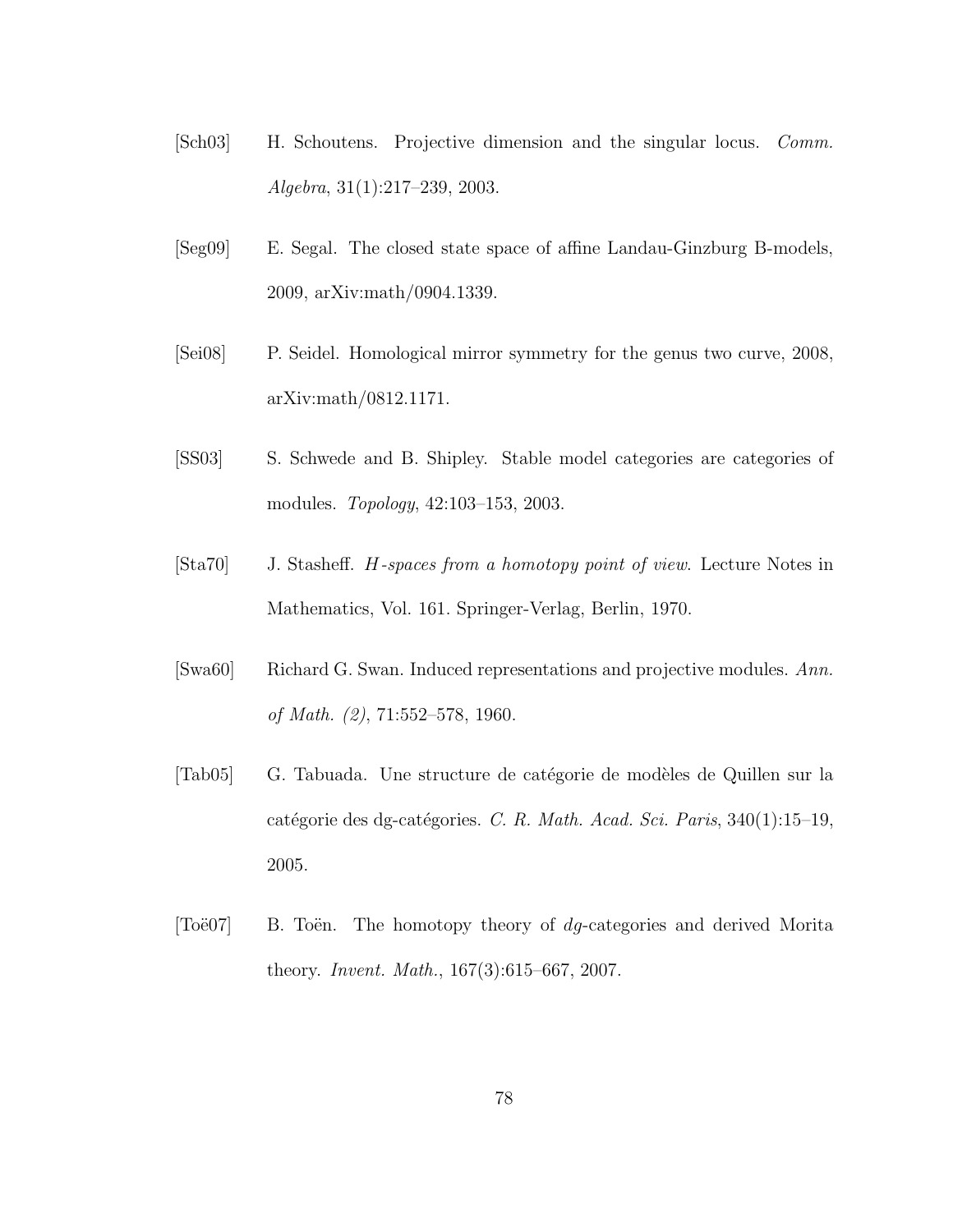- [Sch03] H. Schoutens. Projective dimension and the singular locus. *Comm. Algebra*, 31(1):217–239, 2003.
- [Seg09] E. Segal. The closed state space of affine Landau-Ginzburg B-models, 2009, arXiv:math/0904.1339.
- [Sei08] P. Seidel. Homological mirror symmetry for the genus two curve, 2008, arXiv:math/0812.1171.
- [SS03] S. Schwede and B. Shipley. Stable model categories are categories of modules. *Topology*, 42:103–153, 2003.
- [Sta70] J. Stasheff. H*-spaces from a homotopy point of view*. Lecture Notes in Mathematics, Vol. 161. Springer-Verlag, Berlin, 1970.
- [Swa60] Richard G. Swan. Induced representations and projective modules. *Ann. of Math. (2)*, 71:552–578, 1960.
- [Tab05] G. Tabuada. Une structure de catégorie de modèles de Quillen sur la catégorie des dg-catégories. C. R. Math. Acad. Sci. Paris, 340(1):15–19, 2005.
- [Toë07] B. Toën. The homotopy theory of  $dg$ -categories and derived Morita theory. *Invent. Math.*, 167(3):615–667, 2007.